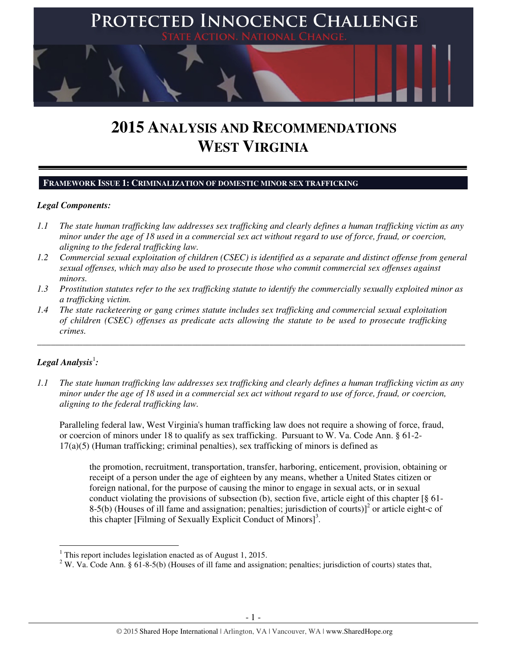

# **2015 ANALYSIS AND RECOMMENDATIONS WEST VIRGINIA**

#### **FRAMEWORK ISSUE 1: CRIMINALIZATION OF DOMESTIC MINOR SEX TRAFFICKING**

#### *Legal Components:*

- *1.1 The state human trafficking law addresses sex trafficking and clearly defines a human trafficking victim as any minor under the age of 18 used in a commercial sex act without regard to use of force, fraud, or coercion, aligning to the federal trafficking law.*
- *1.2 Commercial sexual exploitation of children (CSEC) is identified as a separate and distinct offense from general sexual offenses, which may also be used to prosecute those who commit commercial sex offenses against minors.*
- *1.3 Prostitution statutes refer to the sex trafficking statute to identify the commercially sexually exploited minor as a trafficking victim.*

\_\_\_\_\_\_\_\_\_\_\_\_\_\_\_\_\_\_\_\_\_\_\_\_\_\_\_\_\_\_\_\_\_\_\_\_\_\_\_\_\_\_\_\_\_\_\_\_\_\_\_\_\_\_\_\_\_\_\_\_\_\_\_\_\_\_\_\_\_\_\_\_\_\_\_\_\_\_\_\_\_\_\_\_\_\_\_\_\_\_\_\_\_\_

*1.4 The state racketeering or gang crimes statute includes sex trafficking and commercial sexual exploitation of children (CSEC) offenses as predicate acts allowing the statute to be used to prosecute trafficking crimes.* 

# $\bm{\mathit{Legal\, Analysis}^{\text{!}}:}$

l

*1.1 The state human trafficking law addresses sex trafficking and clearly defines a human trafficking victim as any minor under the age of 18 used in a commercial sex act without regard to use of force, fraud, or coercion, aligning to the federal trafficking law.*

Paralleling federal law, West Virginia's human trafficking law does not require a showing of force, fraud, or coercion of minors under 18 to qualify as sex trafficking. Pursuant to W. Va. Code Ann. § 61-2-  $17(a)(5)$  (Human trafficking; criminal penalties), sex trafficking of minors is defined as

the promotion, recruitment, transportation, transfer, harboring, enticement, provision, obtaining or receipt of a person under the age of eighteen by any means, whether a United States citizen or foreign national, for the purpose of causing the minor to engage in sexual acts, or in sexual conduct violating the provisions of subsection (b), section five, article eight of this chapter [§ 61- 8-5(b) (Houses of ill fame and assignation; penalties; jurisdiction of courts) $]^{2}$  or article eight-c of this chapter [Filming of Sexually Explicit Conduct of Minors]<sup>3</sup>.

<sup>&</sup>lt;sup>1</sup> This report includes legislation enacted as of August 1, 2015.

<sup>&</sup>lt;sup>2</sup> W. Va. Code Ann. § 61-8-5(b) (Houses of ill fame and assignation; penalties; jurisdiction of courts) states that,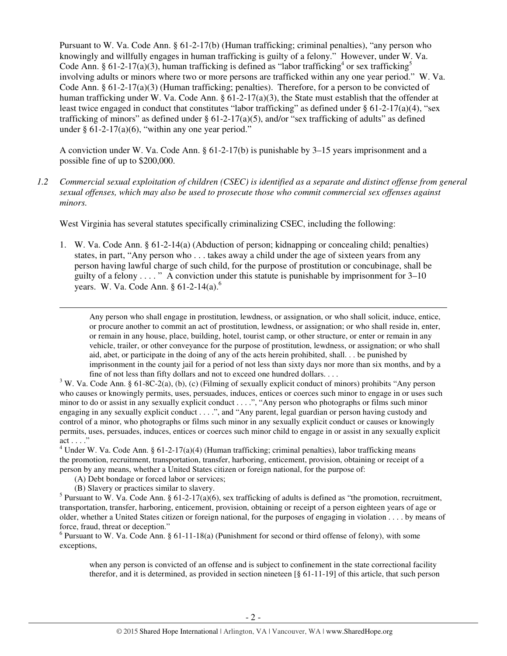Pursuant to W. Va. Code Ann. § 61-2-17(b) (Human trafficking; criminal penalties), "any person who knowingly and willfully engages in human trafficking is guilty of a felony." However, under W. Va. Code Ann. § 61-2-17(a)(3), human trafficking is defined as "labor trafficking<sup>4</sup> or sex trafficking<sup>5</sup> involving adults or minors where two or more persons are trafficked within any one year period." W. Va. Code Ann.  $\S 61-2-17(a)(3)$  (Human trafficking; penalties). Therefore, for a person to be convicted of human trafficking under W. Va. Code Ann.  $\S 61-2-17(a)(3)$ , the State must establish that the offender at least twice engaged in conduct that constitutes "labor trafficking" as defined under § 61-2-17(a)(4), "sex trafficking of minors" as defined under  $\S 61-2-17(a)(5)$ , and/or "sex trafficking of adults" as defined under  $§$  61-2-17(a)(6), "within any one year period."

A conviction under W. Va. Code Ann. § 61-2-17(b) is punishable by 3–15 years imprisonment and a possible fine of up to \$200,000.

*1.2 Commercial sexual exploitation of children (CSEC) is identified as a separate and distinct offense from general sexual offenses, which may also be used to prosecute those who commit commercial sex offenses against minors.*

West Virginia has several statutes specifically criminalizing CSEC, including the following:

1. W. Va. Code Ann. § 61-2-14(a) (Abduction of person; kidnapping or concealing child; penalties) states, in part, "Any person who . . . takes away a child under the age of sixteen years from any person having lawful charge of such child, for the purpose of prostitution or concubinage, shall be guilty of a felony  $\dots$ ." A conviction under this statute is punishable by imprisonment for  $3-10$ years. W. Va. Code Ann.  $§ 61-2-14(a)$ .<sup>6</sup>

Any person who shall engage in prostitution, lewdness, or assignation, or who shall solicit, induce, entice, or procure another to commit an act of prostitution, lewdness, or assignation; or who shall reside in, enter, or remain in any house, place, building, hotel, tourist camp, or other structure, or enter or remain in any vehicle, trailer, or other conveyance for the purpose of prostitution, lewdness, or assignation; or who shall aid, abet, or participate in the doing of any of the acts herein prohibited, shall. . . be punished by imprisonment in the county jail for a period of not less than sixty days nor more than six months, and by a fine of not less than fifty dollars and not to exceed one hundred dollars. . . .

<sup>3</sup> W. Va. Code Ann. § 61-8C-2(a), (b), (c) (Filming of sexually explicit conduct of minors) prohibits "Any person who causes or knowingly permits, uses, persuades, induces, entices or coerces such minor to engage in or uses such minor to do or assist in any sexually explicit conduct . . . .", "Any person who photographs or films such minor engaging in any sexually explicit conduct . . . .", and "Any parent, legal guardian or person having custody and control of a minor, who photographs or films such minor in any sexually explicit conduct or causes or knowingly permits, uses, persuades, induces, entices or coerces such minor child to engage in or assist in any sexually explicit act . . . ."

- (A) Debt bondage or forced labor or services;
- (B) Slavery or practices similar to slavery.

l

<sup>5</sup> Pursuant to W. Va. Code Ann. § 61-2-17(a)(6), sex trafficking of adults is defined as "the promotion, recruitment, transportation, transfer, harboring, enticement, provision, obtaining or receipt of a person eighteen years of age or older, whether a United States citizen or foreign national, for the purposes of engaging in violation . . . . by means of force, fraud, threat or deception."

 $6$  Pursuant to W. Va. Code Ann. § 61-11-18(a) (Punishment for second or third offense of felony), with some exceptions,

when any person is convicted of an offense and is subject to confinement in the state correctional facility therefor, and it is determined, as provided in section nineteen [§ 61-11-19] of this article, that such person

<sup>&</sup>lt;sup>4</sup> Under W. Va. Code Ann. § 61-2-17(a)(4) (Human trafficking; criminal penalties), labor trafficking means the promotion, recruitment, transportation, transfer, harboring, enticement, provision, obtaining or receipt of a person by any means, whether a United States citizen or foreign national, for the purpose of: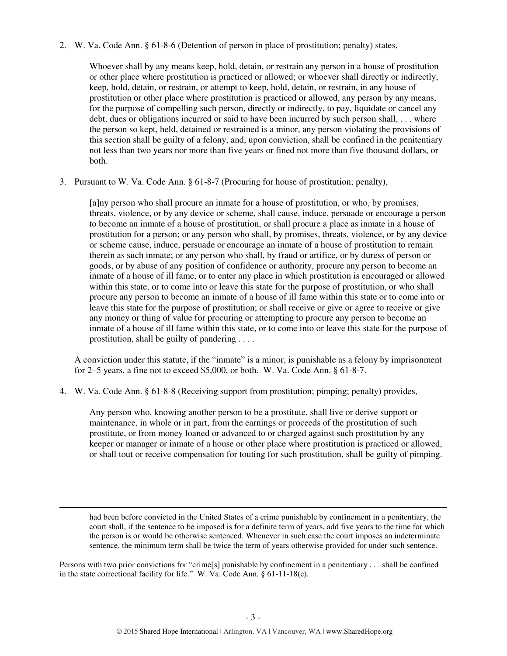2. W. Va. Code Ann. § 61-8-6 (Detention of person in place of prostitution; penalty) states,

Whoever shall by any means keep, hold, detain, or restrain any person in a house of prostitution or other place where prostitution is practiced or allowed; or whoever shall directly or indirectly, keep, hold, detain, or restrain, or attempt to keep, hold, detain, or restrain, in any house of prostitution or other place where prostitution is practiced or allowed, any person by any means, for the purpose of compelling such person, directly or indirectly, to pay, liquidate or cancel any debt, dues or obligations incurred or said to have been incurred by such person shall, . . . where the person so kept, held, detained or restrained is a minor, any person violating the provisions of this section shall be guilty of a felony, and, upon conviction, shall be confined in the penitentiary not less than two years nor more than five years or fined not more than five thousand dollars, or both.

3. Pursuant to W. Va. Code Ann. § 61-8-7 (Procuring for house of prostitution; penalty),

[a]ny person who shall procure an inmate for a house of prostitution, or who, by promises, threats, violence, or by any device or scheme, shall cause, induce, persuade or encourage a person to become an inmate of a house of prostitution, or shall procure a place as inmate in a house of prostitution for a person; or any person who shall, by promises, threats, violence, or by any device or scheme cause, induce, persuade or encourage an inmate of a house of prostitution to remain therein as such inmate; or any person who shall, by fraud or artifice, or by duress of person or goods, or by abuse of any position of confidence or authority, procure any person to become an inmate of a house of ill fame, or to enter any place in which prostitution is encouraged or allowed within this state, or to come into or leave this state for the purpose of prostitution, or who shall procure any person to become an inmate of a house of ill fame within this state or to come into or leave this state for the purpose of prostitution; or shall receive or give or agree to receive or give any money or thing of value for procuring or attempting to procure any person to become an inmate of a house of ill fame within this state, or to come into or leave this state for the purpose of prostitution, shall be guilty of pandering . . . .

A conviction under this statute, if the "inmate" is a minor, is punishable as a felony by imprisonment for 2–5 years, a fine not to exceed \$5,000, or both. W. Va. Code Ann. § 61-8-7.

4. W. Va. Code Ann. § 61-8-8 (Receiving support from prostitution; pimping; penalty) provides,

l

Any person who, knowing another person to be a prostitute, shall live or derive support or maintenance, in whole or in part, from the earnings or proceeds of the prostitution of such prostitute, or from money loaned or advanced to or charged against such prostitution by any keeper or manager or inmate of a house or other place where prostitution is practiced or allowed, or shall tout or receive compensation for touting for such prostitution, shall be guilty of pimping.

had been before convicted in the United States of a crime punishable by confinement in a penitentiary, the court shall, if the sentence to be imposed is for a definite term of years, add five years to the time for which the person is or would be otherwise sentenced. Whenever in such case the court imposes an indeterminate sentence, the minimum term shall be twice the term of years otherwise provided for under such sentence.

Persons with two prior convictions for "crime[s] punishable by confinement in a penitentiary . . . shall be confined in the state correctional facility for life." W. Va. Code Ann. § 61-11-18(c).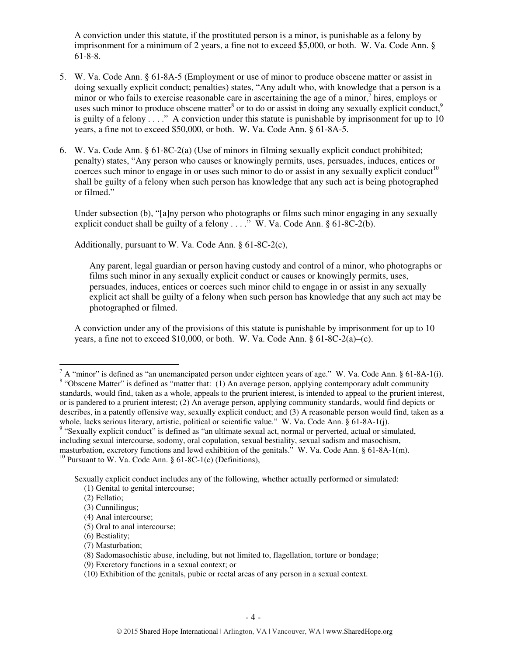A conviction under this statute, if the prostituted person is a minor, is punishable as a felony by imprisonment for a minimum of 2 years, a fine not to exceed \$5,000, or both. W. Va. Code Ann. § 61-8-8.

- 5. W. Va. Code Ann. § 61-8A-5 (Employment or use of minor to produce obscene matter or assist in doing sexually explicit conduct; penalties) states, "Any adult who, with knowledge that a person is a minor or who fails to exercise reasonable care in ascertaining the age of a minor, $\frac{7}{7}$  hires, employs or uses such minor to produce obscene matter<sup>8</sup> or to do or assist in doing any sexually explicit conduct,<sup>9</sup> is guilty of a felony  $\dots$ ." A conviction under this statute is punishable by imprisonment for up to 10 years, a fine not to exceed \$50,000, or both. W. Va. Code Ann. § 61-8A-5.
- 6. W. Va. Code Ann. § 61-8C-2(a) (Use of minors in filming sexually explicit conduct prohibited; penalty) states, "Any person who causes or knowingly permits, uses, persuades, induces, entices or coerces such minor to engage in or uses such minor to do or assist in any sexually explicit conduct<sup>10</sup> shall be guilty of a felony when such person has knowledge that any such act is being photographed or filmed."

Under subsection (b), "[a]ny person who photographs or films such minor engaging in any sexually explicit conduct shall be guilty of a felony  $\dots$ ." W. Va. Code Ann. § 61-8C-2(b).

Additionally, pursuant to W. Va. Code Ann. § 61-8C-2(c),

Any parent, legal guardian or person having custody and control of a minor, who photographs or films such minor in any sexually explicit conduct or causes or knowingly permits, uses, persuades, induces, entices or coerces such minor child to engage in or assist in any sexually explicit act shall be guilty of a felony when such person has knowledge that any such act may be photographed or filmed.

A conviction under any of the provisions of this statute is punishable by imprisonment for up to 10 years, a fine not to exceed \$10,000, or both. W. Va. Code Ann.  $\frac{6}{18}$ C-2(a)–(c).

l

(7) Masturbation;

(9) Excretory functions in a sexual context; or

 $^7$  A "minor" is defined as "an unemancipated person under eighteen years of age." W. Va. Code Ann. § 61-8A-1(i). <sup>8</sup> "Obscene Matter" is defined as "matter that: (1) An average person, applying contemporary adult community standards, would find, taken as a whole, appeals to the prurient interest, is intended to appeal to the prurient interest, or is pandered to a prurient interest; (2) An average person, applying community standards, would find depicts or describes, in a patently offensive way, sexually explicit conduct; and (3) A reasonable person would find, taken as a whole, lacks serious literary, artistic, political or scientific value." W. Va. Code Ann. § 61-8A-1(j).

<sup>&</sup>lt;sup>9</sup> "Sexually explicit conduct" is defined as "an ultimate sexual act, normal or perverted, actual or simulated, including sexual intercourse, sodomy, oral copulation, sexual bestiality, sexual sadism and masochism, masturbation, excretory functions and lewd exhibition of the genitals." W. Va. Code Ann. § 61-8A-1(m). <sup>10</sup> Pursuant to W. Va. Code Ann. § 61-8C-1(c) (Definitions),

Sexually explicit conduct includes any of the following, whether actually performed or simulated: (1) Genital to genital intercourse;

 <sup>(2)</sup> Fellatio;

 <sup>(3)</sup> Cunnilingus;

 <sup>(4)</sup> Anal intercourse;

 <sup>(5)</sup> Oral to anal intercourse;

 <sup>(6)</sup> Bestiality;

 <sup>(8)</sup> Sadomasochistic abuse, including, but not limited to, flagellation, torture or bondage;

 <sup>(10)</sup> Exhibition of the genitals, pubic or rectal areas of any person in a sexual context.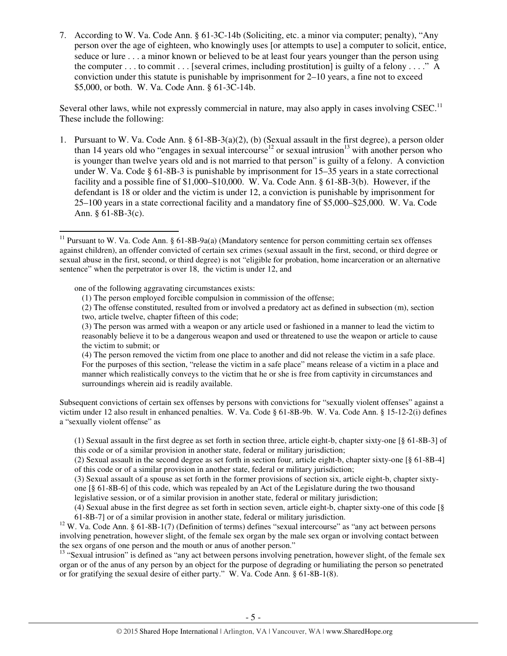7. According to W. Va. Code Ann. § 61-3C-14b (Soliciting, etc. a minor via computer; penalty), "Any person over the age of eighteen, who knowingly uses [or attempts to use] a computer to solicit, entice, seduce or lure . . . a minor known or believed to be at least four years younger than the person using the computer  $\dots$  to commit  $\dots$  [several crimes, including prostitution] is guilty of a felony  $\dots$ ." A conviction under this statute is punishable by imprisonment for 2–10 years, a fine not to exceed \$5,000, or both. W. Va. Code Ann. § 61-3C-14b.

Several other laws, while not expressly commercial in nature, may also apply in cases involving  $CSEC.<sup>11</sup>$ These include the following:

1. Pursuant to W. Va. Code Ann. § 61-8B-3(a)(2), (b) (Sexual assault in the first degree), a person older than 14 years old who "engages in sexual intercourse<sup>12</sup> or sexual intrusion<sup>13</sup> with another person who is younger than twelve years old and is not married to that person" is guilty of a felony. A conviction under W. Va. Code § 61-8B-3 is punishable by imprisonment for 15–35 years in a state correctional facility and a possible fine of \$1,000–\$10,000. W. Va. Code Ann. § 61-8B-3(b). However, if the defendant is 18 or older and the victim is under 12, a conviction is punishable by imprisonment for 25–100 years in a state correctional facility and a mandatory fine of \$5,000–\$25,000. W. Va. Code Ann.  $§ 61-8B-3(c)$ .

one of the following aggravating circumstances exists:

 $\overline{a}$ 

(2) The offense constituted, resulted from or involved a predatory act as defined in subsection (m), section two, article twelve, chapter fifteen of this code;

(4) The person removed the victim from one place to another and did not release the victim in a safe place. For the purposes of this section, "release the victim in a safe place" means release of a victim in a place and manner which realistically conveys to the victim that he or she is free from captivity in circumstances and surroundings wherein aid is readily available.

Subsequent convictions of certain sex offenses by persons with convictions for "sexually violent offenses" against a victim under 12 also result in enhanced penalties. W. Va. Code § 61-8B-9b. W. Va. Code Ann. § 15-12-2(i) defines a "sexually violent offense" as

<sup>&</sup>lt;sup>11</sup> Pursuant to W. Va. Code Ann. § 61-8B-9a(a) (Mandatory sentence for person committing certain sex offenses against children), an offender convicted of certain sex crimes (sexual assault in the first, second, or third degree or sexual abuse in the first, second, or third degree) is not "eligible for probation, home incarceration or an alternative sentence" when the perpetrator is over 18, the victim is under 12, and

<sup>(1)</sup> The person employed forcible compulsion in commission of the offense;

<sup>(3)</sup> The person was armed with a weapon or any article used or fashioned in a manner to lead the victim to reasonably believe it to be a dangerous weapon and used or threatened to use the weapon or article to cause the victim to submit; or

<sup>(1)</sup> Sexual assault in the first degree as set forth in section three, article eight-b, chapter sixty-one [§ 61-8B-3] of this code or of a similar provision in another state, federal or military jurisdiction;

<sup>(2)</sup> Sexual assault in the second degree as set forth in section four, article eight-b, chapter sixty-one [§ 61-8B-4] of this code or of a similar provision in another state, federal or military jurisdiction;

<sup>(3)</sup> Sexual assault of a spouse as set forth in the former provisions of section six, article eight-b, chapter sixty-

one [§ 61-8B-6] of this code, which was repealed by an Act of the Legislature during the two thousand

legislative session, or of a similar provision in another state, federal or military jurisdiction;

<sup>(4)</sup> Sexual abuse in the first degree as set forth in section seven, article eight-b, chapter sixty-one of this code [§ 61-8B-7] or of a similar provision in another state, federal or military jurisdiction.

<sup>&</sup>lt;sup>12</sup> W. Va. Code Ann. § 61-8B-1(7) (Definition of terms) defines "sexual intercourse" as "any act between persons involving penetration, however slight, of the female sex organ by the male sex organ or involving contact between the sex organs of one person and the mouth or anus of another person."

 $13$  "Sexual intrusion" is defined as "any act between persons involving penetration, however slight, of the female sex organ or of the anus of any person by an object for the purpose of degrading or humiliating the person so penetrated or for gratifying the sexual desire of either party." W. Va. Code Ann. § 61-8B-1(8).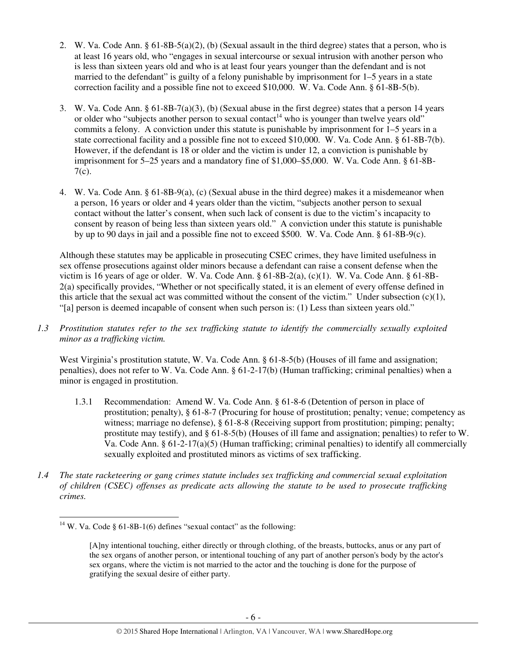- 2. W. Va. Code Ann. § 61-8B-5(a)(2), (b) (Sexual assault in the third degree) states that a person, who is at least 16 years old, who "engages in sexual intercourse or sexual intrusion with another person who is less than sixteen years old and who is at least four years younger than the defendant and is not married to the defendant" is guilty of a felony punishable by imprisonment for 1–5 years in a state correction facility and a possible fine not to exceed \$10,000. W. Va. Code Ann. § 61-8B-5(b).
- 3. W. Va. Code Ann. § 61-8B-7(a)(3), (b) (Sexual abuse in the first degree) states that a person 14 years or older who "subjects another person to sexual contact<sup>14</sup> who is younger than twelve years old" commits a felony. A conviction under this statute is punishable by imprisonment for 1–5 years in a state correctional facility and a possible fine not to exceed \$10,000. W. Va. Code Ann. § 61-8B-7(b). However, if the defendant is 18 or older and the victim is under 12, a conviction is punishable by imprisonment for 5–25 years and a mandatory fine of \$1,000–\$5,000. W. Va. Code Ann. § 61-8B-7(c).
- 4. W. Va. Code Ann. § 61-8B-9(a), (c) (Sexual abuse in the third degree) makes it a misdemeanor when a person, 16 years or older and 4 years older than the victim, "subjects another person to sexual contact without the latter's consent, when such lack of consent is due to the victim's incapacity to consent by reason of being less than sixteen years old." A conviction under this statute is punishable by up to 90 days in jail and a possible fine not to exceed \$500. W. Va. Code Ann. § 61-8B-9(c).

Although these statutes may be applicable in prosecuting CSEC crimes, they have limited usefulness in sex offense prosecutions against older minors because a defendant can raise a consent defense when the victim is 16 years of age or older. W. Va. Code Ann. § 61-8B-2(a), (c)(1). W. Va. Code Ann. § 61-8B-2(a) specifically provides, "Whether or not specifically stated, it is an element of every offense defined in this article that the sexual act was committed without the consent of the victim." Under subsection  $(c)(1)$ , "[a] person is deemed incapable of consent when such person is: (1) Less than sixteen years old."

*1.3 Prostitution statutes refer to the sex trafficking statute to identify the commercially sexually exploited minor as a trafficking victim.* 

West Virginia's prostitution statute, W. Va. Code Ann. § 61-8-5(b) (Houses of ill fame and assignation; penalties), does not refer to W. Va. Code Ann. § 61-2-17(b) (Human trafficking; criminal penalties) when a minor is engaged in prostitution.

- 1.3.1 Recommendation: Amend W. Va. Code Ann. § 61-8-6 (Detention of person in place of prostitution; penalty), § 61-8-7 (Procuring for house of prostitution; penalty; venue; competency as witness; marriage no defense), § 61-8-8 (Receiving support from prostitution; pimping; penalty; prostitute may testify), and § 61-8-5(b) (Houses of ill fame and assignation; penalties) to refer to W. Va. Code Ann. §  $61-2-17(a)(5)$  (Human trafficking; criminal penalties) to identify all commercially sexually exploited and prostituted minors as victims of sex trafficking.
- *1.4 The state racketeering or gang crimes statute includes sex trafficking and commercial sexual exploitation of children (CSEC) offenses as predicate acts allowing the statute to be used to prosecute trafficking crimes.*

<sup>&</sup>lt;sup>14</sup> W. Va. Code § 61-8B-1(6) defines "sexual contact" as the following:

<sup>[</sup>A]ny intentional touching, either directly or through clothing, of the breasts, buttocks, anus or any part of the sex organs of another person, or intentional touching of any part of another person's body by the actor's sex organs, where the victim is not married to the actor and the touching is done for the purpose of gratifying the sexual desire of either party.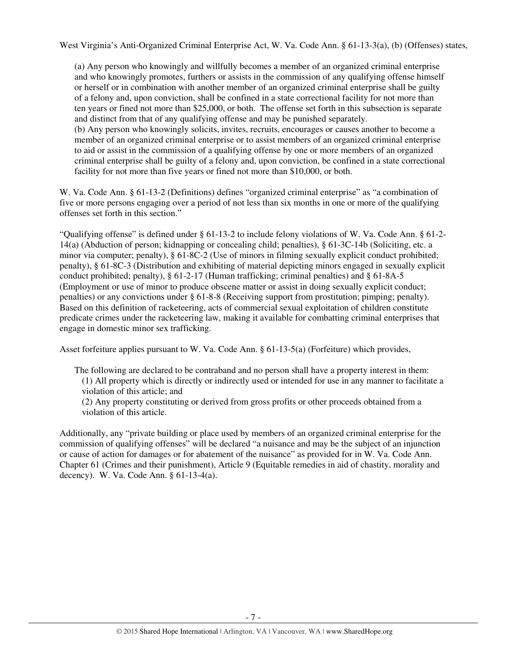West Virginia's Anti-Organized Criminal Enterprise Act, W. Va. Code Ann. § 61-13-3(a), (b) (Offenses) states,

(a) Any person who knowingly and willfully becomes a member of an organized criminal enterprise and who knowingly promotes, furthers or assists in the commission of any qualifying offense himself or herself or in combination with another member of an organized criminal enterprise shall be guilty of a felony and, upon conviction, shall be confined in a state correctional facility for not more than ten years or fined not more than \$25,000, or both. The offense set forth in this subsection is separate and distinct from that of any qualifying offense and may be punished separately. (b) Any person who knowingly solicits, invites, recruits, encourages or causes another to become a member of an organized criminal enterprise or to assist members of an organized criminal enterprise to aid or assist in the commission of a qualifying offense by one or more members of an organized criminal enterprise shall be guilty of a felony and, upon conviction, be confined in a state correctional facility for not more than five years or fined not more than \$10,000, or both.

W. Va. Code Ann. § 61-13-2 (Definitions) defines "organized criminal enterprise" as "a combination of five or more persons engaging over a period of not less than six months in one or more of the qualifying offenses set forth in this section."

"Qualifying offense" is defined under § 61-13-2 to include felony violations of W. Va. Code Ann. § 61-2- 14(a) (Abduction of person; kidnapping or concealing child; penalties), § 61-3C-14b (Soliciting, etc. a minor via computer; penalty), § 61-8C-2 (Use of minors in filming sexually explicit conduct prohibited; penalty), § 61-8C-3 (Distribution and exhibiting of material depicting minors engaged in sexually explicit conduct prohibited; penalty), § 61-2-17 (Human trafficking; criminal penalties) and § 61-8A-5 (Employment or use of minor to produce obscene matter or assist in doing sexually explicit conduct; penalties) or any convictions under § 61-8-8 (Receiving support from prostitution; pimping; penalty). Based on this definition of racketeering, acts of commercial sexual exploitation of children constitute predicate crimes under the racketeering law, making it available for combatting criminal enterprises that engage in domestic minor sex trafficking.

Asset forfeiture applies pursuant to W. Va. Code Ann. § 61-13-5(a) (Forfeiture) which provides,

The following are declared to be contraband and no person shall have a property interest in them: (1) All property which is directly or indirectly used or intended for use in any manner to facilitate a violation of this article; and

(2) Any property constituting or derived from gross profits or other proceeds obtained from a violation of this article.

Additionally, any "private building or place used by members of an organized criminal enterprise for the commission of qualifying offenses" will be declared "a nuisance and may be the subject of an injunction or cause of action for damages or for abatement of the nuisance" as provided for in W. Va. Code Ann. Chapter 61 (Crimes and their punishment), Article 9 (Equitable remedies in aid of chastity, morality and decency). W. Va. Code Ann. § 61-13-4(a).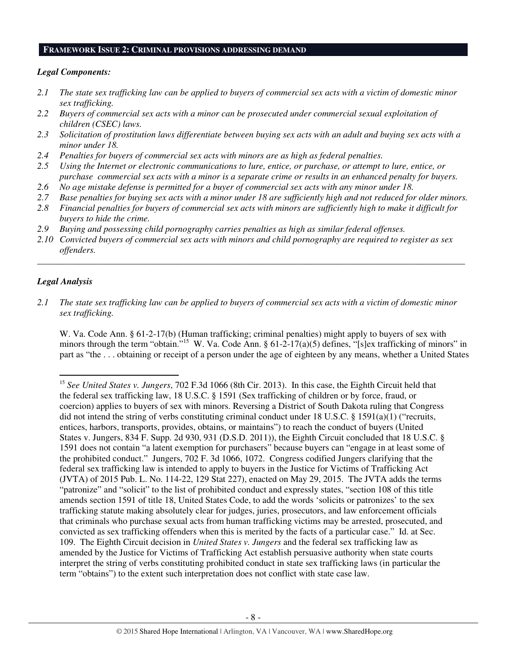#### **FRAMEWORK ISSUE 2: CRIMINAL PROVISIONS ADDRESSING DEMAND**

## *Legal Components:*

- *2.1 The state sex trafficking law can be applied to buyers of commercial sex acts with a victim of domestic minor sex trafficking.*
- *2.2 Buyers of commercial sex acts with a minor can be prosecuted under commercial sexual exploitation of children (CSEC) laws.*
- *2.3 Solicitation of prostitution laws differentiate between buying sex acts with an adult and buying sex acts with a minor under 18.*
- *2.4 Penalties for buyers of commercial sex acts with minors are as high as federal penalties.*
- *2.5 Using the Internet or electronic communications to lure, entice, or purchase, or attempt to lure, entice, or purchase commercial sex acts with a minor is a separate crime or results in an enhanced penalty for buyers.*
- *2.6 No age mistake defense is permitted for a buyer of commercial sex acts with any minor under 18.*
- *2.7 Base penalties for buying sex acts with a minor under 18 are sufficiently high and not reduced for older minors.*
- *2.8 Financial penalties for buyers of commercial sex acts with minors are sufficiently high to make it difficult for buyers to hide the crime.*
- *2.9 Buying and possessing child pornography carries penalties as high as similar federal offenses.*
- *2.10 Convicted buyers of commercial sex acts with minors and child pornography are required to register as sex offenders.*

\_\_\_\_\_\_\_\_\_\_\_\_\_\_\_\_\_\_\_\_\_\_\_\_\_\_\_\_\_\_\_\_\_\_\_\_\_\_\_\_\_\_\_\_\_\_\_\_\_\_\_\_\_\_\_\_\_\_\_\_\_\_\_\_\_\_\_\_\_\_\_\_\_\_\_\_\_\_\_\_\_\_\_\_\_\_\_\_\_\_\_\_\_\_

### *Legal Analysis*

l

*2.1 The state sex trafficking law can be applied to buyers of commercial sex acts with a victim of domestic minor sex trafficking.* 

W. Va. Code Ann. § 61-2-17(b) (Human trafficking; criminal penalties) might apply to buyers of sex with minors through the term "obtain."<sup>15</sup> W. Va. Code Ann. §  $61-2-17(a)(5)$  defines, "[s]ex trafficking of minors" in part as "the . . . obtaining or receipt of a person under the age of eighteen by any means, whether a United States

<sup>15</sup> *See United States v. Jungers*, 702 F.3d 1066 (8th Cir. 2013). In this case, the Eighth Circuit held that the federal sex trafficking law, 18 U.S.C. § 1591 (Sex trafficking of children or by force, fraud, or coercion) applies to buyers of sex with minors. Reversing a District of South Dakota ruling that Congress did not intend the string of verbs constituting criminal conduct under 18 U.S.C. § 1591(a)(1) ("recruits, entices, harbors, transports, provides, obtains, or maintains") to reach the conduct of buyers (United States v. Jungers, 834 F. Supp. 2d 930, 931 (D.S.D. 2011)), the Eighth Circuit concluded that 18 U.S.C. § 1591 does not contain "a latent exemption for purchasers" because buyers can "engage in at least some of the prohibited conduct." Jungers, 702 F. 3d 1066, 1072. Congress codified Jungers clarifying that the federal sex trafficking law is intended to apply to buyers in the Justice for Victims of Trafficking Act (JVTA) of 2015 Pub. L. No. 114-22, 129 Stat 227), enacted on May 29, 2015. The JVTA adds the terms "patronize" and "solicit" to the list of prohibited conduct and expressly states, "section 108 of this title amends section 1591 of title 18, United States Code, to add the words 'solicits or patronizes' to the sex trafficking statute making absolutely clear for judges, juries, prosecutors, and law enforcement officials that criminals who purchase sexual acts from human trafficking victims may be arrested, prosecuted, and convicted as sex trafficking offenders when this is merited by the facts of a particular case." Id. at Sec. 109. The Eighth Circuit decision in *United States v. Jungers* and the federal sex trafficking law as amended by the Justice for Victims of Trafficking Act establish persuasive authority when state courts interpret the string of verbs constituting prohibited conduct in state sex trafficking laws (in particular the term "obtains") to the extent such interpretation does not conflict with state case law.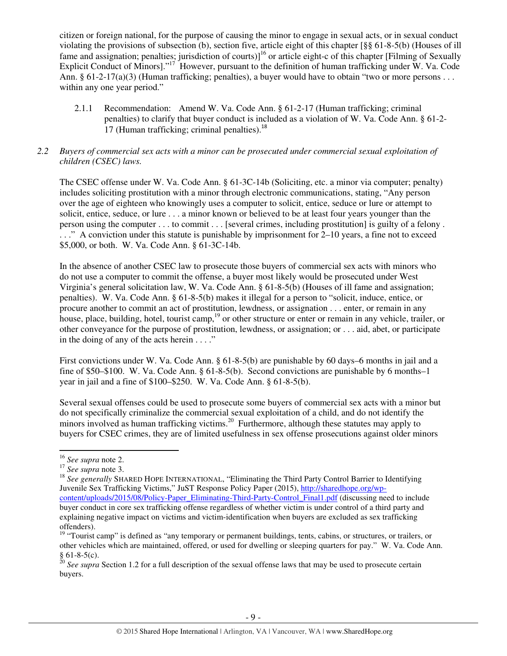citizen or foreign national, for the purpose of causing the minor to engage in sexual acts, or in sexual conduct violating the provisions of subsection (b), section five, article eight of this chapter [§§ 61-8-5(b) (Houses of ill fame and assignation; penalties; jurisdiction of courts)]<sup>16</sup> or article eight-c of this chapter [Filming of Sexually Explicit Conduct of Minors]."<sup>17</sup> However, pursuant to the definition of human trafficking under W. Va. Code Ann. §  $61-2-17(a)(3)$  (Human trafficking; penalties), a buyer would have to obtain "two or more persons . . . within any one year period."

2.1.1 Recommendation: Amend W. Va. Code Ann. § 61-2-17 (Human trafficking; criminal penalties) to clarify that buyer conduct is included as a violation of W. Va. Code Ann. § 61-2- 17 (Human trafficking; criminal penalties).<sup>18</sup>

## *2.2 Buyers of commercial sex acts with a minor can be prosecuted under commercial sexual exploitation of children (CSEC) laws.*

The CSEC offense under W. Va. Code Ann. § 61-3C-14b (Soliciting, etc. a minor via computer; penalty) includes soliciting prostitution with a minor through electronic communications, stating, "Any person over the age of eighteen who knowingly uses a computer to solicit, entice, seduce or lure or attempt to solicit, entice, seduce, or lure . . . a minor known or believed to be at least four years younger than the person using the computer . . . to commit . . . [several crimes, including prostitution] is guilty of a felony . . . ." A conviction under this statute is punishable by imprisonment for 2–10 years, a fine not to exceed \$5,000, or both. W. Va. Code Ann. § 61-3C-14b.

In the absence of another CSEC law to prosecute those buyers of commercial sex acts with minors who do not use a computer to commit the offense, a buyer most likely would be prosecuted under West Virginia's general solicitation law, W. Va. Code Ann. § 61-8-5(b) (Houses of ill fame and assignation; penalties). W. Va. Code Ann. § 61-8-5(b) makes it illegal for a person to "solicit, induce, entice, or procure another to commit an act of prostitution, lewdness, or assignation . . . enter, or remain in any house, place, building, hotel, tourist camp,<sup>19</sup> or other structure or enter or remain in any vehicle, trailer, or other conveyance for the purpose of prostitution, lewdness, or assignation; or . . . aid, abet, or participate in the doing of any of the acts herein  $\dots$ ."

First convictions under W. Va. Code Ann. § 61-8-5(b) are punishable by 60 days–6 months in jail and a fine of \$50–\$100. W. Va. Code Ann. § 61-8-5(b). Second convictions are punishable by 6 months–1 year in jail and a fine of \$100–\$250. W. Va. Code Ann. § 61-8-5(b).

Several sexual offenses could be used to prosecute some buyers of commercial sex acts with a minor but do not specifically criminalize the commercial sexual exploitation of a child, and do not identify the minors involved as human trafficking victims.<sup>20</sup> Furthermore, although these statutes may apply to buyers for CSEC crimes, they are of limited usefulness in sex offense prosecutions against older minors

<sup>16</sup> *See supra* note 2.

<sup>17</sup> *See supra* note 3.

<sup>&</sup>lt;sup>18</sup> See generally SHARED HOPE INTERNATIONAL, "Eliminating the Third Party Control Barrier to Identifying Juvenile Sex Trafficking Victims," JuST Response Policy Paper (2015), http://sharedhope.org/wpcontent/uploads/2015/08/Policy-Paper\_Eliminating-Third-Party-Control\_Final1.pdf (discussing need to include buyer conduct in core sex trafficking offense regardless of whether victim is under control of a third party and explaining negative impact on victims and victim-identification when buyers are excluded as sex trafficking offenders).

<sup>&</sup>lt;sup>19</sup> "Tourist camp" is defined as "any temporary or permanent buildings, tents, cabins, or structures, or trailers, or other vehicles which are maintained, offered, or used for dwelling or sleeping quarters for pay." W. Va. Code Ann.  $§ 61-8-5(c).$ 

<sup>&</sup>lt;sup>20</sup> See supra Section 1.2 for a full description of the sexual offense laws that may be used to prosecute certain buyers.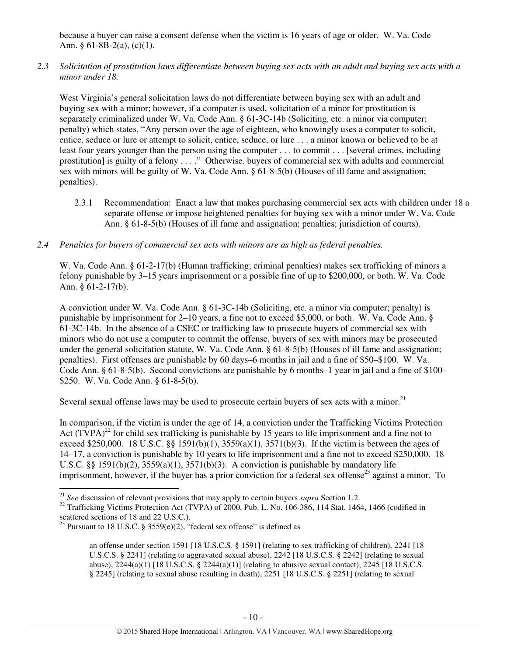because a buyer can raise a consent defense when the victim is 16 years of age or older. W. Va. Code Ann. § 61-8B-2(a),  $(c)(1)$ .

*2.3 Solicitation of prostitution laws differentiate between buying sex acts with an adult and buying sex acts with a minor under 18.* 

West Virginia's general solicitation laws do not differentiate between buying sex with an adult and buying sex with a minor; however, if a computer is used, solicitation of a minor for prostitution is separately criminalized under W. Va. Code Ann. § 61-3C-14b (Soliciting, etc. a minor via computer; penalty) which states, "Any person over the age of eighteen, who knowingly uses a computer to solicit, entice, seduce or lure or attempt to solicit, entice, seduce, or lure . . . a minor known or believed to be at least four years younger than the person using the computer . . . to commit . . . [several crimes, including prostitution] is guilty of a felony . . . ." Otherwise, buyers of commercial sex with adults and commercial sex with minors will be guilty of W. Va. Code Ann. § 61-8-5(b) (Houses of ill fame and assignation; penalties).

- 2.3.1 Recommendation: Enact a law that makes purchasing commercial sex acts with children under 18 a separate offense or impose heightened penalties for buying sex with a minor under W. Va. Code Ann. § 61-8-5(b) (Houses of ill fame and assignation; penalties; jurisdiction of courts).
- *2.4 Penalties for buyers of commercial sex acts with minors are as high as federal penalties.*

W. Va. Code Ann. § 61-2-17(b) (Human trafficking; criminal penalties) makes sex trafficking of minors a felony punishable by 3–15 years imprisonment or a possible fine of up to \$200,000, or both. W. Va. Code Ann. § 61-2-17(b).

A conviction under W. Va. Code Ann. § 61-3C-14b (Soliciting, etc. a minor via computer; penalty) is punishable by imprisonment for 2–10 years, a fine not to exceed \$5,000, or both. W. Va. Code Ann. § 61-3C-14b. In the absence of a CSEC or trafficking law to prosecute buyers of commercial sex with minors who do not use a computer to commit the offense, buyers of sex with minors may be prosecuted under the general solicitation statute, W. Va. Code Ann. § 61-8-5(b) (Houses of ill fame and assignation; penalties). First offenses are punishable by 60 days–6 months in jail and a fine of \$50–\$100. W. Va. Code Ann. § 61-8-5(b). Second convictions are punishable by 6 months–1 year in jail and a fine of \$100– \$250. W. Va. Code Ann. § 61-8-5(b).

Several sexual offense laws may be used to prosecute certain buyers of sex acts with a minor.<sup>21</sup>

In comparison, if the victim is under the age of 14, a conviction under the Trafficking Victims Protection Act  $(TVPA)^{22}$  for child sex trafficking is punishable by 15 years to life imprisonment and a fine not to exceed \$250,000. 18 U.S.C.  $\&$  1591(b)(1), 3559(a)(1), 3571(b)(3). If the victim is between the ages of 14–17, a conviction is punishable by 10 years to life imprisonment and a fine not to exceed \$250,000. 18 U.S.C. §§ 1591(b)(2),  $3559(a)(1)$ ,  $3571(b)(3)$ . A conviction is punishable by mandatory life imprisonment, however, if the buyer has a prior conviction for a federal sex offense<sup>23</sup> against a minor. To

<sup>21</sup> *See* discussion of relevant provisions that may apply to certain buyers *supra* Section 1.2.

<sup>&</sup>lt;sup>22</sup> Trafficking Victims Protection Act (TVPA) of  $2000$ , Pub. L. No. 106-386, 114 Stat. 1464, 1466 (codified in scattered sections of 18 and 22 U.S.C.).

<sup>&</sup>lt;sup>23</sup> Pursuant to 18 U.S.C. § 3559(e)(2), "federal sex offense" is defined as

an offense under section 1591 [18 U.S.C.S. § 1591] (relating to sex trafficking of children), 2241 [18 U.S.C.S. § 2241] (relating to aggravated sexual abuse), 2242 [18 U.S.C.S. § 2242] (relating to sexual abuse),  $2244(a)(1)$  [18 U.S.C.S. §  $2244(a)(1)$ ] (relating to abusive sexual contact),  $2245$  [18 U.S.C.S. § 2245] (relating to sexual abuse resulting in death), 2251 [18 U.S.C.S. § 2251] (relating to sexual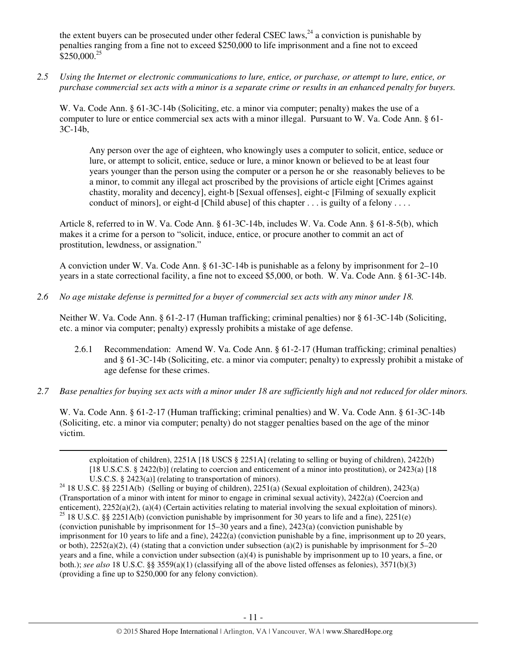the extent buyers can be prosecuted under other federal CSEC laws,  $^{24}$  a conviction is punishable by penalties ranging from a fine not to exceed \$250,000 to life imprisonment and a fine not to exceed  $$250,000.<sup>25</sup>$ 

*2.5 Using the Internet or electronic communications to lure, entice, or purchase, or attempt to lure, entice, or purchase commercial sex acts with a minor is a separate crime or results in an enhanced penalty for buyers.* 

W. Va. Code Ann. § 61-3C-14b (Soliciting, etc. a minor via computer; penalty) makes the use of a computer to lure or entice commercial sex acts with a minor illegal. Pursuant to W. Va. Code Ann. § 61- 3C-14b,

Any person over the age of eighteen, who knowingly uses a computer to solicit, entice, seduce or lure, or attempt to solicit, entice, seduce or lure, a minor known or believed to be at least four years younger than the person using the computer or a person he or she reasonably believes to be a minor, to commit any illegal act proscribed by the provisions of article eight [Crimes against chastity, morality and decency], eight-b [Sexual offenses], eight-c [Filming of sexually explicit conduct of minors], or eight-d [Child abuse] of this chapter . . . is guilty of a felony . . . .

Article 8, referred to in W. Va. Code Ann. § 61-3C-14b, includes W. Va. Code Ann. § 61-8-5(b), which makes it a crime for a person to "solicit, induce, entice, or procure another to commit an act of prostitution, lewdness, or assignation."

A conviction under W. Va. Code Ann. § 61-3C-14b is punishable as a felony by imprisonment for 2–10 years in a state correctional facility, a fine not to exceed \$5,000, or both. W. Va. Code Ann. § 61-3C-14b.

*2.6 No age mistake defense is permitted for a buyer of commercial sex acts with any minor under 18.* 

l

Neither W. Va. Code Ann. § 61-2-17 (Human trafficking; criminal penalties) nor § 61-3C-14b (Soliciting, etc. a minor via computer; penalty) expressly prohibits a mistake of age defense.

- 2.6.1 Recommendation: Amend W. Va. Code Ann. § 61-2-17 (Human trafficking; criminal penalties) and § 61-3C-14b (Soliciting, etc. a minor via computer; penalty) to expressly prohibit a mistake of age defense for these crimes.
- *2.7 Base penalties for buying sex acts with a minor under 18 are sufficiently high and not reduced for older minors.*

W. Va. Code Ann. § 61-2-17 (Human trafficking; criminal penalties) and W. Va. Code Ann. § 61-3C-14b (Soliciting, etc. a minor via computer; penalty) do not stagger penalties based on the age of the minor victim.

exploitation of children), 2251A [18 USCS § 2251A] (relating to selling or buying of children), 2422(b) [18 U.S.C.S. § 2422(b)] (relating to coercion and enticement of a minor into prostitution), or 2423(a) [18 U.S.C.S. § 2423(a)] (relating to transportation of minors).

<sup>&</sup>lt;sup>24</sup> 18 U.S.C. §§ 2251A(b) (Selling or buying of children), 2251(a) (Sexual exploitation of children), 2423(a) (Transportation of a minor with intent for minor to engage in criminal sexual activity), 2422(a) (Coercion and enticement), 2252(a)(2), (a)(4) (Certain activities relating to material involving the sexual exploitation of minors). <sup>25</sup> 18 U.S.C. §§ 2251A(b) (conviction punishable by imprisonment for 30 years to life and a fine), 2251(e) (conviction punishable by imprisonment for 15–30 years and a fine), 2423(a) (conviction punishable by imprisonment for 10 years to life and a fine), 2422(a) (conviction punishable by a fine, imprisonment up to 20 years, or both),  $2252(a)(2)$ , (4) (stating that a conviction under subsection (a)(2) is punishable by imprisonment for 5–20 years and a fine, while a conviction under subsection (a)(4) is punishable by imprisonment up to 10 years, a fine, or both.); *see also* 18 U.S.C. §§ 3559(a)(1) (classifying all of the above listed offenses as felonies), 3571(b)(3) (providing a fine up to \$250,000 for any felony conviction).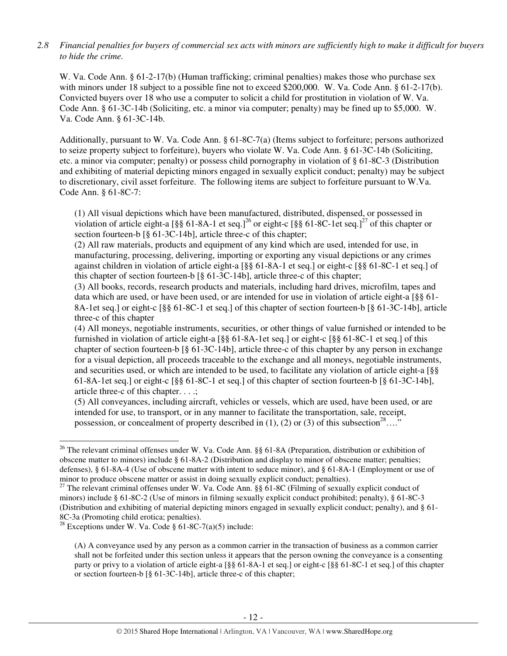## *2.8 Financial penalties for buyers of commercial sex acts with minors are sufficiently high to make it difficult for buyers to hide the crime.*

W. Va. Code Ann. § 61-2-17(b) (Human trafficking; criminal penalties) makes those who purchase sex with minors under 18 subject to a possible fine not to exceed \$200,000. W. Va. Code Ann. § 61-2-17(b). Convicted buyers over 18 who use a computer to solicit a child for prostitution in violation of W. Va. Code Ann. § 61-3C-14b (Soliciting, etc. a minor via computer; penalty) may be fined up to \$5,000. W. Va. Code Ann. § 61-3C-14b.

Additionally, pursuant to W. Va. Code Ann. § 61-8C-7(a) (Items subject to forfeiture; persons authorized to seize property subject to forfeiture), buyers who violate W. Va. Code Ann. § 61-3C-14b (Soliciting, etc. a minor via computer; penalty) or possess child pornography in violation of § 61-8C-3 (Distribution and exhibiting of material depicting minors engaged in sexually explicit conduct; penalty) may be subject to discretionary, civil asset forfeiture. The following items are subject to forfeiture pursuant to W.Va. Code Ann. § 61-8C-7:

(1) All visual depictions which have been manufactured, distributed, dispensed, or possessed in violation of article eight-a [§§ 61-8A-1 et seq.]<sup>26</sup> or eight-c [§§ 61-8C-1et seq.]<sup>27</sup> of this chapter or section fourteen-b [§ 61-3C-14b], article three-c of this chapter;

(2) All raw materials, products and equipment of any kind which are used, intended for use, in manufacturing, processing, delivering, importing or exporting any visual depictions or any crimes against children in violation of article eight-a [§§ 61-8A-1 et seq.] or eight-c [§§ 61-8C-1 et seq.] of this chapter of section fourteen-b [§ 61-3C-14b], article three-c of this chapter;

(3) All books, records, research products and materials, including hard drives, microfilm, tapes and data which are used, or have been used, or are intended for use in violation of article eight-a [§§ 61- 8A-1et seq.] or eight-c [§§ 61-8C-1 et seq.] of this chapter of section fourteen-b [§ 61-3C-14b], article three-c of this chapter

(4) All moneys, negotiable instruments, securities, or other things of value furnished or intended to be furnished in violation of article eight-a [§§ 61-8A-1et seq.] or eight-c [§§ 61-8C-1 et seq.] of this chapter of section fourteen-b [§ 61-3C-14b], article three-c of this chapter by any person in exchange for a visual depiction, all proceeds traceable to the exchange and all moneys, negotiable instruments, and securities used, or which are intended to be used, to facilitate any violation of article eight-a [§§ 61-8A-1et seq.] or eight-c [§§ 61-8C-1 et seq.] of this chapter of section fourteen-b [§ 61-3C-14b], article three-c of this chapter. . . .;

(5) All conveyances, including aircraft, vehicles or vessels, which are used, have been used, or are intended for use, to transport, or in any manner to facilitate the transportation, sale, receipt, possession, or concealment of property described in (1), (2) or (3) of this subsection<sup>28</sup>…."

l

<sup>&</sup>lt;sup>26</sup> The relevant criminal offenses under W. Va. Code Ann. §§ 61-8A (Preparation, distribution or exhibition of obscene matter to minors) include § 61-8A-2 (Distribution and display to minor of obscene matter; penalties; defenses), § 61-8A-4 (Use of obscene matter with intent to seduce minor), and § 61-8A-1 (Employment or use of minor to produce obscene matter or assist in doing sexually explicit conduct; penalties).

<sup>&</sup>lt;sup>27</sup> The relevant criminal offenses under W. Va. Code Ann. §§ 61-8C (Filming of sexually explicit conduct of minors) include § 61-8C-2 (Use of minors in filming sexually explicit conduct prohibited; penalty), § 61-8C-3 (Distribution and exhibiting of material depicting minors engaged in sexually explicit conduct; penalty), and § 61- 8C-3a (Promoting child erotica; penalties).

<sup>&</sup>lt;sup>28</sup> Exceptions under W. Va. Code § 61-8C-7(a)(5) include:

<sup>(</sup>A) A conveyance used by any person as a common carrier in the transaction of business as a common carrier shall not be forfeited under this section unless it appears that the person owning the conveyance is a consenting party or privy to a violation of article eight-a [§§ 61-8A-1 et seq.] or eight-c [§§ 61-8C-1 et seq.] of this chapter or section fourteen-b [§ 61-3C-14b], article three-c of this chapter;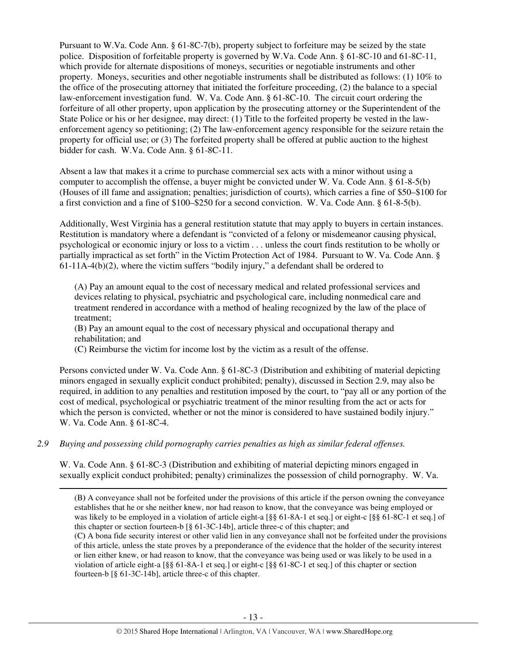Pursuant to W.Va. Code Ann. § 61-8C-7(b), property subject to forfeiture may be seized by the state police. Disposition of forfeitable property is governed by W.Va. Code Ann. § 61-8C-10 and 61-8C-11, which provide for alternate dispositions of moneys, securities or negotiable instruments and other property. Moneys, securities and other negotiable instruments shall be distributed as follows: (1) 10% to the office of the prosecuting attorney that initiated the forfeiture proceeding, (2) the balance to a special law-enforcement investigation fund. W. Va. Code Ann. § 61-8C-10. The circuit court ordering the forfeiture of all other property, upon application by the prosecuting attorney or the Superintendent of the State Police or his or her designee, may direct: (1) Title to the forfeited property be vested in the lawenforcement agency so petitioning; (2) The law-enforcement agency responsible for the seizure retain the property for official use; or (3) The forfeited property shall be offered at public auction to the highest bidder for cash. W.Va. Code Ann. § 61-8C-11.

Absent a law that makes it a crime to purchase commercial sex acts with a minor without using a computer to accomplish the offense, a buyer might be convicted under W. Va. Code Ann. § 61-8-5(b) (Houses of ill fame and assignation; penalties; jurisdiction of courts), which carries a fine of \$50–\$100 for a first conviction and a fine of \$100–\$250 for a second conviction. W. Va. Code Ann. § 61-8-5(b).

Additionally, West Virginia has a general restitution statute that may apply to buyers in certain instances. Restitution is mandatory where a defendant is "convicted of a felony or misdemeanor causing physical, psychological or economic injury or loss to a victim . . . unless the court finds restitution to be wholly or partially impractical as set forth" in the Victim Protection Act of 1984. Pursuant to W. Va. Code Ann. § 61-11A-4(b)(2), where the victim suffers "bodily injury," a defendant shall be ordered to

(A) Pay an amount equal to the cost of necessary medical and related professional services and devices relating to physical, psychiatric and psychological care, including nonmedical care and treatment rendered in accordance with a method of healing recognized by the law of the place of treatment;

(B) Pay an amount equal to the cost of necessary physical and occupational therapy and rehabilitation; and

(C) Reimburse the victim for income lost by the victim as a result of the offense.

Persons convicted under W. Va. Code Ann. § 61-8C-3 (Distribution and exhibiting of material depicting minors engaged in sexually explicit conduct prohibited; penalty), discussed in Section 2.9, may also be required, in addition to any penalties and restitution imposed by the court, to "pay all or any portion of the cost of medical, psychological or psychiatric treatment of the minor resulting from the act or acts for which the person is convicted, whether or not the minor is considered to have sustained bodily injury." W. Va. Code Ann. § 61-8C-4.

*2.9 Buying and possessing child pornography carries penalties as high as similar federal offenses.* 

 $\overline{a}$ 

W. Va. Code Ann. § 61-8C-3 (Distribution and exhibiting of material depicting minors engaged in sexually explicit conduct prohibited; penalty) criminalizes the possession of child pornography. W. Va.

of this article, unless the state proves by a preponderance of the evidence that the holder of the security interest or lien either knew, or had reason to know, that the conveyance was being used or was likely to be used in a violation of article eight-a [§§ 61-8A-1 et seq.] or eight-c [§§ 61-8C-1 et seq.] of this chapter or section fourteen-b [§ 61-3C-14b], article three-c of this chapter.

<sup>(</sup>B**)** A conveyance shall not be forfeited under the provisions of this article if the person owning the conveyance establishes that he or she neither knew, nor had reason to know, that the conveyance was being employed or was likely to be employed in a violation of article eight-a [§§ 61-8A-1 et seq.] or eight-c [§§ 61-8C-1 et seq.] of this chapter or section fourteen-b [§ 61-3C-14b], article three-c of this chapter; and (C**)** A bona fide security interest or other valid lien in any conveyance shall not be forfeited under the provisions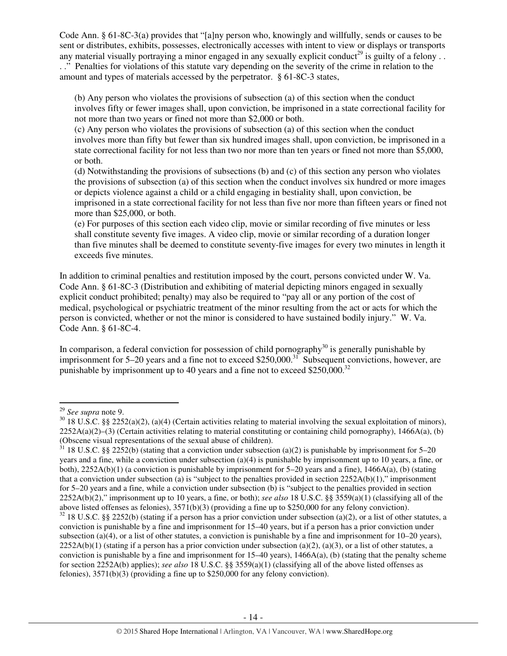Code Ann. § 61-8C-3(a) provides that "[a]ny person who, knowingly and willfully, sends or causes to be sent or distributes, exhibits, possesses, electronically accesses with intent to view or displays or transports any material visually portraying a minor engaged in any sexually explicit conduct<sup>29</sup> is guilty of a felony ... . ." Penalties for violations of this statute vary depending on the severity of the crime in relation to the amount and types of materials accessed by the perpetrator. § 61-8C-3 states,

(b) Any person who violates the provisions of subsection (a) of this section when the conduct involves fifty or fewer images shall, upon conviction, be imprisoned in a state correctional facility for not more than two years or fined not more than \$2,000 or both.

(c) Any person who violates the provisions of subsection (a) of this section when the conduct involves more than fifty but fewer than six hundred images shall, upon conviction, be imprisoned in a state correctional facility for not less than two nor more than ten years or fined not more than \$5,000, or both.

(d) Notwithstanding the provisions of subsections (b) and (c) of this section any person who violates the provisions of subsection (a) of this section when the conduct involves six hundred or more images or depicts violence against a child or a child engaging in bestiality shall, upon conviction, be imprisoned in a state correctional facility for not less than five nor more than fifteen years or fined not more than \$25,000, or both.

(e) For purposes of this section each video clip, movie or similar recording of five minutes or less shall constitute seventy five images. A video clip, movie or similar recording of a duration longer than five minutes shall be deemed to constitute seventy-five images for every two minutes in length it exceeds five minutes.

In addition to criminal penalties and restitution imposed by the court, persons convicted under W. Va. Code Ann. § 61-8C-3 (Distribution and exhibiting of material depicting minors engaged in sexually explicit conduct prohibited; penalty) may also be required to "pay all or any portion of the cost of medical, psychological or psychiatric treatment of the minor resulting from the act or acts for which the person is convicted, whether or not the minor is considered to have sustained bodily injury." W. Va. Code Ann. § 61-8C-4.

In comparison, a federal conviction for possession of child pornography<sup>30</sup> is generally punishable by imprisonment for  $5-20$  years and a fine not to exceed \$250,000.<sup>31</sup> Subsequent convictions, however, are punishable by imprisonment up to 40 years and a fine not to exceed \$250,000.<sup>32</sup>

<sup>29</sup> *See supra* note 9.

 $30\,18$  U.S.C. §§ 2252(a)(2), (a)(4) (Certain activities relating to material involving the sexual exploitation of minors),  $2252A(a)(2)$ –(3) (Certain activities relating to material constituting or containing child pornography), 1466A(a), (b) (Obscene visual representations of the sexual abuse of children).

 $31$  18 U.S.C. §§ 2252(b) (stating that a conviction under subsection (a)(2) is punishable by imprisonment for 5–20 years and a fine, while a conviction under subsection (a)(4) is punishable by imprisonment up to 10 years, a fine, or both),  $2252A(b)(1)$  (a conviction is punishable by imprisonment for 5–20 years and a fine),  $1466A(a)$ , (b) (stating that a conviction under subsection (a) is "subject to the penalties provided in section  $2252A(b)(1)$ ," imprisonment for 5–20 years and a fine, while a conviction under subsection (b) is "subject to the penalties provided in section 2252A(b)(2)," imprisonment up to 10 years, a fine, or both); *see also* 18 U.S.C. §§ 3559(a)(1) (classifying all of the above listed offenses as felonies), 3571(b)(3) (providing a fine up to \$250,000 for any felony conviction).

 $32$  18 U.S.C. §§ 2252(b) (stating if a person has a prior conviction under subsection (a)(2), or a list of other statutes, a conviction is punishable by a fine and imprisonment for 15–40 years, but if a person has a prior conviction under subsection (a)(4), or a list of other statutes, a conviction is punishable by a fine and imprisonment for  $10-20$  years),  $2252A(b)(1)$  (stating if a person has a prior conviction under subsection (a)(2), (a)(3), or a list of other statutes, a conviction is punishable by a fine and imprisonment for  $15-40$  years),  $1466A(a)$ , (b) (stating that the penalty scheme for section 2252A(b) applies); *see also* 18 U.S.C. §§ 3559(a)(1) (classifying all of the above listed offenses as felonies), 3571(b)(3) (providing a fine up to \$250,000 for any felony conviction).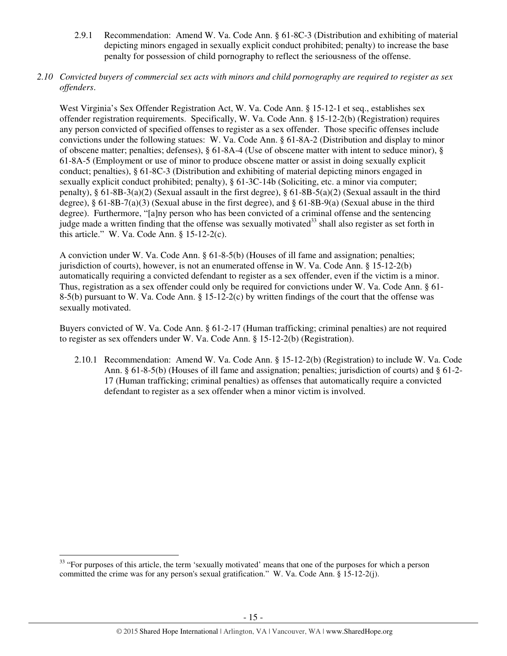- 2.9.1 Recommendation: Amend W. Va. Code Ann. § 61-8C-3 (Distribution and exhibiting of material depicting minors engaged in sexually explicit conduct prohibited; penalty) to increase the base penalty for possession of child pornography to reflect the seriousness of the offense.
- *2.10 Convicted buyers of commercial sex acts with minors and child pornography are required to register as sex offenders*.

West Virginia's Sex Offender Registration Act, W. Va. Code Ann. § 15-12-1 et seq., establishes sex offender registration requirements. Specifically, W. Va. Code Ann. § 15-12-2(b) (Registration) requires any person convicted of specified offenses to register as a sex offender. Those specific offenses include convictions under the following statues: W. Va. Code Ann. § 61-8A-2 (Distribution and display to minor of obscene matter; penalties; defenses), § 61-8A-4 (Use of obscene matter with intent to seduce minor), § 61-8A-5 (Employment or use of minor to produce obscene matter or assist in doing sexually explicit conduct; penalties), § 61-8C-3 (Distribution and exhibiting of material depicting minors engaged in sexually explicit conduct prohibited; penalty), § 61-3C-14b (Soliciting, etc. a minor via computer; penalty), § 61-8B-3(a)(2) (Sexual assault in the first degree), § 61-8B-5(a)(2) (Sexual assault in the third degree),  $\S$  61-8B-7(a)(3) (Sexual abuse in the first degree), and  $\S$  61-8B-9(a) (Sexual abuse in the third degree). Furthermore, "[a]ny person who has been convicted of a criminal offense and the sentencing judge made a written finding that the offense was sexually motivated<sup>33</sup> shall also register as set forth in this article." W. Va. Code Ann.  $\S 15-12-2(c)$ .

A conviction under W. Va. Code Ann. § 61-8-5(b) (Houses of ill fame and assignation; penalties; jurisdiction of courts), however, is not an enumerated offense in W. Va. Code Ann. § 15-12-2(b) automatically requiring a convicted defendant to register as a sex offender, even if the victim is a minor. Thus, registration as a sex offender could only be required for convictions under W. Va. Code Ann. § 61- 8-5(b) pursuant to W. Va. Code Ann. § 15-12-2(c) by written findings of the court that the offense was sexually motivated.

Buyers convicted of W. Va. Code Ann. § 61-2-17 (Human trafficking; criminal penalties) are not required to register as sex offenders under W. Va. Code Ann. § 15-12-2(b) (Registration).

2.10.1 Recommendation: Amend W. Va. Code Ann. § 15-12-2(b) (Registration) to include W. Va. Code Ann. § 61-8-5(b) (Houses of ill fame and assignation; penalties; jurisdiction of courts) and § 61-2- 17 (Human trafficking; criminal penalties) as offenses that automatically require a convicted defendant to register as a sex offender when a minor victim is involved.

l

<sup>&</sup>lt;sup>33</sup> "For purposes of this article, the term 'sexually motivated' means that one of the purposes for which a person committed the crime was for any person's sexual gratification." W. Va. Code Ann. § 15-12-2(j).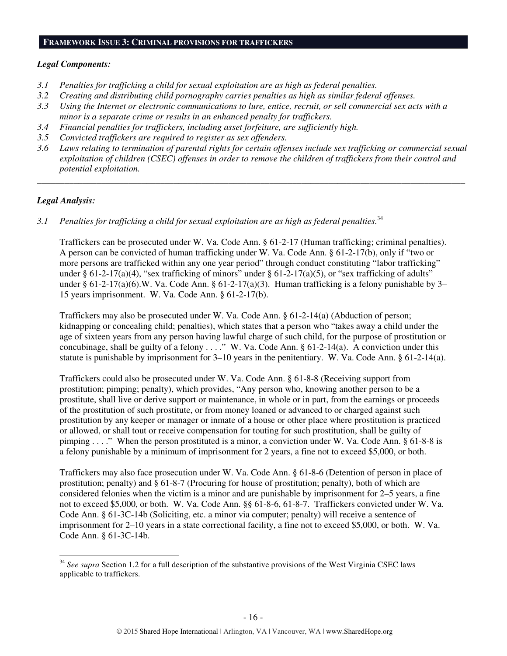#### **FRAMEWORK ISSUE 3: CRIMINAL PROVISIONS FOR TRAFFICKERS**

#### *Legal Components:*

- *3.1 Penalties for trafficking a child for sexual exploitation are as high as federal penalties.*
- *3.2 Creating and distributing child pornography carries penalties as high as similar federal offenses.*
- *3.3 Using the Internet or electronic communications to lure, entice, recruit, or sell commercial sex acts with a minor is a separate crime or results in an enhanced penalty for traffickers.*
- *3.4 Financial penalties for traffickers, including asset forfeiture, are sufficiently high.*
- *3.5 Convicted traffickers are required to register as sex offenders.*
- *3.6 Laws relating to termination of parental rights for certain offenses include sex trafficking or commercial sexual exploitation of children (CSEC) offenses in order to remove the children of traffickers from their control and potential exploitation.*

*\_\_\_\_\_\_\_\_\_\_\_\_\_\_\_\_\_\_\_\_\_\_\_\_\_\_\_\_\_\_\_\_\_\_\_\_\_\_\_\_\_\_\_\_\_\_\_\_\_\_\_\_\_\_\_\_\_\_\_\_\_\_\_\_\_\_\_\_\_\_\_\_\_\_\_\_\_\_\_\_\_\_\_\_\_\_\_\_\_\_\_\_\_\_* 

# *Legal Analysis:*

l

3.1 Penalties for trafficking a child for sexual exploitation are as high as federal penalties.<sup>34</sup>

Traffickers can be prosecuted under W. Va. Code Ann. § 61-2-17 (Human trafficking; criminal penalties). A person can be convicted of human trafficking under W. Va. Code Ann. § 61-2-17(b), only if "two or more persons are trafficked within any one year period" through conduct constituting "labor trafficking" under § 61-2-17(a)(4), "sex trafficking of minors" under § 61-2-17(a)(5), or "sex trafficking of adults" under § 61-2-17(a)(6).W. Va. Code Ann. § 61-2-17(a)(3). Human trafficking is a felony punishable by 3– 15 years imprisonment. W. Va. Code Ann. § 61-2-17(b).

Traffickers may also be prosecuted under W. Va. Code Ann. § 61-2-14(a) (Abduction of person; kidnapping or concealing child; penalties), which states that a person who "takes away a child under the age of sixteen years from any person having lawful charge of such child, for the purpose of prostitution or concubinage, shall be guilty of a felony  $\dots$ ." W. Va. Code Ann. § 61-2-14(a). A conviction under this statute is punishable by imprisonment for  $3-10$  years in the penitentiary. W. Va. Code Ann. § 61-2-14(a).

Traffickers could also be prosecuted under W. Va. Code Ann. § 61-8-8 (Receiving support from prostitution; pimping; penalty), which provides, "Any person who, knowing another person to be a prostitute, shall live or derive support or maintenance, in whole or in part, from the earnings or proceeds of the prostitution of such prostitute, or from money loaned or advanced to or charged against such prostitution by any keeper or manager or inmate of a house or other place where prostitution is practiced or allowed, or shall tout or receive compensation for touting for such prostitution, shall be guilty of pimping . . . ." When the person prostituted is a minor, a conviction under W. Va. Code Ann. § 61-8-8 is a felony punishable by a minimum of imprisonment for 2 years, a fine not to exceed \$5,000, or both.

Traffickers may also face prosecution under W. Va. Code Ann. § 61-8-6 (Detention of person in place of prostitution; penalty) and § 61-8-7 (Procuring for house of prostitution; penalty), both of which are considered felonies when the victim is a minor and are punishable by imprisonment for 2–5 years, a fine not to exceed \$5,000, or both. W. Va. Code Ann. §§ 61-8-6, 61-8-7. Traffickers convicted under W. Va. Code Ann. § 61-3C-14b (Soliciting, etc. a minor via computer; penalty) will receive a sentence of imprisonment for 2–10 years in a state correctional facility, a fine not to exceed \$5,000, or both. W. Va. Code Ann. § 61-3C-14b.

<sup>&</sup>lt;sup>34</sup> See supra Section 1.2 for a full description of the substantive provisions of the West Virginia CSEC laws applicable to traffickers.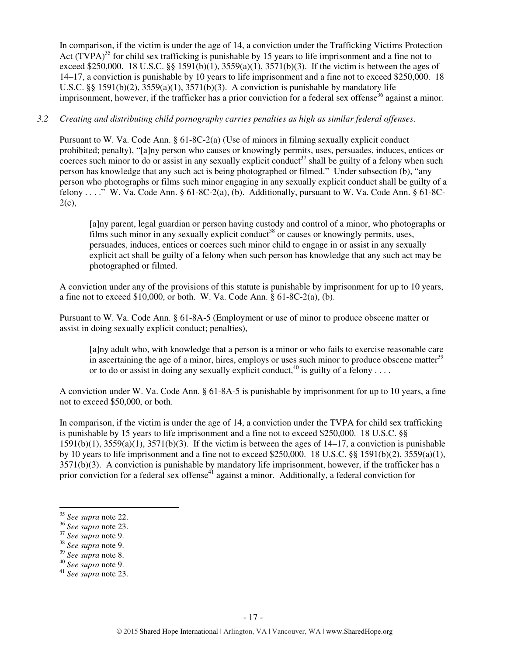In comparison, if the victim is under the age of 14, a conviction under the Trafficking Victims Protection Act  $(TVPA)^{35}$  for child sex trafficking is punishable by 15 years to life imprisonment and a fine not to exceed \$250,000. 18 U.S.C. §§ 1591(b)(1),  $3559(a)(1)$ ,  $3571(b)(3)$ . If the victim is between the ages of 14–17, a conviction is punishable by 10 years to life imprisonment and a fine not to exceed \$250,000. 18 U.S.C. §§ 1591(b)(2),  $3559(a)(1)$ ,  $3571(b)(3)$ . A conviction is punishable by mandatory life imprisonment, however, if the trafficker has a prior conviction for a federal sex offense<sup>36</sup> against a minor.

#### *3.2 Creating and distributing child pornography carries penalties as high as similar federal offenses*.

Pursuant to W. Va. Code Ann. § 61-8C-2(a) (Use of minors in filming sexually explicit conduct prohibited; penalty), "[a]ny person who causes or knowingly permits, uses, persuades, induces, entices or coerces such minor to do or assist in any sexually explicit conduct<sup>37</sup> shall be guilty of a felony when such person has knowledge that any such act is being photographed or filmed." Under subsection (b), "any person who photographs or films such minor engaging in any sexually explicit conduct shall be guilty of a felony . . . ." W. Va. Code Ann. § 61-8C-2(a), (b). Additionally, pursuant to W. Va. Code Ann. § 61-8C- $2(c)$ ,

[a]ny parent, legal guardian or person having custody and control of a minor, who photographs or films such minor in any sexually explicit conduct<sup>38</sup> or causes or knowingly permits, uses, persuades, induces, entices or coerces such minor child to engage in or assist in any sexually explicit act shall be guilty of a felony when such person has knowledge that any such act may be photographed or filmed.

A conviction under any of the provisions of this statute is punishable by imprisonment for up to 10 years, a fine not to exceed  $$10,000$ , or both. W. Va. Code Ann.  $§ 61-8C-2(a)$ , (b).

Pursuant to W. Va. Code Ann. § 61-8A-5 (Employment or use of minor to produce obscene matter or assist in doing sexually explicit conduct; penalties),

[a]ny adult who, with knowledge that a person is a minor or who fails to exercise reasonable care in ascertaining the age of a minor, hires, employs or uses such minor to produce obscene matter<sup>39</sup> or to do or assist in doing any sexually explicit conduct,  $^{40}$  is guilty of a felony ...

A conviction under W. Va. Code Ann. § 61-8A-5 is punishable by imprisonment for up to 10 years, a fine not to exceed \$50,000, or both.

In comparison, if the victim is under the age of 14, a conviction under the TVPA for child sex trafficking is punishable by 15 years to life imprisonment and a fine not to exceed \$250,000. 18 U.S.C. §§  $1591(b)(1)$ ,  $3559(a)(1)$ ,  $3571(b)(3)$ . If the victim is between the ages of  $14-17$ , a conviction is punishable by 10 years to life imprisonment and a fine not to exceed \$250,000. 18 U.S.C. §§ 1591(b)(2), 3559(a)(1), 3571(b)(3). A conviction is punishable by mandatory life imprisonment, however, if the trafficker has a prior conviction for a federal sex offense<sup>41</sup> against a minor. Additionally, a federal conviction for

- <sup>39</sup> *See supra* note 8.
- <sup>40</sup> *See supra* note 9.

<sup>35</sup> *See supra* note 22.

<sup>36</sup> *See supra* note 23.

<sup>37</sup> *See supra* note 9.

<sup>38</sup> *See supra* note 9.

<sup>41</sup> *See supra* note 23.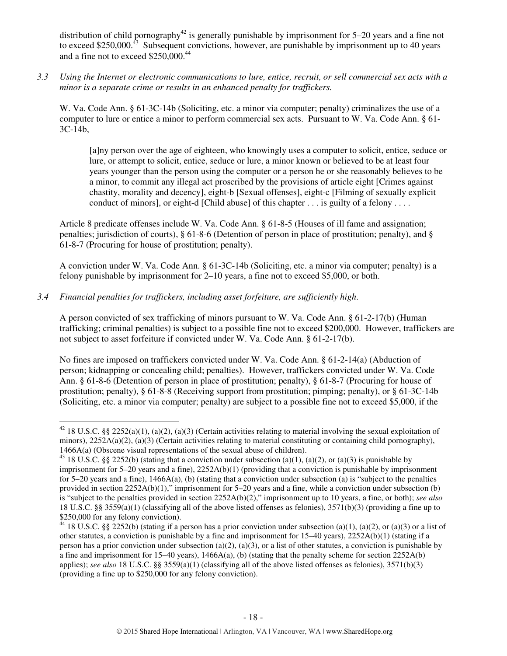distribution of child pornography<sup>42</sup> is generally punishable by imprisonment for  $5-20$  years and a fine not to exceed \$250,000.<sup>43</sup> Subsequent convictions, however, are punishable by imprisonment up to 40 years and a fine not to exceed \$250,000.<sup>44</sup>

*3.3 Using the Internet or electronic communications to lure, entice, recruit, or sell commercial sex acts with a minor is a separate crime or results in an enhanced penalty for traffickers.* 

W. Va. Code Ann. § 61-3C-14b (Soliciting, etc. a minor via computer; penalty) criminalizes the use of a computer to lure or entice a minor to perform commercial sex acts. Pursuant to W. Va. Code Ann. § 61- 3C-14b,

[a]ny person over the age of eighteen, who knowingly uses a computer to solicit, entice, seduce or lure, or attempt to solicit, entice, seduce or lure, a minor known or believed to be at least four years younger than the person using the computer or a person he or she reasonably believes to be a minor, to commit any illegal act proscribed by the provisions of article eight [Crimes against chastity, morality and decency], eight-b [Sexual offenses], eight-c [Filming of sexually explicit conduct of minors], or eight-d [Child abuse] of this chapter . . . is guilty of a felony . . . .

Article 8 predicate offenses include W. Va. Code Ann. § 61-8-5 (Houses of ill fame and assignation; penalties; jurisdiction of courts), § 61-8-6 (Detention of person in place of prostitution; penalty), and § 61-8-7 (Procuring for house of prostitution; penalty).

A conviction under W. Va. Code Ann. § 61-3C-14b (Soliciting, etc. a minor via computer; penalty) is a felony punishable by imprisonment for 2–10 years, a fine not to exceed \$5,000, or both.

*3.4 Financial penalties for traffickers, including asset forfeiture, are sufficiently high*.

l

A person convicted of sex trafficking of minors pursuant to W. Va. Code Ann. § 61-2-17(b) (Human trafficking; criminal penalties) is subject to a possible fine not to exceed \$200,000. However, traffickers are not subject to asset forfeiture if convicted under W. Va. Code Ann. § 61-2-17(b).

No fines are imposed on traffickers convicted under W. Va. Code Ann. § 61-2-14(a) (Abduction of person; kidnapping or concealing child; penalties). However, traffickers convicted under W. Va. Code Ann. § 61-8-6 (Detention of person in place of prostitution; penalty), § 61-8-7 (Procuring for house of prostitution; penalty), § 61-8-8 (Receiving support from prostitution; pimping; penalty), or § 61-3C-14b (Soliciting, etc. a minor via computer; penalty) are subject to a possible fine not to exceed \$5,000, if the

<sup>&</sup>lt;sup>42</sup> 18 U.S.C. §§ 2252(a)(1), (a)(2), (a)(3) (Certain activities relating to material involving the sexual exploitation of minors),  $2252A(a)(2)$ ,  $(a)(3)$  (Certain activities relating to material constituting or containing child pornography), 1466A(a) (Obscene visual representations of the sexual abuse of children).

<sup>&</sup>lt;sup>43</sup> 18 U.S.C. §§ 2252(b) (stating that a conviction under subsection (a)(1), (a)(2), or (a)(3) is punishable by imprisonment for 5–20 years and a fine), 2252A(b)(1) (providing that a conviction is punishable by imprisonment for 5–20 years and a fine),  $1466A(a)$ , (b) (stating that a conviction under subsection (a) is "subject to the penalties provided in section 2252A(b)(1)," imprisonment for 5–20 years and a fine, while a conviction under subsection (b) is "subject to the penalties provided in section 2252A(b)(2)," imprisonment up to 10 years, a fine, or both); *see also*  18 U.S.C. §§ 3559(a)(1) (classifying all of the above listed offenses as felonies), 3571(b)(3) (providing a fine up to \$250,000 for any felony conviction).

<sup>&</sup>lt;sup>44</sup> 18 U.S.C. §§ 2252(b) (stating if a person has a prior conviction under subsection (a)(1), (a)(2), or (a)(3) or a list of other statutes, a conviction is punishable by a fine and imprisonment for 15–40 years), 2252A(b)(1) (stating if a person has a prior conviction under subsection (a)(2), (a)(3), or a list of other statutes, a conviction is punishable by a fine and imprisonment for 15–40 years),  $1466A(a)$ , (b) (stating that the penalty scheme for section 2252A(b) applies); *see also* 18 U.S.C. §§ 3559(a)(1) (classifying all of the above listed offenses as felonies), 3571(b)(3) (providing a fine up to \$250,000 for any felony conviction).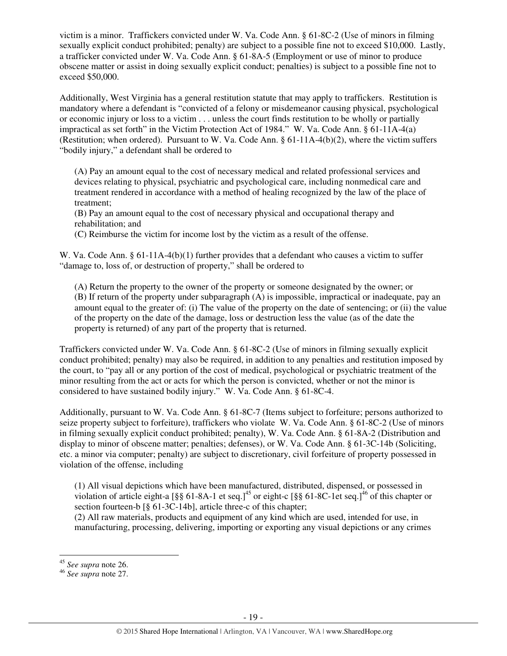victim is a minor. Traffickers convicted under W. Va. Code Ann. § 61-8C-2 (Use of minors in filming sexually explicit conduct prohibited; penalty) are subject to a possible fine not to exceed \$10,000. Lastly, a trafficker convicted under W. Va. Code Ann. § 61-8A-5 (Employment or use of minor to produce obscene matter or assist in doing sexually explicit conduct; penalties) is subject to a possible fine not to exceed \$50,000.

Additionally, West Virginia has a general restitution statute that may apply to traffickers. Restitution is mandatory where a defendant is "convicted of a felony or misdemeanor causing physical, psychological or economic injury or loss to a victim . . . unless the court finds restitution to be wholly or partially impractical as set forth" in the Victim Protection Act of 1984." W. Va. Code Ann. § 61-11A-4(a) (Restitution; when ordered). Pursuant to W. Va. Code Ann. § 61-11A-4(b)(2), where the victim suffers "bodily injury," a defendant shall be ordered to

(A) Pay an amount equal to the cost of necessary medical and related professional services and devices relating to physical, psychiatric and psychological care, including nonmedical care and treatment rendered in accordance with a method of healing recognized by the law of the place of treatment;

(B) Pay an amount equal to the cost of necessary physical and occupational therapy and rehabilitation; and

(C) Reimburse the victim for income lost by the victim as a result of the offense.

W. Va. Code Ann. § 61-11A-4(b)(1) further provides that a defendant who causes a victim to suffer "damage to, loss of, or destruction of property," shall be ordered to

(A) Return the property to the owner of the property or someone designated by the owner; or (B) If return of the property under subparagraph (A) is impossible, impractical or inadequate, pay an amount equal to the greater of: (i) The value of the property on the date of sentencing; or (ii) the value of the property on the date of the damage, loss or destruction less the value (as of the date the property is returned) of any part of the property that is returned.

Traffickers convicted under W. Va. Code Ann. § 61-8C-2 (Use of minors in filming sexually explicit conduct prohibited; penalty) may also be required, in addition to any penalties and restitution imposed by the court, to "pay all or any portion of the cost of medical, psychological or psychiatric treatment of the minor resulting from the act or acts for which the person is convicted, whether or not the minor is considered to have sustained bodily injury." W. Va. Code Ann. § 61-8C-4.

Additionally, pursuant to W. Va. Code Ann. § 61-8C-7 (Items subject to forfeiture; persons authorized to seize property subject to forfeiture), traffickers who violate W. Va. Code Ann. § 61-8C-2 (Use of minors in filming sexually explicit conduct prohibited; penalty), W. Va. Code Ann. § 61-8A-2 (Distribution and display to minor of obscene matter; penalties; defenses), or W. Va. Code Ann. § 61-3C-14b (Soliciting, etc. a minor via computer; penalty) are subject to discretionary, civil forfeiture of property possessed in violation of the offense, including

(1) All visual depictions which have been manufactured, distributed, dispensed, or possessed in violation of article eight-a  $\lceil \S \S 61-8A-1 \rangle$  et seq.]<sup>45</sup> or eight-c  $\lceil \S \S 61-8C-1 \rangle$  et seq.]<sup>46</sup> of this chapter or section fourteen-b [§ 61-3C-14b], article three-c of this chapter;

(2) All raw materials, products and equipment of any kind which are used, intended for use, in manufacturing, processing, delivering, importing or exporting any visual depictions or any crimes

l

<sup>45</sup> *See supra* note 26.

<sup>46</sup> *See supra* note 27.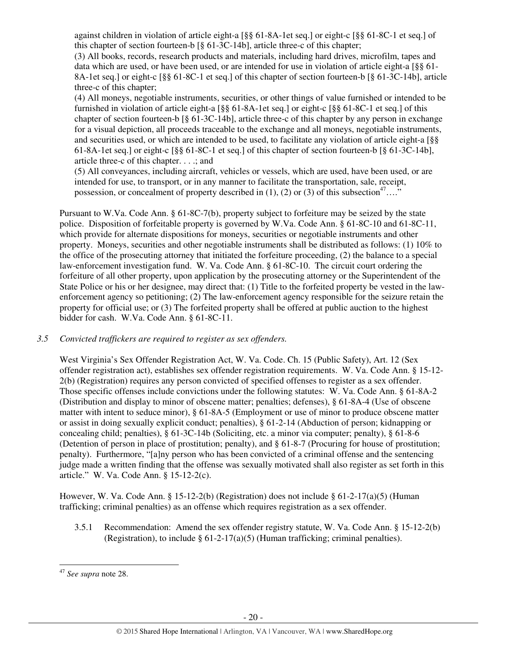against children in violation of article eight-a [§§ 61-8A-1et seq.] or eight-c [§§ 61-8C-1 et seq.] of this chapter of section fourteen-b [§ 61-3C-14b], article three-c of this chapter;

(3) All books, records, research products and materials, including hard drives, microfilm, tapes and data which are used, or have been used, or are intended for use in violation of article eight-a [§§ 61- 8A-1et seq.] or eight-c [§§ 61-8C-1 et seq.] of this chapter of section fourteen-b [§ 61-3C-14b], article three-c of this chapter;

(4) All moneys, negotiable instruments, securities, or other things of value furnished or intended to be furnished in violation of article eight-a [§§ 61-8A-1et seq.] or eight-c [§§ 61-8C-1 et seq.] of this chapter of section fourteen-b [§ 61-3C-14b], article three-c of this chapter by any person in exchange for a visual depiction, all proceeds traceable to the exchange and all moneys, negotiable instruments, and securities used, or which are intended to be used, to facilitate any violation of article eight-a [§§ 61-8A-1et seq.] or eight-c [§§ 61-8C-1 et seq.] of this chapter of section fourteen-b [§ 61-3C-14b], article three-c of this chapter. . . .; and

(5) All conveyances, including aircraft, vehicles or vessels, which are used, have been used, or are intended for use, to transport, or in any manner to facilitate the transportation, sale, receipt, possession, or concealment of property described in (1), (2) or (3) of this subsection<sup>47</sup>…."

Pursuant to W.Va. Code Ann. § 61-8C-7(b), property subject to forfeiture may be seized by the state police. Disposition of forfeitable property is governed by W.Va. Code Ann. § 61-8C-10 and 61-8C-11, which provide for alternate dispositions for moneys, securities or negotiable instruments and other property. Moneys, securities and other negotiable instruments shall be distributed as follows: (1) 10% to the office of the prosecuting attorney that initiated the forfeiture proceeding, (2) the balance to a special law-enforcement investigation fund. W. Va. Code Ann. § 61-8C-10. The circuit court ordering the forfeiture of all other property, upon application by the prosecuting attorney or the Superintendent of the State Police or his or her designee, may direct that: (1) Title to the forfeited property be vested in the lawenforcement agency so petitioning; (2) The law-enforcement agency responsible for the seizure retain the property for official use; or (3) The forfeited property shall be offered at public auction to the highest bidder for cash. W.Va. Code Ann. § 61-8C-11.

# *3.5 Convicted traffickers are required to register as sex offenders.*

West Virginia's Sex Offender Registration Act, W. Va. Code. Ch. 15 (Public Safety), Art. 12 (Sex offender registration act), establishes sex offender registration requirements. W. Va. Code Ann. § 15-12- 2(b) (Registration) requires any person convicted of specified offenses to register as a sex offender. Those specific offenses include convictions under the following statutes: W. Va. Code Ann. § 61-8A-2 (Distribution and display to minor of obscene matter; penalties; defenses), § 61-8A-4 (Use of obscene matter with intent to seduce minor), § 61-8A-5 (Employment or use of minor to produce obscene matter or assist in doing sexually explicit conduct; penalties), § 61-2-14 (Abduction of person; kidnapping or concealing child; penalties), § 61-3C-14b (Soliciting, etc. a minor via computer; penalty), § 61-8-6 (Detention of person in place of prostitution; penalty), and § 61-8-7 (Procuring for house of prostitution; penalty). Furthermore, "[a]ny person who has been convicted of a criminal offense and the sentencing judge made a written finding that the offense was sexually motivated shall also register as set forth in this article." W. Va. Code Ann. § 15-12-2(c).

However, W. Va. Code Ann. § 15-12-2(b) (Registration) does not include § 61-2-17(a)(5) (Human trafficking; criminal penalties) as an offense which requires registration as a sex offender.

3.5.1 Recommendation: Amend the sex offender registry statute, W. Va. Code Ann. § 15-12-2(b) (Registration), to include  $\S 61-2-17(a)(5)$  (Human trafficking; criminal penalties).

<sup>47</sup> *See supra* note 28.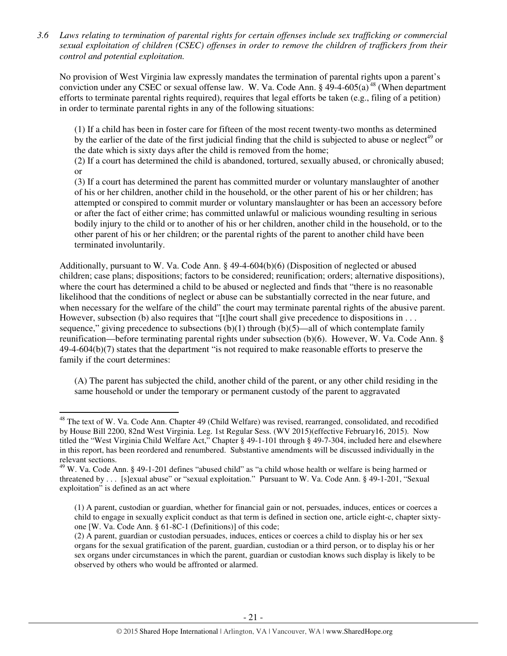*3.6 Laws relating to termination of parental rights for certain offenses include sex trafficking or commercial sexual exploitation of children (CSEC) offenses in order to remove the children of traffickers from their control and potential exploitation.* 

No provision of West Virginia law expressly mandates the termination of parental rights upon a parent's conviction under any CSEC or sexual offense law. W. Va. Code Ann. §  $49-4-605(a)^{48}$  (When department efforts to terminate parental rights required), requires that legal efforts be taken (e.g., filing of a petition) in order to terminate parental rights in any of the following situations:

(1) If a child has been in foster care for fifteen of the most recent twenty-two months as determined by the earlier of the date of the first judicial finding that the child is subjected to abuse or neglect<sup>49</sup> or the date which is sixty days after the child is removed from the home;

(2) If a court has determined the child is abandoned, tortured, sexually abused, or chronically abused; or

(3) If a court has determined the parent has committed murder or voluntary manslaughter of another of his or her children, another child in the household, or the other parent of his or her children; has attempted or conspired to commit murder or voluntary manslaughter or has been an accessory before or after the fact of either crime; has committed unlawful or malicious wounding resulting in serious bodily injury to the child or to another of his or her children, another child in the household, or to the other parent of his or her children; or the parental rights of the parent to another child have been terminated involuntarily.

Additionally, pursuant to W. Va. Code Ann. § 49-4-604(b)(6) (Disposition of neglected or abused children; case plans; dispositions; factors to be considered; reunification; orders; alternative dispositions), where the court has determined a child to be abused or neglected and finds that "there is no reasonable likelihood that the conditions of neglect or abuse can be substantially corrected in the near future, and when necessary for the welfare of the child" the court may terminate parental rights of the abusive parent. However, subsection (b) also requires that "[t]he court shall give precedence to dispositions in  $\dots$ sequence," giving precedence to subsections  $(b)(1)$  through  $(b)(5)$ —all of which contemplate family reunification—before terminating parental rights under subsection (b)(6). However, W. Va. Code Ann. § 49-4-604(b)(7) states that the department "is not required to make reasonable efforts to preserve the family if the court determines:

(A) The parent has subjected the child, another child of the parent, or any other child residing in the same household or under the temporary or permanent custody of the parent to aggravated

<sup>&</sup>lt;sup>48</sup> The text of W. Va. Code Ann. Chapter 49 (Child Welfare) was revised, rearranged, consolidated, and recodified by House Bill 2200, 82nd West Virginia. Leg. 1st Regular Sess. (WV 2015)(effective February16, 2015). Now titled the "West Virginia Child Welfare Act," Chapter § 49-1-101 through § 49-7-304, included here and elsewhere in this report, has been reordered and renumbered. Substantive amendments will be discussed individually in the relevant sections.

<sup>&</sup>lt;sup>49</sup> W. Va. Code Ann. § 49-1-201 defines "abused child" as "a child whose health or welfare is being harmed or threatened by . . . [s]exual abuse" or "sexual exploitation." Pursuant to W. Va. Code Ann. § 49-1-201, "Sexual exploitation" is defined as an act where

<sup>(1)</sup> A parent, custodian or guardian, whether for financial gain or not, persuades, induces, entices or coerces a child to engage in sexually explicit conduct as that term is defined in section one, article eight-c, chapter sixtyone [W. Va. Code Ann. § 61-8C-1 (Definitions)] of this code;

<sup>(2)</sup> A parent, guardian or custodian persuades, induces, entices or coerces a child to display his or her sex organs for the sexual gratification of the parent, guardian, custodian or a third person, or to display his or her sex organs under circumstances in which the parent, guardian or custodian knows such display is likely to be observed by others who would be affronted or alarmed.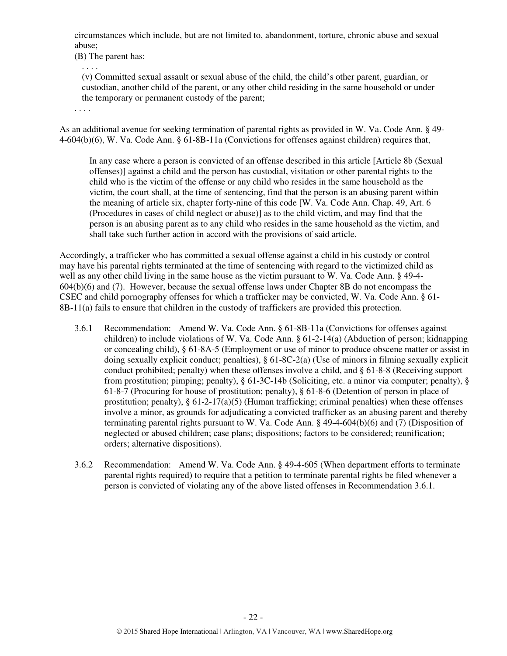circumstances which include, but are not limited to, abandonment, torture, chronic abuse and sexual abuse;

(B) The parent has:

. . . .

(v) Committed sexual assault or sexual abuse of the child, the child's other parent, guardian, or custodian, another child of the parent, or any other child residing in the same household or under the temporary or permanent custody of the parent;

. . . .

As an additional avenue for seeking termination of parental rights as provided in W. Va. Code Ann. § 49- 4-604(b)(6), W. Va. Code Ann. § 61-8B-11a (Convictions for offenses against children) requires that,

In any case where a person is convicted of an offense described in this article [Article 8b (Sexual offenses)] against a child and the person has custodial, visitation or other parental rights to the child who is the victim of the offense or any child who resides in the same household as the victim, the court shall, at the time of sentencing, find that the person is an abusing parent within the meaning of article six, chapter forty-nine of this code [W. Va. Code Ann. Chap. 49, Art. 6 (Procedures in cases of child neglect or abuse)] as to the child victim, and may find that the person is an abusing parent as to any child who resides in the same household as the victim, and shall take such further action in accord with the provisions of said article.

Accordingly, a trafficker who has committed a sexual offense against a child in his custody or control may have his parental rights terminated at the time of sentencing with regard to the victimized child as well as any other child living in the same house as the victim pursuant to W. Va. Code Ann. § 49-4- 604(b)(6) and (7). However, because the sexual offense laws under Chapter 8B do not encompass the CSEC and child pornography offenses for which a trafficker may be convicted, W. Va. Code Ann. § 61- 8B-11(a) fails to ensure that children in the custody of traffickers are provided this protection.

- 3.6.1 Recommendation: Amend W. Va. Code Ann. § 61-8B-11a (Convictions for offenses against children) to include violations of W. Va. Code Ann. § 61-2-14(a) (Abduction of person; kidnapping or concealing child), § 61-8A-5 (Employment or use of minor to produce obscene matter or assist in doing sexually explicit conduct; penalties), § 61-8C-2(a) (Use of minors in filming sexually explicit conduct prohibited; penalty) when these offenses involve a child, and § 61-8-8 (Receiving support from prostitution; pimping; penalty), § 61-3C-14b (Soliciting, etc. a minor via computer; penalty), § 61-8-7 (Procuring for house of prostitution; penalty), § 61-8-6 (Detention of person in place of prostitution; penalty),  $\S 61-2-17(a)(5)$  (Human trafficking; criminal penalties) when these offenses involve a minor, as grounds for adjudicating a convicted trafficker as an abusing parent and thereby terminating parental rights pursuant to W. Va. Code Ann. § 49-4-604(b)(6) and (7) (Disposition of neglected or abused children; case plans; dispositions; factors to be considered; reunification; orders; alternative dispositions).
- 3.6.2 Recommendation: Amend W. Va. Code Ann. § 49-4-605 (When department efforts to terminate parental rights required) to require that a petition to terminate parental rights be filed whenever a person is convicted of violating any of the above listed offenses in Recommendation 3.6.1.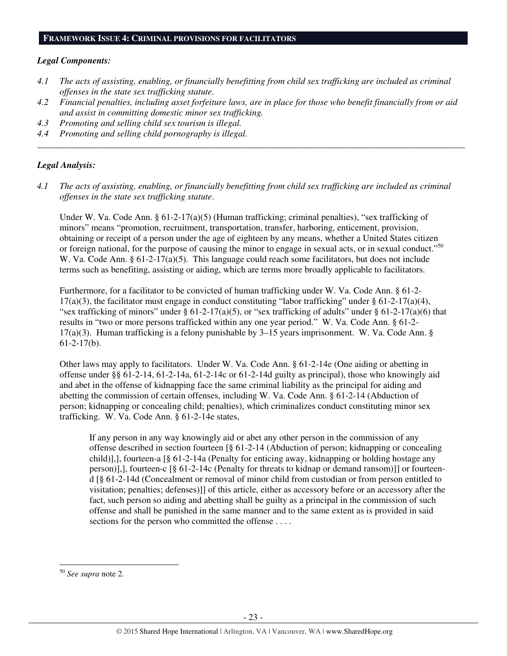#### **FRAMEWORK ISSUE 4: CRIMINAL PROVISIONS FOR FACILITATORS**

#### *Legal Components:*

- *4.1 The acts of assisting, enabling, or financially benefitting from child sex trafficking are included as criminal offenses in the state sex trafficking statute.*
- *4.2 Financial penalties, including asset forfeiture laws, are in place for those who benefit financially from or aid and assist in committing domestic minor sex trafficking.*

*\_\_\_\_\_\_\_\_\_\_\_\_\_\_\_\_\_\_\_\_\_\_\_\_\_\_\_\_\_\_\_\_\_\_\_\_\_\_\_\_\_\_\_\_\_\_\_\_\_\_\_\_\_\_\_\_\_\_\_\_\_\_\_\_\_\_\_\_\_\_\_\_\_\_\_\_\_\_\_\_\_\_\_\_\_\_\_\_\_\_\_\_\_\_* 

- *4.3 Promoting and selling child sex tourism is illegal.*
- *4.4 Promoting and selling child pornography is illegal.*

#### *Legal Analysis:*

*4.1 The acts of assisting, enabling, or financially benefitting from child sex trafficking are included as criminal offenses in the state sex trafficking statute*.

Under W. Va. Code Ann. §  $61-2-17(a)(5)$  (Human trafficking; criminal penalties), "sex trafficking of minors" means "promotion, recruitment, transportation, transfer, harboring, enticement, provision, obtaining or receipt of a person under the age of eighteen by any means, whether a United States citizen or foreign national, for the purpose of causing the minor to engage in sexual acts, or in sexual conduct."<sup>50</sup> W. Va. Code Ann. § 61-2-17(a)(5). This language could reach some facilitators, but does not include terms such as benefiting, assisting or aiding, which are terms more broadly applicable to facilitators.

Furthermore, for a facilitator to be convicted of human trafficking under W. Va. Code Ann. § 61-2- 17(a)(3), the facilitator must engage in conduct constituting "labor trafficking" under  $\S$  61-2-17(a)(4), "sex trafficking of minors" under  $\S 61-2-17(a)(5)$ , or "sex trafficking of adults" under  $\S 61-2-17(a)(6)$  that results in "two or more persons trafficked within any one year period." W. Va. Code Ann. § 61-2- 17(a)(3). Human trafficking is a felony punishable by 3–15 years imprisonment. W. Va. Code Ann. § 61-2-17(b).

Other laws may apply to facilitators. Under W. Va. Code Ann. § 61-2-14e (One aiding or abetting in offense under §§ 61-2-14, 61-2-14a, 61-2-14c or 61-2-14d guilty as principal), those who knowingly aid and abet in the offense of kidnapping face the same criminal liability as the principal for aiding and abetting the commission of certain offenses, including W. Va. Code Ann. § 61-2-14 (Abduction of person; kidnapping or concealing child; penalties), which criminalizes conduct constituting minor sex trafficking. W. Va. Code Ann. § 61-2-14e states,

If any person in any way knowingly aid or abet any other person in the commission of any offense described in section fourteen [§ 61-2-14 (Abduction of person; kidnapping or concealing child)],], fourteen-a [§ 61-2-14a (Penalty for enticing away, kidnapping or holding hostage any person)],], fourteen-c [§ 61-2-14c (Penalty for threats to kidnap or demand ransom)]] or fourteend [§ 61-2-14d (Concealment or removal of minor child from custodian or from person entitled to visitation; penalties; defenses)]] of this article, either as accessory before or an accessory after the fact, such person so aiding and abetting shall be guilty as a principal in the commission of such offense and shall be punished in the same manner and to the same extent as is provided in said sections for the person who committed the offense . . . .

<sup>50</sup> *See supra* note 2.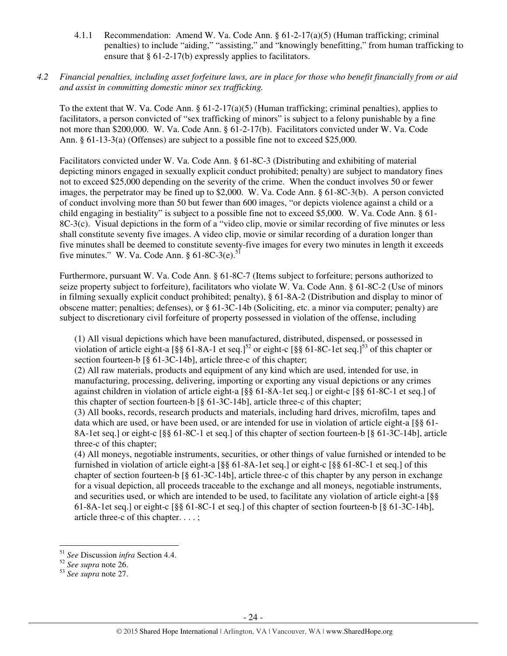- 4.1.1 Recommendation: Amend W. Va. Code Ann. § 61-2-17(a)(5) (Human trafficking; criminal penalties) to include "aiding," "assisting," and "knowingly benefitting," from human trafficking to ensure that § 61-2-17(b) expressly applies to facilitators.
- *4.2 Financial penalties, including asset forfeiture laws, are in place for those who benefit financially from or aid and assist in committing domestic minor sex trafficking.*

To the extent that W. Va. Code Ann.  $\S 61-2-17(a)(5)$  (Human trafficking; criminal penalties), applies to facilitators, a person convicted of "sex trafficking of minors" is subject to a felony punishable by a fine not more than \$200,000. W. Va. Code Ann. § 61-2-17(b). Facilitators convicted under W. Va. Code Ann. § 61-13-3(a) (Offenses) are subject to a possible fine not to exceed \$25,000.

Facilitators convicted under W. Va. Code Ann. § 61-8C-3 (Distributing and exhibiting of material depicting minors engaged in sexually explicit conduct prohibited; penalty) are subject to mandatory fines not to exceed \$25,000 depending on the severity of the crime. When the conduct involves 50 or fewer images, the perpetrator may be fined up to \$2,000. W. Va. Code Ann. § 61-8C-3(b). A person convicted of conduct involving more than 50 but fewer than 600 images, "or depicts violence against a child or a child engaging in bestiality" is subject to a possible fine not to exceed \$5,000. W. Va. Code Ann. § 61- 8C-3(c). Visual depictions in the form of a "video clip, movie or similar recording of five minutes or less shall constitute seventy five images. A video clip, movie or similar recording of a duration longer than five minutes shall be deemed to constitute seventy-five images for every two minutes in length it exceeds five minutes." W. Va. Code Ann.  $\S 61-8C-3(e)$ .<sup>51</sup>

Furthermore, pursuant W. Va. Code Ann. § 61-8C-7 (Items subject to forfeiture; persons authorized to seize property subject to forfeiture), facilitators who violate W. Va. Code Ann. § 61-8C-2 (Use of minors in filming sexually explicit conduct prohibited; penalty), § 61-8A-2 (Distribution and display to minor of obscene matter; penalties; defenses), or § 61-3C-14b (Soliciting, etc. a minor via computer; penalty) are subject to discretionary civil forfeiture of property possessed in violation of the offense, including

(1) All visual depictions which have been manufactured, distributed, dispensed, or possessed in violation of article eight-a  $\lceil \frac{8}{5} \rceil$  61-8A-1 et seq.]<sup>52</sup> or eight-c  $\lceil \frac{8}{5} \rceil$  61-8C-1 et seq.]<sup>53</sup> of this chapter or section fourteen-b [§ 61-3C-14b], article three-c of this chapter;

(2) All raw materials, products and equipment of any kind which are used, intended for use, in manufacturing, processing, delivering, importing or exporting any visual depictions or any crimes against children in violation of article eight-a [§§ 61-8A-1et seq.] or eight-c [§§ 61-8C-1 et seq.] of this chapter of section fourteen-b [§ 61-3C-14b], article three-c of this chapter;

(3) All books, records, research products and materials, including hard drives, microfilm, tapes and data which are used, or have been used, or are intended for use in violation of article eight-a [§§ 61- 8A-1et seq.] or eight-c [§§ 61-8C-1 et seq.] of this chapter of section fourteen-b [§ 61-3C-14b], article three-c of this chapter;

(4) All moneys, negotiable instruments, securities, or other things of value furnished or intended to be furnished in violation of article eight-a [§§ 61-8A-1et seq.] or eight-c [§§ 61-8C-1 et seq.] of this chapter of section fourteen-b [§ 61-3C-14b], article three-c of this chapter by any person in exchange for a visual depiction, all proceeds traceable to the exchange and all moneys, negotiable instruments, and securities used, or which are intended to be used, to facilitate any violation of article eight-a [§§ 61-8A-1et seq.] or eight-c [§§ 61-8C-1 et seq.] of this chapter of section fourteen-b [§ 61-3C-14b], article three-c of this chapter. . . . ;

<sup>51</sup> *See* Discussion *infra* Section 4.4.

<sup>52</sup> *See supra* note 26.

<sup>53</sup> *See supra* note 27.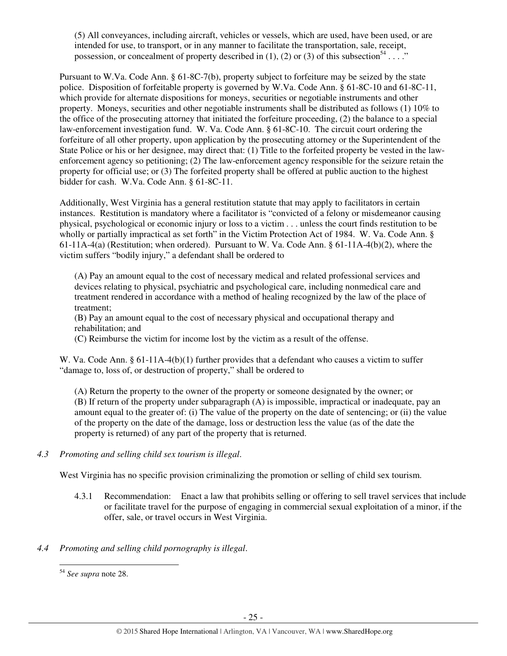(5) All conveyances, including aircraft, vehicles or vessels, which are used, have been used, or are intended for use, to transport, or in any manner to facilitate the transportation, sale, receipt, possession, or concealment of property described in (1), (2) or (3) of this subsection<sup>54</sup> . . . ."

Pursuant to W.Va. Code Ann. § 61-8C-7(b), property subject to forfeiture may be seized by the state police. Disposition of forfeitable property is governed by W.Va. Code Ann. § 61-8C-10 and 61-8C-11, which provide for alternate dispositions for moneys, securities or negotiable instruments and other property. Moneys, securities and other negotiable instruments shall be distributed as follows (1) 10% to the office of the prosecuting attorney that initiated the forfeiture proceeding, (2) the balance to a special law-enforcement investigation fund. W. Va. Code Ann. § 61-8C-10. The circuit court ordering the forfeiture of all other property, upon application by the prosecuting attorney or the Superintendent of the State Police or his or her designee, may direct that: (1) Title to the forfeited property be vested in the lawenforcement agency so petitioning; (2) The law-enforcement agency responsible for the seizure retain the property for official use; or (3) The forfeited property shall be offered at public auction to the highest bidder for cash. W.Va. Code Ann. § 61-8C-11.

Additionally, West Virginia has a general restitution statute that may apply to facilitators in certain instances. Restitution is mandatory where a facilitator is "convicted of a felony or misdemeanor causing physical, psychological or economic injury or loss to a victim . . . unless the court finds restitution to be wholly or partially impractical as set forth" in the Victim Protection Act of 1984. W. Va. Code Ann. § 61-11A-4(a) (Restitution; when ordered). Pursuant to W. Va. Code Ann.  $\S 61$ -11A-4(b)(2), where the victim suffers "bodily injury," a defendant shall be ordered to

(A) Pay an amount equal to the cost of necessary medical and related professional services and devices relating to physical, psychiatric and psychological care, including nonmedical care and treatment rendered in accordance with a method of healing recognized by the law of the place of treatment;

(B) Pay an amount equal to the cost of necessary physical and occupational therapy and rehabilitation; and

(C) Reimburse the victim for income lost by the victim as a result of the offense.

W. Va. Code Ann. § 61-11A-4(b)(1) further provides that a defendant who causes a victim to suffer "damage to, loss of, or destruction of property," shall be ordered to

(A) Return the property to the owner of the property or someone designated by the owner; or (B) If return of the property under subparagraph (A) is impossible, impractical or inadequate, pay an amount equal to the greater of: (i) The value of the property on the date of sentencing; or (ii) the value of the property on the date of the damage, loss or destruction less the value (as of the date the property is returned) of any part of the property that is returned.

# *4.3 Promoting and selling child sex tourism is illegal*.

West Virginia has no specific provision criminalizing the promotion or selling of child sex tourism.

- 4.3.1 Recommendation: Enact a law that prohibits selling or offering to sell travel services that include or facilitate travel for the purpose of engaging in commercial sexual exploitation of a minor, if the offer, sale, or travel occurs in West Virginia.
- *4.4 Promoting and selling child pornography is illegal*.

l

<sup>54</sup> *See supra* note 28.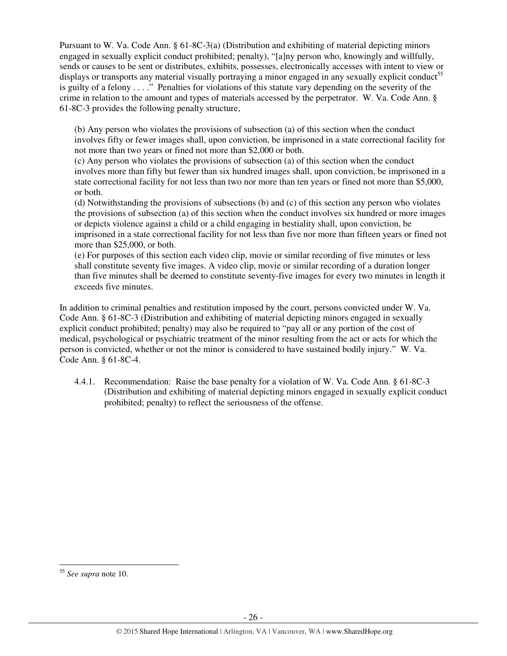Pursuant to W. Va. Code Ann. § 61-8C-3(a) (Distribution and exhibiting of material depicting minors engaged in sexually explicit conduct prohibited; penalty), "[a]ny person who, knowingly and willfully, sends or causes to be sent or distributes, exhibits, possesses, electronically accesses with intent to view or displays or transports any material visually portraying a minor engaged in any sexually explicit conduct<sup>55</sup> is guilty of a felony . . . ." Penalties for violations of this statute vary depending on the severity of the crime in relation to the amount and types of materials accessed by the perpetrator. W. Va. Code Ann. § 61-8C-3 provides the following penalty structure,

(b) Any person who violates the provisions of subsection (a) of this section when the conduct involves fifty or fewer images shall, upon conviction, be imprisoned in a state correctional facility for not more than two years or fined not more than \$2,000 or both.

(c) Any person who violates the provisions of subsection (a) of this section when the conduct involves more than fifty but fewer than six hundred images shall, upon conviction, be imprisoned in a state correctional facility for not less than two nor more than ten years or fined not more than \$5,000, or both.

(d) Notwithstanding the provisions of subsections (b) and (c) of this section any person who violates the provisions of subsection (a) of this section when the conduct involves six hundred or more images or depicts violence against a child or a child engaging in bestiality shall, upon conviction, be imprisoned in a state correctional facility for not less than five nor more than fifteen years or fined not more than \$25,000, or both.

(e) For purposes of this section each video clip, movie or similar recording of five minutes or less shall constitute seventy five images. A video clip, movie or similar recording of a duration longer than five minutes shall be deemed to constitute seventy-five images for every two minutes in length it exceeds five minutes.

In addition to criminal penalties and restitution imposed by the court, persons convicted under W. Va. Code Ann. § 61-8C-3 (Distribution and exhibiting of material depicting minors engaged in sexually explicit conduct prohibited; penalty) may also be required to "pay all or any portion of the cost of medical, psychological or psychiatric treatment of the minor resulting from the act or acts for which the person is convicted, whether or not the minor is considered to have sustained bodily injury." W. Va. Code Ann. § 61-8C-4.

4.4.1. Recommendation: Raise the base penalty for a violation of W. Va. Code Ann. § 61-8C-3 (Distribution and exhibiting of material depicting minors engaged in sexually explicit conduct prohibited; penalty) to reflect the seriousness of the offense.

<sup>55</sup> *See supra* note 10.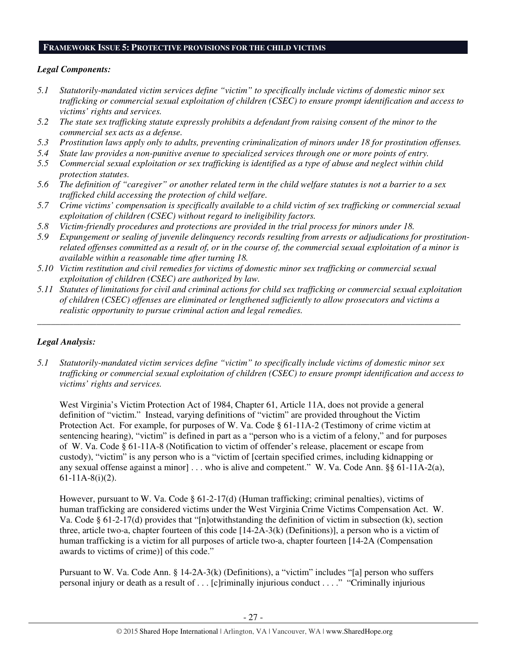#### **FRAMEWORK ISSUE 5: PROTECTIVE PROVISIONS FOR THE CHILD VICTIMS**

## *Legal Components:*

- *5.1 Statutorily-mandated victim services define "victim" to specifically include victims of domestic minor sex trafficking or commercial sexual exploitation of children (CSEC) to ensure prompt identification and access to victims' rights and services.*
- *5.2 The state sex trafficking statute expressly prohibits a defendant from raising consent of the minor to the commercial sex acts as a defense.*
- *5.3 Prostitution laws apply only to adults, preventing criminalization of minors under 18 for prostitution offenses.*
- *5.4 State law provides a non-punitive avenue to specialized services through one or more points of entry.*
- *5.5 Commercial sexual exploitation or sex trafficking is identified as a type of abuse and neglect within child protection statutes.*
- *5.6 The definition of "caregiver" or another related term in the child welfare statutes is not a barrier to a sex trafficked child accessing the protection of child welfare.*
- *5.7 Crime victims' compensation is specifically available to a child victim of sex trafficking or commercial sexual exploitation of children (CSEC) without regard to ineligibility factors.*
- *5.8 Victim-friendly procedures and protections are provided in the trial process for minors under 18.*
- *5.9 Expungement or sealing of juvenile delinquency records resulting from arrests or adjudications for prostitutionrelated offenses committed as a result of, or in the course of, the commercial sexual exploitation of a minor is available within a reasonable time after turning 18.*
- *5.10 Victim restitution and civil remedies for victims of domestic minor sex trafficking or commercial sexual exploitation of children (CSEC) are authorized by law.*
- *5.11 Statutes of limitations for civil and criminal actions for child sex trafficking or commercial sexual exploitation of children (CSEC) offenses are eliminated or lengthened sufficiently to allow prosecutors and victims a realistic opportunity to pursue criminal action and legal remedies.*

*\_\_\_\_\_\_\_\_\_\_\_\_\_\_\_\_\_\_\_\_\_\_\_\_\_\_\_\_\_\_\_\_\_\_\_\_\_\_\_\_\_\_\_\_\_\_\_\_\_\_\_\_\_\_\_\_\_\_\_\_\_\_\_\_\_\_\_\_\_\_\_\_\_\_\_\_\_\_\_\_\_\_\_\_\_\_\_\_\_\_\_\_\_* 

# *Legal Analysis:*

*5.1 Statutorily-mandated victim services define "victim" to specifically include victims of domestic minor sex trafficking or commercial sexual exploitation of children (CSEC) to ensure prompt identification and access to victims' rights and services.*

West Virginia's Victim Protection Act of 1984, Chapter 61, Article 11A, does not provide a general definition of "victim." Instead, varying definitions of "victim" are provided throughout the Victim Protection Act. For example, for purposes of W. Va. Code § 61-11A-2 (Testimony of crime victim at sentencing hearing), "victim" is defined in part as a "person who is a victim of a felony," and for purposes of W. Va. Code § 61-11A-8 (Notification to victim of offender's release, placement or escape from custody), "victim" is any person who is a "victim of [certain specified crimes, including kidnapping or any sexual offense against a minor] . . . who is alive and competent." W. Va. Code Ann. §§ 61-11A-2(a), 61-11A-8(i)(2).

However, pursuant to W. Va. Code § 61-2-17(d) (Human trafficking; criminal penalties), victims of human trafficking are considered victims under the West Virginia Crime Victims Compensation Act. W. Va. Code § 61-2-17(d) provides that "[n]otwithstanding the definition of victim in subsection (k), section three, article two-a, chapter fourteen of this code  $[14-2A-3(k)$  (Definitions)], a person who is a victim of human trafficking is a victim for all purposes of article two-a, chapter fourteen [14-2A (Compensation awards to victims of crime)] of this code."

Pursuant to W. Va. Code Ann. § 14-2A-3(k) (Definitions), a "victim" includes "[a] person who suffers personal injury or death as a result of . . . [c]riminally injurious conduct . . . ." "Criminally injurious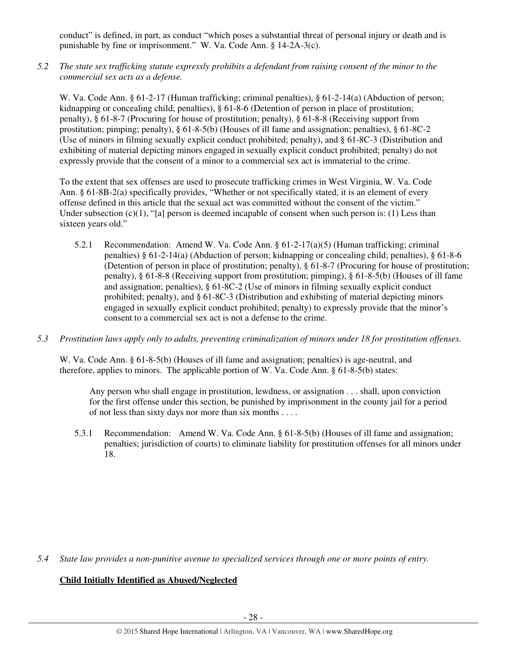conduct" is defined, in part, as conduct "which poses a substantial threat of personal injury or death and is punishable by fine or imprisonment." W. Va. Code Ann. § 14-2A-3(c).

*5.2 The state sex trafficking statute expressly prohibits a defendant from raising consent of the minor to the commercial sex acts as a defense.* 

W. Va. Code Ann. § 61-2-17 (Human trafficking; criminal penalties), § 61-2-14(a) (Abduction of person; kidnapping or concealing child; penalties), § 61-8-6 (Detention of person in place of prostitution; penalty), § 61-8-7 (Procuring for house of prostitution; penalty), § 61-8-8 (Receiving support from prostitution; pimping; penalty), § 61-8-5(b) (Houses of ill fame and assignation; penalties), § 61-8C-2 (Use of minors in filming sexually explicit conduct prohibited; penalty), and § 61-8C-3 (Distribution and exhibiting of material depicting minors engaged in sexually explicit conduct prohibited; penalty) do not expressly provide that the consent of a minor to a commercial sex act is immaterial to the crime.

To the extent that sex offenses are used to prosecute trafficking crimes in West Virginia, W. Va. Code Ann. § 61-8B-2(a) specifically provides, "Whether or not specifically stated, it is an element of every offense defined in this article that the sexual act was committed without the consent of the victim." Under subsection  $(c)(1)$ , "[a] person is deemed incapable of consent when such person is: (1) Less than sixteen years old."

- 5.2.1 Recommendation: Amend W. Va. Code Ann. § 61-2-17(a)(5) (Human trafficking; criminal penalties) § 61-2-14(a) (Abduction of person; kidnapping or concealing child; penalties), § 61-8-6 (Detention of person in place of prostitution; penalty), § 61-8-7 (Procuring for house of prostitution; penalty), § 61-8-8 (Receiving support from prostitution; pimping), § 61-8-5(b) (Houses of ill fame and assignation; penalties), § 61-8C-2 (Use of minors in filming sexually explicit conduct prohibited; penalty), and § 61-8C-3 (Distribution and exhibiting of material depicting minors engaged in sexually explicit conduct prohibited; penalty) to expressly provide that the minor's consent to a commercial sex act is not a defense to the crime.
- *5.3 Prostitution laws apply only to adults, preventing criminalization of minors under 18 for prostitution offenses.*

W. Va. Code Ann. § 61-8-5(b) (Houses of ill fame and assignation; penalties) is age-neutral, and therefore, applies to minors. The applicable portion of W. Va. Code Ann. § 61-8-5(b) states:

Any person who shall engage in prostitution, lewdness, or assignation . . . shall, upon conviction for the first offense under this section, be punished by imprisonment in the county jail for a period of not less than sixty days nor more than six months . . . .

5.3.1 Recommendation: Amend W. Va. Code Ann. § 61-8-5(b) (Houses of ill fame and assignation; penalties; jurisdiction of courts) to eliminate liability for prostitution offenses for all minors under 18.

*5.4 State law provides a non-punitive avenue to specialized services through one or more points of entry.* 

# **Child Initially Identified as Abused/Neglected**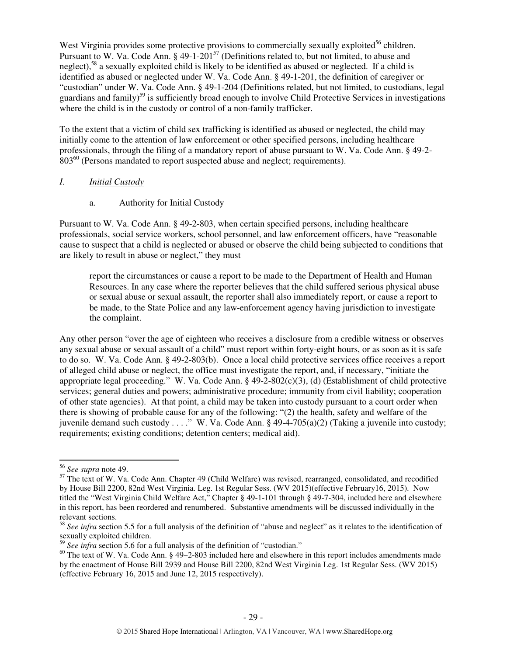West Virginia provides some protective provisions to commercially sexually exploited $56$  children. Pursuant to W. Va. Code Ann. § 49-1-201<sup>57</sup> (Definitions related to, but not limited, to abuse and neglect),<sup>58</sup> a sexually exploited child is likely to be identified as abused or neglected. If a child is identified as abused or neglected under W. Va. Code Ann. § 49-1-201, the definition of caregiver or "custodian" under W. Va. Code Ann. § 49-1-204 (Definitions related, but not limited, to custodians, legal guardians and family)<sup>59</sup> is sufficiently broad enough to involve Child Protective Services in investigations where the child is in the custody or control of a non-family trafficker.

To the extent that a victim of child sex trafficking is identified as abused or neglected, the child may initially come to the attention of law enforcement or other specified persons, including healthcare professionals, through the filing of a mandatory report of abuse pursuant to W. Va. Code Ann. § 49-2- 803<sup>60</sup> (Persons mandated to report suspected abuse and neglect; requirements).

### *I. Initial Custody*

### a. Authority for Initial Custody

Pursuant to W. Va. Code Ann. § 49-2-803, when certain specified persons, including healthcare professionals, social service workers, school personnel, and law enforcement officers, have "reasonable cause to suspect that a child is neglected or abused or observe the child being subjected to conditions that are likely to result in abuse or neglect," they must

report the circumstances or cause a report to be made to the Department of Health and Human Resources. In any case where the reporter believes that the child suffered serious physical abuse or sexual abuse or sexual assault, the reporter shall also immediately report, or cause a report to be made, to the State Police and any law-enforcement agency having jurisdiction to investigate the complaint.

Any other person "over the age of eighteen who receives a disclosure from a credible witness or observes any sexual abuse or sexual assault of a child" must report within forty-eight hours, or as soon as it is safe to do so. W. Va. Code Ann. § 49-2-803(b). Once a local child protective services office receives a report of alleged child abuse or neglect, the office must investigate the report, and, if necessary, "initiate the appropriate legal proceeding." W. Va. Code Ann. § 49-2-802(c)(3), (d) (Establishment of child protective services; general duties and powers; administrative procedure; immunity from civil liability; cooperation of other state agencies). At that point, a child may be taken into custody pursuant to a court order when there is showing of probable cause for any of the following: "(2) the health, safety and welfare of the juvenile demand such custody . . . ." W. Va. Code Ann. § 49-4-705(a)(2) (Taking a juvenile into custody; requirements; existing conditions; detention centers; medical aid).

<sup>56</sup> *See supra* note 49.

<sup>&</sup>lt;sup>57</sup> The text of W. Va. Code Ann. Chapter 49 (Child Welfare) was revised, rearranged, consolidated, and recodified by House Bill 2200, 82nd West Virginia. Leg. 1st Regular Sess. (WV 2015)(effective February16, 2015). Now titled the "West Virginia Child Welfare Act," Chapter § 49-1-101 through § 49-7-304, included here and elsewhere in this report, has been reordered and renumbered. Substantive amendments will be discussed individually in the relevant sections.

<sup>58</sup> *See infra* section 5.5 for a full analysis of the definition of "abuse and neglect" as it relates to the identification of sexually exploited children.

<sup>59</sup> *See infra* section 5.6 for a full analysis of the definition of "custodian."

 $60$  The text of W. Va. Code Ann. § 49–2-803 included here and elsewhere in this report includes amendments made by the enactment of House Bill 2939 and House Bill 2200, 82nd West Virginia Leg. 1st Regular Sess. (WV 2015) (effective February 16, 2015 and June 12, 2015 respectively).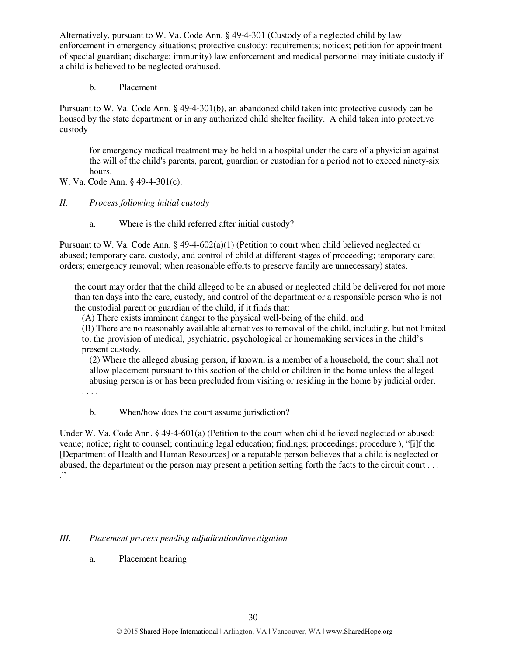Alternatively, pursuant to W. Va. Code Ann. § 49-4-301 (Custody of a neglected child by law enforcement in emergency situations; protective custody; requirements; notices; petition for appointment of special guardian; discharge; immunity) law enforcement and medical personnel may initiate custody if a child is believed to be neglected orabused.

b. Placement

Pursuant to W. Va. Code Ann. § 49-4-301(b), an abandoned child taken into protective custody can be housed by the state department or in any authorized child shelter facility. A child taken into protective custody

for emergency medical treatment may be held in a hospital under the care of a physician against the will of the child's parents, parent, guardian or custodian for a period not to exceed ninety-six hours.

W. Va. Code Ann. § 49-4-301(c).

# *II. Process following initial custody*

a. Where is the child referred after initial custody?

Pursuant to W. Va. Code Ann. § 49-4-602(a)(1) (Petition to court when child believed neglected or abused; temporary care, custody, and control of child at different stages of proceeding; temporary care; orders; emergency removal; when reasonable efforts to preserve family are unnecessary) states,

the court may order that the child alleged to be an abused or neglected child be delivered for not more than ten days into the care, custody, and control of the department or a responsible person who is not the custodial parent or guardian of the child, if it finds that:

(A) There exists imminent danger to the physical well-being of the child; and

(B) There are no reasonably available alternatives to removal of the child, including, but not limited to, the provision of medical, psychiatric, psychological or homemaking services in the child's present custody.

(2) Where the alleged abusing person, if known, is a member of a household, the court shall not allow placement pursuant to this section of the child or children in the home unless the alleged abusing person is or has been precluded from visiting or residing in the home by judicial order.

. . . .

b. When/how does the court assume jurisdiction?

Under W. Va. Code Ann. § 49-4-601(a) (Petition to the court when child believed neglected or abused; venue; notice; right to counsel; continuing legal education; findings; proceedings; procedure ), "[i]f the [Department of Health and Human Resources] or a reputable person believes that a child is neglected or abused, the department or the person may present a petition setting forth the facts to the circuit court . . . ."

# *III. Placement process pending adjudication/investigation*

a. Placement hearing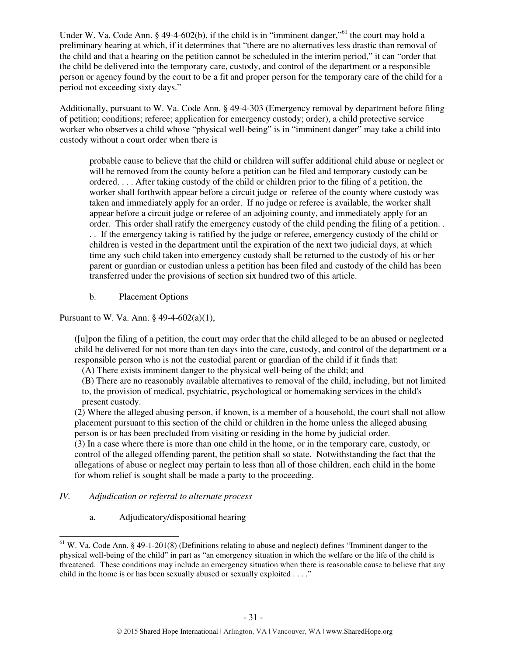Under W. Va. Code Ann. § 49-4-602(b), if the child is in "imminent danger,"<sup>61</sup> the court may hold a preliminary hearing at which, if it determines that "there are no alternatives less drastic than removal of the child and that a hearing on the petition cannot be scheduled in the interim period," it can "order that the child be delivered into the temporary care, custody, and control of the department or a responsible person or agency found by the court to be a fit and proper person for the temporary care of the child for a period not exceeding sixty days."

Additionally, pursuant to W. Va. Code Ann. § 49-4-303 (Emergency removal by department before filing of petition; conditions; referee; application for emergency custody; order), a child protective service worker who observes a child whose "physical well-being" is in "imminent danger" may take a child into custody without a court order when there is

probable cause to believe that the child or children will suffer additional child abuse or neglect or will be removed from the county before a petition can be filed and temporary custody can be ordered. . . . After taking custody of the child or children prior to the filing of a petition, the worker shall forthwith appear before a circuit judge or referee of the county where custody was taken and immediately apply for an order. If no judge or referee is available, the worker shall appear before a circuit judge or referee of an adjoining county, and immediately apply for an order. This order shall ratify the emergency custody of the child pending the filing of a petition. . . . If the emergency taking is ratified by the judge or referee, emergency custody of the child or children is vested in the department until the expiration of the next two judicial days, at which time any such child taken into emergency custody shall be returned to the custody of his or her parent or guardian or custodian unless a petition has been filed and custody of the child has been transferred under the provisions of section six hundred two of this article.

b. Placement Options

Pursuant to W. Va. Ann. § 49-4-602(a)(1),

([u]pon the filing of a petition, the court may order that the child alleged to be an abused or neglected child be delivered for not more than ten days into the care, custody, and control of the department or a responsible person who is not the custodial parent or guardian of the child if it finds that:

- (A) There exists imminent danger to the physical well-being of the child; and
- (B) There are no reasonably available alternatives to removal of the child, including, but not limited

to, the provision of medical, psychiatric, psychological or homemaking services in the child's present custody.

(2) Where the alleged abusing person, if known, is a member of a household, the court shall not allow placement pursuant to this section of the child or children in the home unless the alleged abusing person is or has been precluded from visiting or residing in the home by judicial order.

(3) In a case where there is more than one child in the home, or in the temporary care, custody, or control of the alleged offending parent, the petition shall so state. Notwithstanding the fact that the allegations of abuse or neglect may pertain to less than all of those children, each child in the home for whom relief is sought shall be made a party to the proceeding.

# *IV. Adjudication or referral to alternate process*

 $\overline{a}$ 

a. Adjudicatory/dispositional hearing

 $61$  W. Va. Code Ann. § 49-1-201(8) (Definitions relating to abuse and neglect) defines "Imminent danger to the physical well-being of the child" in part as "an emergency situation in which the welfare or the life of the child is threatened. These conditions may include an emergency situation when there is reasonable cause to believe that any child in the home is or has been sexually abused or sexually exploited . . . ."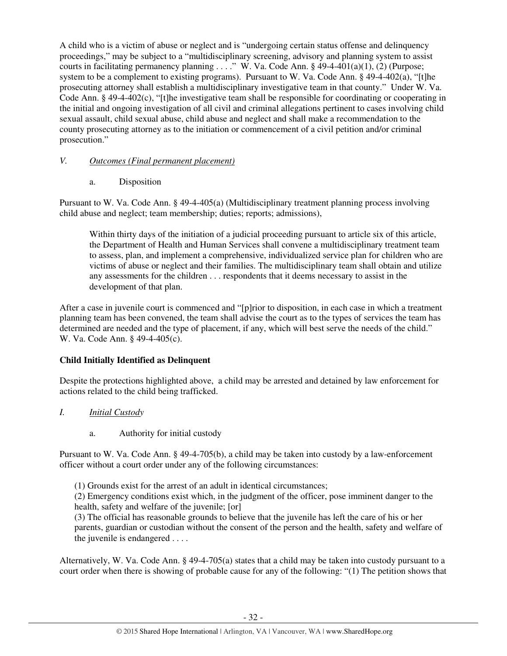A child who is a victim of abuse or neglect and is "undergoing certain status offense and delinquency proceedings," may be subject to a "multidisciplinary screening, advisory and planning system to assist courts in facilitating permanency planning . . . ." W. Va. Code Ann. § 49-4-401(a)(1), (2) (Purpose; system to be a complement to existing programs). Pursuant to W. Va. Code Ann. § 49-4-402(a), "[t]he prosecuting attorney shall establish a multidisciplinary investigative team in that county." Under W. Va. Code Ann. § 49-4-402(c), "[t]he investigative team shall be responsible for coordinating or cooperating in the initial and ongoing investigation of all civil and criminal allegations pertinent to cases involving child sexual assault, child sexual abuse, child abuse and neglect and shall make a recommendation to the county prosecuting attorney as to the initiation or commencement of a civil petition and/or criminal prosecution."

# *V. Outcomes (Final permanent placement)*

a. Disposition

Pursuant to W. Va. Code Ann. § 49-4-405(a) (Multidisciplinary treatment planning process involving child abuse and neglect; team membership; duties; reports; admissions),

Within thirty days of the initiation of a judicial proceeding pursuant to article six of this article, the Department of Health and Human Services shall convene a multidisciplinary treatment team to assess, plan, and implement a comprehensive, individualized service plan for children who are victims of abuse or neglect and their families. The multidisciplinary team shall obtain and utilize any assessments for the children . . . respondents that it deems necessary to assist in the development of that plan.

After a case in juvenile court is commenced and "[p]rior to disposition, in each case in which a treatment planning team has been convened, the team shall advise the court as to the types of services the team has determined are needed and the type of placement, if any, which will best serve the needs of the child." W. Va. Code Ann. § 49-4-405(c).

# **Child Initially Identified as Delinquent**

Despite the protections highlighted above, a child may be arrested and detained by law enforcement for actions related to the child being trafficked.

- *I. Initial Custody* 
	- a. Authority for initial custody

Pursuant to W. Va. Code Ann. § 49-4-705(b), a child may be taken into custody by a law-enforcement officer without a court order under any of the following circumstances:

(1) Grounds exist for the arrest of an adult in identical circumstances;

(2) Emergency conditions exist which, in the judgment of the officer, pose imminent danger to the health, safety and welfare of the juvenile; [or]

(3) The official has reasonable grounds to believe that the juvenile has left the care of his or her parents, guardian or custodian without the consent of the person and the health, safety and welfare of the juvenile is endangered . . . .

Alternatively, W. Va. Code Ann. § 49-4-705(a) states that a child may be taken into custody pursuant to a court order when there is showing of probable cause for any of the following: "(1) The petition shows that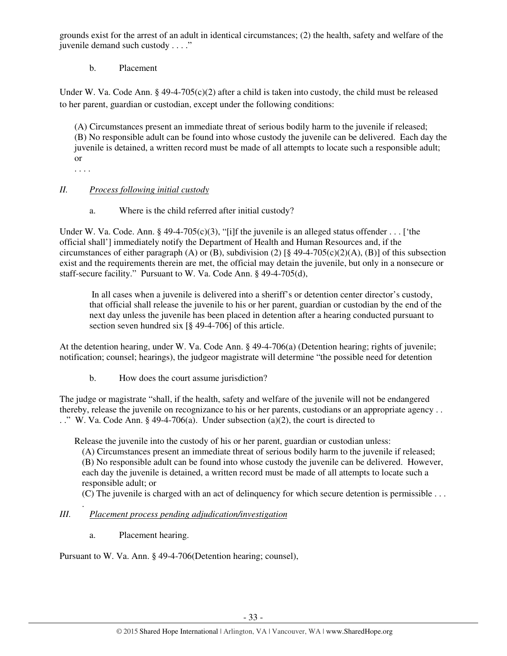grounds exist for the arrest of an adult in identical circumstances; (2) the health, safety and welfare of the juvenile demand such custody . . . ."

# b. Placement

Under W. Va. Code Ann. § 49-4-705 $(c)(2)$  after a child is taken into custody, the child must be released to her parent, guardian or custodian, except under the following conditions:

(A) Circumstances present an immediate threat of serious bodily harm to the juvenile if released; (B) No responsible adult can be found into whose custody the juvenile can be delivered. Each day the juvenile is detained, a written record must be made of all attempts to locate such a responsible adult; or

. . . .

# *II. Process following initial custody*

a. Where is the child referred after initial custody?

Under W. Va. Code. Ann. § 49-4-705(c)(3), "[i]f the juvenile is an alleged status offender . . . ['the official shall'] immediately notify the Department of Health and Human Resources and, if the circumstances of either paragraph (A) or (B), subdivision (2)  $\lceil \S 49-4-705(c)(2)(A), (B) \rceil$  of this subsection exist and the requirements therein are met, the official may detain the juvenile, but only in a nonsecure or staff-secure facility." Pursuant to W. Va. Code Ann. § 49-4-705(d),

 In all cases when a juvenile is delivered into a sheriff's or detention center director's custody, that official shall release the juvenile to his or her parent, guardian or custodian by the end of the next day unless the juvenile has been placed in detention after a hearing conducted pursuant to section seven hundred six [§ 49-4-706] of this article.

At the detention hearing, under W. Va. Code Ann. § 49-4-706(a) (Detention hearing; rights of juvenile; notification; counsel; hearings), the judgeor magistrate will determine "the possible need for detention

b. How does the court assume jurisdiction?

The judge or magistrate "shall, if the health, safety and welfare of the juvenile will not be endangered thereby, release the juvenile on recognizance to his or her parents, custodians or an appropriate agency . . . ." W. Va. Code Ann. § 49-4-706(a). Under subsection (a)(2), the court is directed to

Release the juvenile into the custody of his or her parent, guardian or custodian unless:

(A) Circumstances present an immediate threat of serious bodily harm to the juvenile if released; (B) No responsible adult can be found into whose custody the juvenile can be delivered. However, each day the juvenile is detained, a written record must be made of all attempts to locate such a responsible adult; or

(C) The juvenile is charged with an act of delinquency for which secure detention is permissible . . .

#### . *III. Placement process pending adjudication/investigation*

a. Placement hearing.

Pursuant to W. Va. Ann. § 49-4-706(Detention hearing; counsel),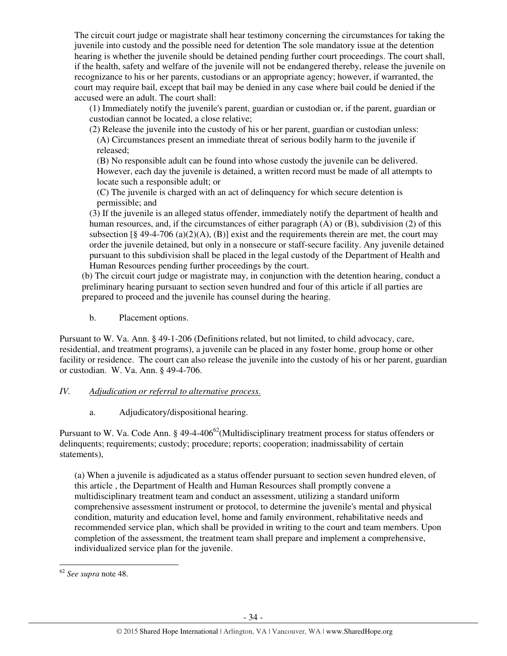The circuit court judge or magistrate shall hear testimony concerning the circumstances for taking the juvenile into custody and the possible need for detention The sole mandatory issue at the detention hearing is whether the juvenile should be detained pending further court proceedings. The court shall, if the health, safety and welfare of the juvenile will not be endangered thereby, release the juvenile on recognizance to his or her parents, custodians or an appropriate agency; however, if warranted, the court may require bail, except that bail may be denied in any case where bail could be denied if the accused were an adult. The court shall:

(1) Immediately notify the juvenile's parent, guardian or custodian or, if the parent, guardian or custodian cannot be located, a close relative;

(2) Release the juvenile into the custody of his or her parent, guardian or custodian unless: (A) Circumstances present an immediate threat of serious bodily harm to the juvenile if released;

(B) No responsible adult can be found into whose custody the juvenile can be delivered. However, each day the juvenile is detained, a written record must be made of all attempts to locate such a responsible adult; or

(C) The juvenile is charged with an act of delinquency for which secure detention is permissible; and

(3) If the juvenile is an alleged status offender, immediately notify the department of health and human resources, and, if the circumstances of either paragraph (A) or (B), subdivision (2) of this subsection  $\lceil 8 \, 49 - 4 - 706 \, (a)(2)(A)$ , (B) exist and the requirements therein are met, the court may order the juvenile detained, but only in a nonsecure or staff-secure facility. Any juvenile detained pursuant to this subdivision shall be placed in the legal custody of the Department of Health and Human Resources pending further proceedings by the court.

(b) The circuit court judge or magistrate may, in conjunction with the detention hearing, conduct a preliminary hearing pursuant to section seven hundred and four of this article if all parties are prepared to proceed and the juvenile has counsel during the hearing.

b. Placement options.

Pursuant to W. Va. Ann. § 49-1-206 (Definitions related, but not limited, to child advocacy, care, residential, and treatment programs), a juvenile can be placed in any foster home, group home or other facility or residence. The court can also release the juvenile into the custody of his or her parent, guardian or custodian. W. Va. Ann. § 49-4-706.

# *IV. Adjudication or referral to alternative process.*

a. Adjudicatory/dispositional hearing.

Pursuant to W. Va. Code Ann. § 49-4-406<sup>62</sup>(Multidisciplinary treatment process for status offenders or delinquents; requirements; custody; procedure; reports; cooperation; inadmissability of certain statements),

(a) When a juvenile is adjudicated as a status offender pursuant to section seven hundred eleven, of this article , the Department of Health and Human Resources shall promptly convene a multidisciplinary treatment team and conduct an assessment, utilizing a standard uniform comprehensive assessment instrument or protocol, to determine the juvenile's mental and physical condition, maturity and education level, home and family environment, rehabilitative needs and recommended service plan, which shall be provided in writing to the court and team members. Upon completion of the assessment, the treatment team shall prepare and implement a comprehensive, individualized service plan for the juvenile.

l

<sup>62</sup> *See supra* note 48.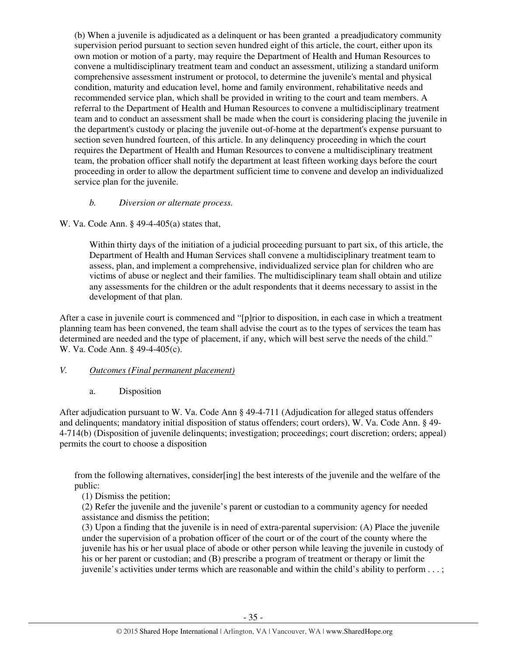(b) When a juvenile is adjudicated as a delinquent or has been granted a preadjudicatory community supervision period pursuant to section seven hundred eight of this article, the court, either upon its own motion or motion of a party, may require the Department of Health and Human Resources to convene a multidisciplinary treatment team and conduct an assessment, utilizing a standard uniform comprehensive assessment instrument or protocol, to determine the juvenile's mental and physical condition, maturity and education level, home and family environment, rehabilitative needs and recommended service plan, which shall be provided in writing to the court and team members. A referral to the Department of Health and Human Resources to convene a multidisciplinary treatment team and to conduct an assessment shall be made when the court is considering placing the juvenile in the department's custody or placing the juvenile out-of-home at the department's expense pursuant to section seven hundred fourteen, of this article. In any delinquency proceeding in which the court requires the Department of Health and Human Resources to convene a multidisciplinary treatment team, the probation officer shall notify the department at least fifteen working days before the court proceeding in order to allow the department sufficient time to convene and develop an individualized service plan for the juvenile.

# *b. Diversion or alternate process.*

W. Va. Code Ann. § 49-4-405(a) states that,

Within thirty days of the initiation of a judicial proceeding pursuant to part six, of this article, the Department of Health and Human Services shall convene a multidisciplinary treatment team to assess, plan, and implement a comprehensive, individualized service plan for children who are victims of abuse or neglect and their families. The multidisciplinary team shall obtain and utilize any assessments for the children or the adult respondents that it deems necessary to assist in the development of that plan.

After a case in juvenile court is commenced and "[p]rior to disposition, in each case in which a treatment planning team has been convened, the team shall advise the court as to the types of services the team has determined are needed and the type of placement, if any, which will best serve the needs of the child." W. Va. Code Ann. § 49-4-405(c).

# *V. Outcomes (Final permanent placement)*

#### a. Disposition

After adjudication pursuant to W. Va. Code Ann § 49-4-711 (Adjudication for alleged status offenders and delinquents; mandatory initial disposition of status offenders; court orders), W. Va. Code Ann. § 49- 4-714(b) (Disposition of juvenile delinquents; investigation; proceedings; court discretion; orders; appeal) permits the court to choose a disposition

from the following alternatives, consider[ing] the best interests of the juvenile and the welfare of the public:

(1) Dismiss the petition;

(2) Refer the juvenile and the juvenile's parent or custodian to a community agency for needed assistance and dismiss the petition;

(3) Upon a finding that the juvenile is in need of extra-parental supervision: (A) Place the juvenile under the supervision of a probation officer of the court or of the court of the county where the juvenile has his or her usual place of abode or other person while leaving the juvenile in custody of his or her parent or custodian; and (B) prescribe a program of treatment or therapy or limit the juvenile's activities under terms which are reasonable and within the child's ability to perform . . . ;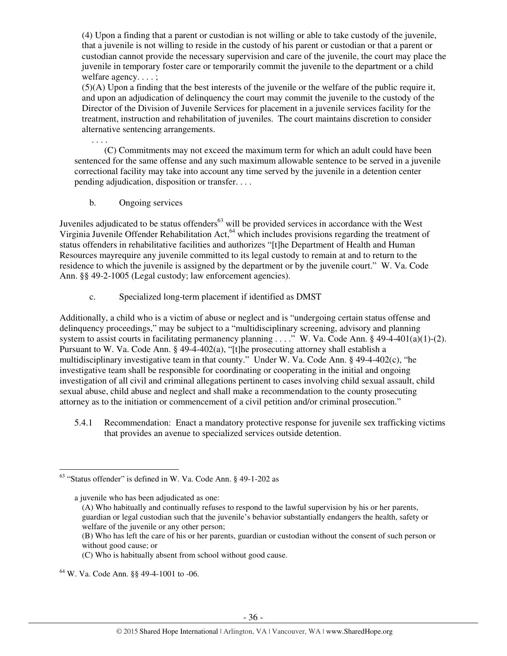(4) Upon a finding that a parent or custodian is not willing or able to take custody of the juvenile, that a juvenile is not willing to reside in the custody of his parent or custodian or that a parent or custodian cannot provide the necessary supervision and care of the juvenile, the court may place the juvenile in temporary foster care or temporarily commit the juvenile to the department or a child welfare agency. . . . ;

(5)(A) Upon a finding that the best interests of the juvenile or the welfare of the public require it, and upon an adjudication of delinquency the court may commit the juvenile to the custody of the Director of the Division of Juvenile Services for placement in a juvenile services facility for the treatment, instruction and rehabilitation of juveniles. The court maintains discretion to consider alternative sentencing arrangements.

(C) Commitments may not exceed the maximum term for which an adult could have been sentenced for the same offense and any such maximum allowable sentence to be served in a juvenile correctional facility may take into account any time served by the juvenile in a detention center pending adjudication, disposition or transfer. . . .

b. Ongoing services

. . . .

Juveniles adjudicated to be status offenders<sup>63</sup> will be provided services in accordance with the West Virginia Juvenile Offender Rehabilitation Act.<sup>64</sup> which includes provisions regarding the treatment of status offenders in rehabilitative facilities and authorizes "[t]he Department of Health and Human Resources mayrequire any juvenile committed to its legal custody to remain at and to return to the residence to which the juvenile is assigned by the department or by the juvenile court." W. Va. Code Ann. §§ 49-2-1005 (Legal custody; law enforcement agencies).

c. Specialized long-term placement if identified as DMST

Additionally, a child who is a victim of abuse or neglect and is "undergoing certain status offense and delinquency proceedings," may be subject to a "multidisciplinary screening, advisory and planning system to assist courts in facilitating permanency planning . . . ." W. Va. Code Ann. § 49-4-401(a)(1)-(2). Pursuant to W. Va. Code Ann. § 49-4-402(a), "[t]he prosecuting attorney shall establish a multidisciplinary investigative team in that county." Under W. Va. Code Ann. § 49-4-402(c), "he investigative team shall be responsible for coordinating or cooperating in the initial and ongoing investigation of all civil and criminal allegations pertinent to cases involving child sexual assault, child sexual abuse, child abuse and neglect and shall make a recommendation to the county prosecuting attorney as to the initiation or commencement of a civil petition and/or criminal prosecution."

5.4.1 Recommendation: Enact a mandatory protective response for juvenile sex trafficking victims that provides an avenue to specialized services outside detention.

l

<sup>63</sup> "Status offender" is defined in W. Va. Code Ann. § 49-1-202 as

a juvenile who has been adjudicated as one:

<sup>(</sup>A) Who habitually and continually refuses to respond to the lawful supervision by his or her parents, guardian or legal custodian such that the juvenile's behavior substantially endangers the health, safety or welfare of the juvenile or any other person;

<sup>(</sup>B) Who has left the care of his or her parents, guardian or custodian without the consent of such person or without good cause; or

<sup>(</sup>C) Who is habitually absent from school without good cause.

<sup>64</sup> W. Va. Code Ann. §§ 49-4-1001 to -06.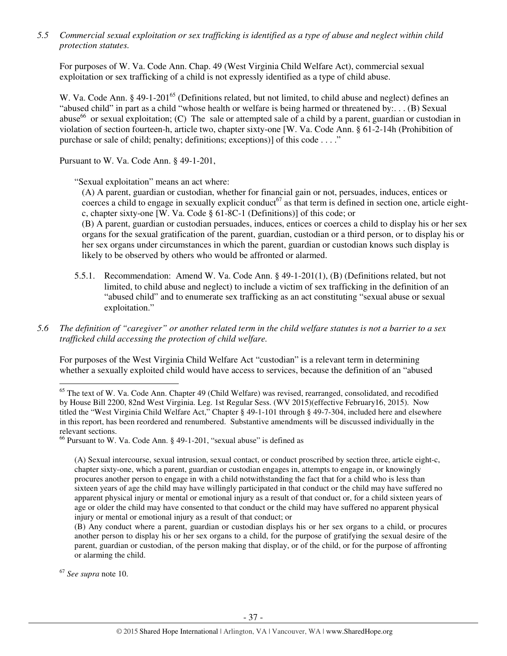*5.5 Commercial sexual exploitation or sex trafficking is identified as a type of abuse and neglect within child protection statutes.* 

For purposes of W. Va. Code Ann. Chap. 49 (West Virginia Child Welfare Act), commercial sexual exploitation or sex trafficking of a child is not expressly identified as a type of child abuse.

W. Va. Code Ann. § 49-1-201<sup>65</sup> (Definitions related, but not limited, to child abuse and neglect) defines an "abused child" in part as a child "whose health or welfare is being harmed or threatened by:. . . (B) Sexual abuse<sup>66</sup> or sexual exploitation; (C) The sale or attempted sale of a child by a parent, guardian or custodian in violation of section fourteen-h, article two, chapter sixty-one [W. Va. Code Ann. § 61-2-14h (Prohibition of purchase or sale of child; penalty; definitions; exceptions)] of this code . . . ."

Pursuant to W. Va. Code Ann. § 49-1-201,

"Sexual exploitation" means an act where:

(A) A parent, guardian or custodian, whether for financial gain or not, persuades, induces, entices or coerces a child to engage in sexually explicit conduct<sup>67</sup> as that term is defined in section one, article eightc, chapter sixty-one [W. Va. Code § 61-8C-1 (Definitions)] of this code; or

(B) A parent, guardian or custodian persuades, induces, entices or coerces a child to display his or her sex organs for the sexual gratification of the parent, guardian, custodian or a third person, or to display his or her sex organs under circumstances in which the parent, guardian or custodian knows such display is likely to be observed by others who would be affronted or alarmed.

- 5.5.1. Recommendation: Amend W. Va. Code Ann. § 49-1-201(1), (B) (Definitions related, but not limited, to child abuse and neglect) to include a victim of sex trafficking in the definition of an "abused child" and to enumerate sex trafficking as an act constituting "sexual abuse or sexual exploitation."
- *5.6 The definition of "caregiver" or another related term in the child welfare statutes is not a barrier to a sex trafficked child accessing the protection of child welfare.*

For purposes of the West Virginia Child Welfare Act "custodian" is a relevant term in determining whether a sexually exploited child would have access to services, because the definition of an "abused

<sup>67</sup> *See supra* note 10.

<sup>&</sup>lt;sup>65</sup> The text of W. Va. Code Ann. Chapter 49 (Child Welfare) was revised, rearranged, consolidated, and recodified by House Bill 2200, 82nd West Virginia. Leg. 1st Regular Sess. (WV 2015)(effective February16, 2015). Now titled the "West Virginia Child Welfare Act," Chapter § 49-1-101 through § 49-7-304, included here and elsewhere in this report, has been reordered and renumbered. Substantive amendments will be discussed individually in the relevant sections.

 $66$  Pursuant to W. Va. Code Ann. § 49-1-201, "sexual abuse" is defined as

<sup>(</sup>A) Sexual intercourse, sexual intrusion, sexual contact, or conduct proscribed by section three, article eight-c, chapter sixty-one, which a parent, guardian or custodian engages in, attempts to engage in, or knowingly procures another person to engage in with a child notwithstanding the fact that for a child who is less than sixteen years of age the child may have willingly participated in that conduct or the child may have suffered no apparent physical injury or mental or emotional injury as a result of that conduct or, for a child sixteen years of age or older the child may have consented to that conduct or the child may have suffered no apparent physical injury or mental or emotional injury as a result of that conduct; or

<sup>(</sup>B) Any conduct where a parent, guardian or custodian displays his or her sex organs to a child, or procures another person to display his or her sex organs to a child, for the purpose of gratifying the sexual desire of the parent, guardian or custodian, of the person making that display, or of the child, or for the purpose of affronting or alarming the child.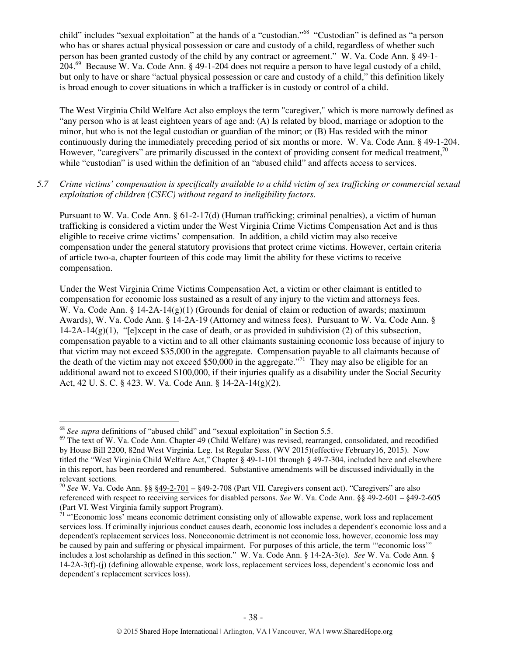child" includes "sexual exploitation" at the hands of a "custodian."<sup>68</sup> "Custodian" is defined as "a person who has or shares actual physical possession or care and custody of a child, regardless of whether such person has been granted custody of the child by any contract or agreement." W. Va. Code Ann. § 49-1- 204.<sup>69</sup> Because W. Va. Code Ann. § 49-1-204 does not require a person to have legal custody of a child, but only to have or share "actual physical possession or care and custody of a child," this definition likely is broad enough to cover situations in which a trafficker is in custody or control of a child.

The West Virginia Child Welfare Act also employs the term "caregiver," which is more narrowly defined as "any person who is at least eighteen years of age and: (A) Is related by blood, marriage or adoption to the minor, but who is not the legal custodian or guardian of the minor; or (B) Has resided with the minor continuously during the immediately preceding period of six months or more. W. Va. Code Ann. § 49-1-204. However, "caregivers" are primarily discussed in the context of providing consent for medical treatment, $^{70}$ while "custodian" is used within the definition of an "abused child" and affects access to services.

### *5.7 Crime victims' compensation is specifically available to a child victim of sex trafficking or commercial sexual exploitation of children (CSEC) without regard to ineligibility factors.*

Pursuant to W. Va. Code Ann. § 61-2-17(d) (Human trafficking; criminal penalties), a victim of human trafficking is considered a victim under the West Virginia Crime Victims Compensation Act and is thus eligible to receive crime victims' compensation. In addition, a child victim may also receive compensation under the general statutory provisions that protect crime victims. However, certain criteria of article two-a, chapter fourteen of this code may limit the ability for these victims to receive compensation.

Under the West Virginia Crime Victims Compensation Act, a victim or other claimant is entitled to compensation for economic loss sustained as a result of any injury to the victim and attorneys fees. W. Va. Code Ann. § 14-2A-14(g)(1) (Grounds for denial of claim or reduction of awards; maximum Awards), W. Va. Code Ann. § 14-2A-19 (Attorney and witness fees). Pursuant to W. Va. Code Ann. §  $14-2A-14(g)(1)$ , "[e]xcept in the case of death, or as provided in subdivision (2) of this subsection, compensation payable to a victim and to all other claimants sustaining economic loss because of injury to that victim may not exceed \$35,000 in the aggregate. Compensation payable to all claimants because of the death of the victim may not exceed \$50,000 in the aggregate."<sup>71</sup> They may also be eligible for an additional award not to exceed \$100,000, if their injuries qualify as a disability under the Social Security Act, 42 U. S. C. § 423. W. Va. Code Ann. § 14-2A-14(g)(2).

<sup>68</sup> *See supra* definitions of "abused child" and "sexual exploitation" in Section 5.5.

<sup>&</sup>lt;sup>69</sup> The text of W. Va. Code Ann. Chapter 49 (Child Welfare) was revised, rearranged, consolidated, and recodified by House Bill 2200, 82nd West Virginia. Leg. 1st Regular Sess. (WV 2015)(effective February16, 2015). Now titled the "West Virginia Child Welfare Act," Chapter § 49-1-101 through § 49-7-304, included here and elsewhere in this report, has been reordered and renumbered. Substantive amendments will be discussed individually in the relevant sections.

<sup>70</sup> *See* W. Va. Code Ann. §§ §49-2-701 – §49-2-708 (Part VII. Caregivers consent act). "Caregivers" are also referenced with respect to receiving services for disabled persons. *See* W. Va. Code Ann. §§ 49-2-601 – §49-2-605 (Part VI. West Virginia family support Program).

<sup>&</sup>lt;sup>71</sup> "Economic loss' means economic detriment consisting only of allowable expense, work loss and replacement services loss. If criminally injurious conduct causes death, economic loss includes a dependent's economic loss and a dependent's replacement services loss. Noneconomic detriment is not economic loss, however, economic loss may be caused by pain and suffering or physical impairment. For purposes of this article, the term '"economic loss'" includes a lost scholarship as defined in this section." W. Va. Code Ann. § 14-2A-3(e). *See* W. Va. Code Ann. § 14-2A-3(f)-(j) (defining allowable expense, work loss, replacement services loss, dependent's economic loss and dependent's replacement services loss).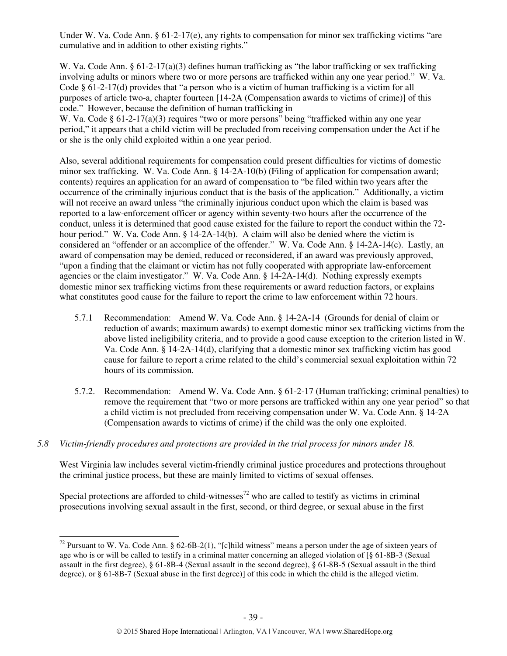Under W. Va. Code Ann. § 61-2-17(e), any rights to compensation for minor sex trafficking victims "are cumulative and in addition to other existing rights."

W. Va. Code Ann. § 61-2-17(a)(3) defines human trafficking as "the labor trafficking or sex trafficking involving adults or minors where two or more persons are trafficked within any one year period." W. Va. Code § 61-2-17(d) provides that "a person who is a victim of human trafficking is a victim for all purposes of article two-a, chapter fourteen [14-2A (Compensation awards to victims of crime)] of this code." However, because the definition of human trafficking in

W. Va. Code § 61-2-17(a)(3) requires "two or more persons" being "trafficked within any one year period," it appears that a child victim will be precluded from receiving compensation under the Act if he or she is the only child exploited within a one year period.

Also, several additional requirements for compensation could present difficulties for victims of domestic minor sex trafficking. W. Va. Code Ann. § 14-2A-10(b) (Filing of application for compensation award; contents) requires an application for an award of compensation to "be filed within two years after the occurrence of the criminally injurious conduct that is the basis of the application." Additionally, a victim will not receive an award unless "the criminally injurious conduct upon which the claim is based was reported to a law-enforcement officer or agency within seventy-two hours after the occurrence of the conduct, unless it is determined that good cause existed for the failure to report the conduct within the 72 hour period." W. Va. Code Ann. § 14-2A-14(b). A claim will also be denied where the victim is considered an "offender or an accomplice of the offender." W. Va. Code Ann. § 14-2A-14(c). Lastly, an award of compensation may be denied, reduced or reconsidered, if an award was previously approved, "upon a finding that the claimant or victim has not fully cooperated with appropriate law-enforcement agencies or the claim investigator." W. Va. Code Ann. § 14-2A-14(d). Nothing expressly exempts domestic minor sex trafficking victims from these requirements or award reduction factors, or explains what constitutes good cause for the failure to report the crime to law enforcement within 72 hours.

- 5.7.1 Recommendation: Amend W. Va. Code Ann. § 14-2A-14 (Grounds for denial of claim or reduction of awards; maximum awards) to exempt domestic minor sex trafficking victims from the above listed ineligibility criteria, and to provide a good cause exception to the criterion listed in W. Va. Code Ann. § 14-2A-14(d), clarifying that a domestic minor sex trafficking victim has good cause for failure to report a crime related to the child's commercial sexual exploitation within 72 hours of its commission.
- 5.7.2. Recommendation: Amend W. Va. Code Ann. § 61-2-17 (Human trafficking; criminal penalties) to remove the requirement that "two or more persons are trafficked within any one year period" so that a child victim is not precluded from receiving compensation under W. Va. Code Ann. § 14-2A (Compensation awards to victims of crime) if the child was the only one exploited.

# *5.8 Victim-friendly procedures and protections are provided in the trial process for minors under 18.*

 $\overline{a}$ 

West Virginia law includes several victim-friendly criminal justice procedures and protections throughout the criminal justice process, but these are mainly limited to victims of sexual offenses.

Special protections are afforded to child-witnesses<sup>72</sup> who are called to testify as victims in criminal prosecutions involving sexual assault in the first, second, or third degree, or sexual abuse in the first

 $72$  Pursuant to W. Va. Code Ann. § 62-6B-2(1), "[c]hild witness" means a person under the age of sixteen years of age who is or will be called to testify in a criminal matter concerning an alleged violation of [§ 61-8B-3 (Sexual assault in the first degree), § 61-8B-4 (Sexual assault in the second degree), § 61-8B-5 (Sexual assault in the third degree), or § 61-8B-7 (Sexual abuse in the first degree)] of this code in which the child is the alleged victim.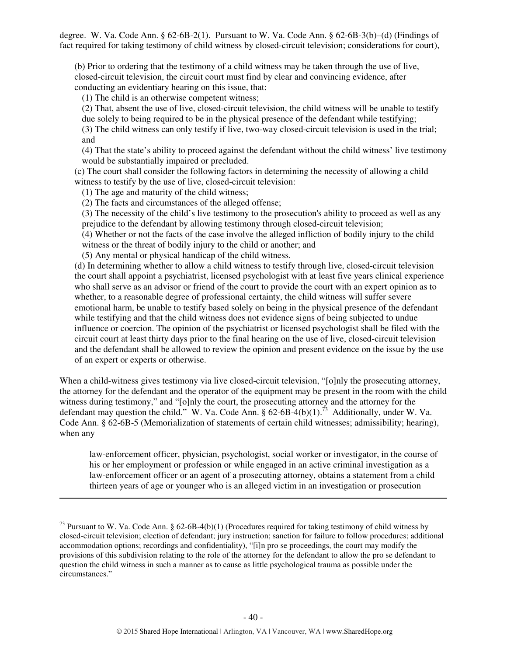degree. W. Va. Code Ann. § 62-6B-2(1). Pursuant to W. Va. Code Ann. § 62-6B-3(b)–(d) (Findings of fact required for taking testimony of child witness by closed-circuit television; considerations for court),

(b) Prior to ordering that the testimony of a child witness may be taken through the use of live, closed-circuit television, the circuit court must find by clear and convincing evidence, after conducting an evidentiary hearing on this issue, that:

(1) The child is an otherwise competent witness;

(2) That, absent the use of live, closed-circuit television, the child witness will be unable to testify due solely to being required to be in the physical presence of the defendant while testifying;

(3) The child witness can only testify if live, two-way closed-circuit television is used in the trial; and

(4) That the state's ability to proceed against the defendant without the child witness' live testimony would be substantially impaired or precluded.

(c) The court shall consider the following factors in determining the necessity of allowing a child witness to testify by the use of live, closed-circuit television:

(1) The age and maturity of the child witness;

 $\overline{a}$ 

(2) The facts and circumstances of the alleged offense;

(3) The necessity of the child's live testimony to the prosecution's ability to proceed as well as any prejudice to the defendant by allowing testimony through closed-circuit television;

(4) Whether or not the facts of the case involve the alleged infliction of bodily injury to the child witness or the threat of bodily injury to the child or another; and

(5) Any mental or physical handicap of the child witness.

(d) In determining whether to allow a child witness to testify through live, closed-circuit television the court shall appoint a psychiatrist, licensed psychologist with at least five years clinical experience who shall serve as an advisor or friend of the court to provide the court with an expert opinion as to whether, to a reasonable degree of professional certainty, the child witness will suffer severe emotional harm, be unable to testify based solely on being in the physical presence of the defendant while testifying and that the child witness does not evidence signs of being subjected to undue influence or coercion. The opinion of the psychiatrist or licensed psychologist shall be filed with the circuit court at least thirty days prior to the final hearing on the use of live, closed-circuit television and the defendant shall be allowed to review the opinion and present evidence on the issue by the use of an expert or experts or otherwise.

When a child-witness gives testimony via live closed-circuit television, "[o]nly the prosecuting attorney, the attorney for the defendant and the operator of the equipment may be present in the room with the child witness during testimony," and "[o]nly the court, the prosecuting attorney and the attorney for the defendant may question the child." W. Va. Code Ann.  $\S 62-6B-4(b)(1)$ .<sup>73</sup> Additionally, under W. Va. Code Ann. § 62-6B-5 (Memorialization of statements of certain child witnesses; admissibility; hearing), when any

law-enforcement officer, physician, psychologist, social worker or investigator, in the course of his or her employment or profession or while engaged in an active criminal investigation as a law-enforcement officer or an agent of a prosecuting attorney, obtains a statement from a child thirteen years of age or younger who is an alleged victim in an investigation or prosecution

<sup>&</sup>lt;sup>73</sup> Pursuant to W. Va. Code Ann. § 62-6B-4(b)(1) (Procedures required for taking testimony of child witness by closed-circuit television; election of defendant; jury instruction; sanction for failure to follow procedures; additional accommodation options; recordings and confidentiality), "[i]n pro se proceedings, the court may modify the provisions of this subdivision relating to the role of the attorney for the defendant to allow the pro se defendant to question the child witness in such a manner as to cause as little psychological trauma as possible under the circumstances."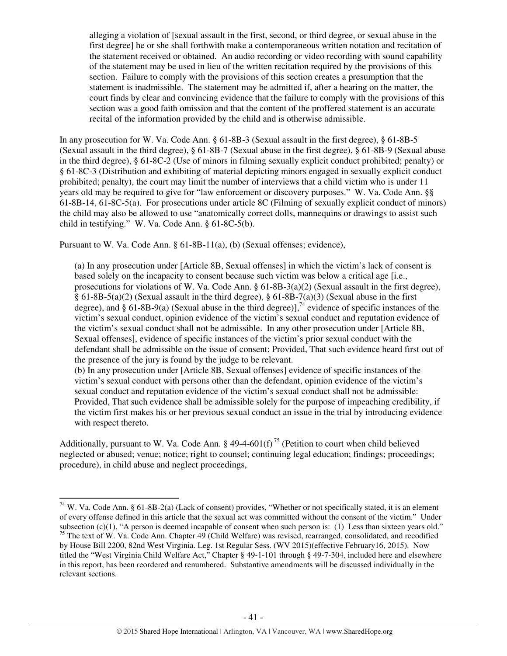alleging a violation of [sexual assault in the first, second, or third degree, or sexual abuse in the first degree] he or she shall forthwith make a contemporaneous written notation and recitation of the statement received or obtained. An audio recording or video recording with sound capability of the statement may be used in lieu of the written recitation required by the provisions of this section. Failure to comply with the provisions of this section creates a presumption that the statement is inadmissible. The statement may be admitted if, after a hearing on the matter, the court finds by clear and convincing evidence that the failure to comply with the provisions of this section was a good faith omission and that the content of the proffered statement is an accurate recital of the information provided by the child and is otherwise admissible.

In any prosecution for W. Va. Code Ann. § 61-8B-3 (Sexual assault in the first degree), § 61-8B-5 (Sexual assault in the third degree), § 61-8B-7 (Sexual abuse in the first degree), § 61-8B-9 (Sexual abuse in the third degree), § 61-8C-2 (Use of minors in filming sexually explicit conduct prohibited; penalty) or § 61-8C-3 (Distribution and exhibiting of material depicting minors engaged in sexually explicit conduct prohibited; penalty), the court may limit the number of interviews that a child victim who is under 11 years old may be required to give for "law enforcement or discovery purposes." W. Va. Code Ann. §§ 61-8B-14, 61-8C-5(a). For prosecutions under article 8C (Filming of sexually explicit conduct of minors) the child may also be allowed to use "anatomically correct dolls, mannequins or drawings to assist such child in testifying." W. Va. Code Ann. § 61-8C-5(b).

Pursuant to W. Va. Code Ann. § 61-8B-11(a), (b) (Sexual offenses; evidence),

l

(a) In any prosecution under [Article 8B, Sexual offenses] in which the victim's lack of consent is based solely on the incapacity to consent because such victim was below a critical age [i.e., prosecutions for violations of W. Va. Code Ann. § 61-8B-3(a)(2) (Sexual assault in the first degree),  $\S$  61-8B-5(a)(2) (Sexual assault in the third degree),  $\S$  61-8B-7(a)(3) (Sexual abuse in the first degree), and § 61-8B-9(a) (Sexual abuse in the third degree)],<sup>74</sup> evidence of specific instances of the victim's sexual conduct, opinion evidence of the victim's sexual conduct and reputation evidence of the victim's sexual conduct shall not be admissible. In any other prosecution under [Article 8B, Sexual offenses], evidence of specific instances of the victim's prior sexual conduct with the defendant shall be admissible on the issue of consent: Provided, That such evidence heard first out of the presence of the jury is found by the judge to be relevant.

(b) In any prosecution under [Article 8B, Sexual offenses] evidence of specific instances of the victim's sexual conduct with persons other than the defendant, opinion evidence of the victim's sexual conduct and reputation evidence of the victim's sexual conduct shall not be admissible: Provided, That such evidence shall be admissible solely for the purpose of impeaching credibility, if the victim first makes his or her previous sexual conduct an issue in the trial by introducing evidence with respect thereto.

Additionally, pursuant to W. Va. Code Ann. § 49-4-601(f)<sup>75</sup> (Petition to court when child believed neglected or abused; venue; notice; right to counsel; continuing legal education; findings; proceedings; procedure), in child abuse and neglect proceedings,

 $74$  W. Va. Code Ann. § 61-8B-2(a) (Lack of consent) provides, "Whether or not specifically stated, it is an element of every offense defined in this article that the sexual act was committed without the consent of the victim." Under subsection  $(c)(1)$ , "A person is deemed incapable of consent when such person is: (1) Less than sixteen years old."

<sup>&</sup>lt;sup>75</sup> The text of W. Va. Code Ann. Chapter 49 (Child Welfare) was revised, rearranged, consolidated, and recodified by House Bill 2200, 82nd West Virginia. Leg. 1st Regular Sess. (WV 2015)(effective February16, 2015). Now titled the "West Virginia Child Welfare Act," Chapter § 49-1-101 through § 49-7-304, included here and elsewhere in this report, has been reordered and renumbered. Substantive amendments will be discussed individually in the relevant sections.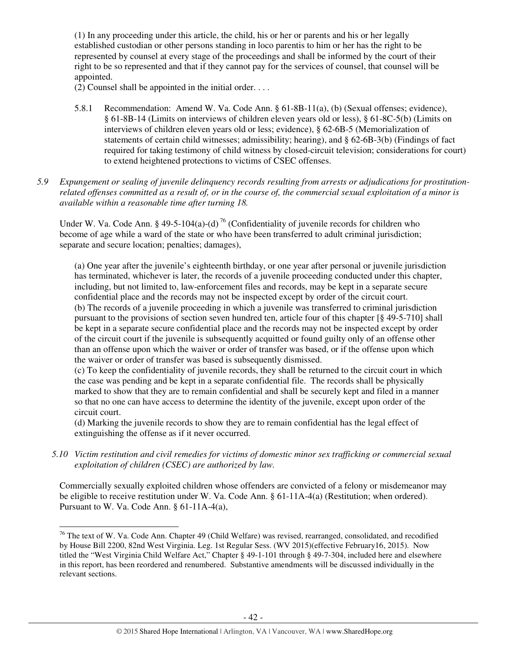(1) In any proceeding under this article, the child, his or her or parents and his or her legally established custodian or other persons standing in loco parentis to him or her has the right to be represented by counsel at every stage of the proceedings and shall be informed by the court of their right to be so represented and that if they cannot pay for the services of counsel, that counsel will be appointed.

(2) Counsel shall be appointed in the initial order. . . .

- 5.8.1 Recommendation: Amend W. Va. Code Ann. § 61-8B-11(a), (b) (Sexual offenses; evidence), § 61-8B-14 (Limits on interviews of children eleven years old or less), § 61-8C-5(b) (Limits on interviews of children eleven years old or less; evidence), § 62-6B-5 (Memorialization of statements of certain child witnesses; admissibility; hearing), and § 62-6B-3(b) (Findings of fact required for taking testimony of child witness by closed-circuit television; considerations for court) to extend heightened protections to victims of CSEC offenses.
- *5.9 Expungement or sealing of juvenile delinquency records resulting from arrests or adjudications for prostitutionrelated offenses committed as a result of, or in the course of, the commercial sexual exploitation of a minor is available within a reasonable time after turning 18.*

Under W. Va. Code Ann. § 49-5-104(a)-(d)<sup>76</sup> (Confidentiality of juvenile records for children who become of age while a ward of the state or who have been transferred to adult criminal jurisdiction; separate and secure location; penalties; damages),

(a) One year after the juvenile's eighteenth birthday, or one year after personal or juvenile jurisdiction has terminated, whichever is later, the records of a juvenile proceeding conducted under this chapter, including, but not limited to, law-enforcement files and records, may be kept in a separate secure confidential place and the records may not be inspected except by order of the circuit court. (b) The records of a juvenile proceeding in which a juvenile was transferred to criminal jurisdiction pursuant to the provisions of section seven hundred ten, article four of this chapter [§ 49-5-710] shall be kept in a separate secure confidential place and the records may not be inspected except by order of the circuit court if the juvenile is subsequently acquitted or found guilty only of an offense other than an offense upon which the waiver or order of transfer was based, or if the offense upon which the waiver or order of transfer was based is subsequently dismissed.

(c) To keep the confidentiality of juvenile records, they shall be returned to the circuit court in which the case was pending and be kept in a separate confidential file. The records shall be physically marked to show that they are to remain confidential and shall be securely kept and filed in a manner so that no one can have access to determine the identity of the juvenile, except upon order of the circuit court.

(d) Marking the juvenile records to show they are to remain confidential has the legal effect of extinguishing the offense as if it never occurred.

*5.10 Victim restitution and civil remedies for victims of domestic minor sex trafficking or commercial sexual exploitation of children (CSEC) are authorized by law.* 

Commercially sexually exploited children whose offenders are convicted of a felony or misdemeanor may be eligible to receive restitution under W. Va. Code Ann. § 61-11A-4(a) (Restitution; when ordered). Pursuant to W. Va. Code Ann. § 61-11A-4(a),

<sup>&</sup>lt;sup>76</sup> The text of W. Va. Code Ann. Chapter 49 (Child Welfare) was revised, rearranged, consolidated, and recodified by House Bill 2200, 82nd West Virginia. Leg. 1st Regular Sess. (WV 2015)(effective February16, 2015). Now titled the "West Virginia Child Welfare Act," Chapter § 49-1-101 through § 49-7-304, included here and elsewhere in this report, has been reordered and renumbered. Substantive amendments will be discussed individually in the relevant sections.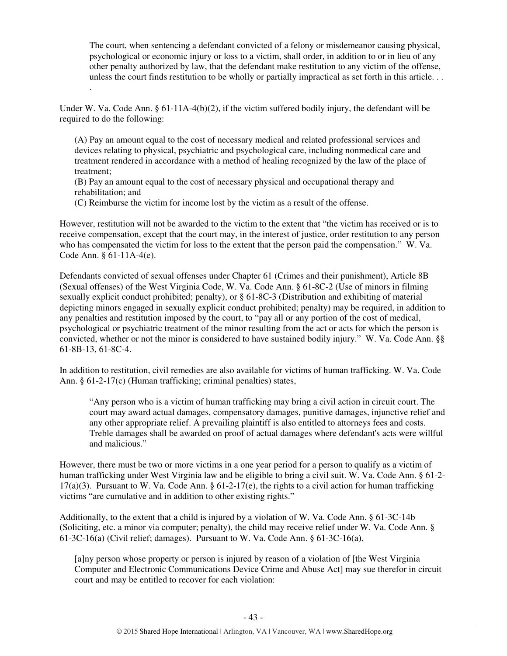The court, when sentencing a defendant convicted of a felony or misdemeanor causing physical, psychological or economic injury or loss to a victim, shall order, in addition to or in lieu of any other penalty authorized by law, that the defendant make restitution to any victim of the offense, unless the court finds restitution to be wholly or partially impractical as set forth in this article. . .

Under W. Va. Code Ann. § 61-11A-4(b)(2), if the victim suffered bodily injury, the defendant will be required to do the following:

(A) Pay an amount equal to the cost of necessary medical and related professional services and devices relating to physical, psychiatric and psychological care, including nonmedical care and treatment rendered in accordance with a method of healing recognized by the law of the place of treatment;

(B) Pay an amount equal to the cost of necessary physical and occupational therapy and rehabilitation; and

(C) Reimburse the victim for income lost by the victim as a result of the offense.

.

However, restitution will not be awarded to the victim to the extent that "the victim has received or is to receive compensation, except that the court may, in the interest of justice, order restitution to any person who has compensated the victim for loss to the extent that the person paid the compensation." W. Va. Code Ann. § 61-11A-4(e).

Defendants convicted of sexual offenses under Chapter 61 (Crimes and their punishment), Article 8B (Sexual offenses) of the West Virginia Code, W. Va. Code Ann. § 61-8C-2 (Use of minors in filming sexually explicit conduct prohibited; penalty), or § 61-8C-3 (Distribution and exhibiting of material depicting minors engaged in sexually explicit conduct prohibited; penalty) may be required, in addition to any penalties and restitution imposed by the court, to "pay all or any portion of the cost of medical, psychological or psychiatric treatment of the minor resulting from the act or acts for which the person is convicted, whether or not the minor is considered to have sustained bodily injury." W. Va. Code Ann. §§ 61-8B-13, 61-8C-4.

In addition to restitution, civil remedies are also available for victims of human trafficking. W. Va. Code Ann. § 61-2-17(c) (Human trafficking; criminal penalties) states,

"Any person who is a victim of human trafficking may bring a civil action in circuit court. The court may award actual damages, compensatory damages, punitive damages, injunctive relief and any other appropriate relief. A prevailing plaintiff is also entitled to attorneys fees and costs. Treble damages shall be awarded on proof of actual damages where defendant's acts were willful and malicious."

However, there must be two or more victims in a one year period for a person to qualify as a victim of human trafficking under West Virginia law and be eligible to bring a civil suit. W. Va. Code Ann. § 61-2-  $17(a)(3)$ . Pursuant to W. Va. Code Ann. § 61-2-17(e), the rights to a civil action for human trafficking victims "are cumulative and in addition to other existing rights."

Additionally, to the extent that a child is injured by a violation of W. Va. Code Ann. § 61-3C-14b (Soliciting, etc. a minor via computer; penalty), the child may receive relief under W. Va. Code Ann. § 61-3C-16(a) (Civil relief; damages). Pursuant to W. Va. Code Ann. § 61-3C-16(a),

[a]ny person whose property or person is injured by reason of a violation of [the West Virginia Computer and Electronic Communications Device Crime and Abuse Act] may sue therefor in circuit court and may be entitled to recover for each violation: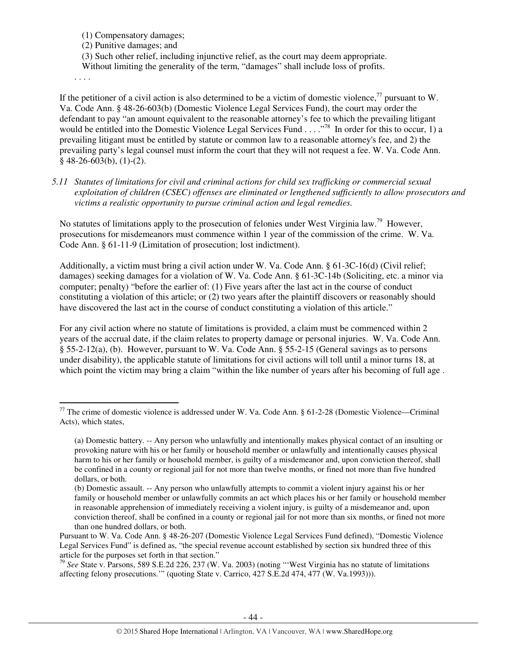(1) Compensatory damages;

(2) Punitive damages; and

(3) Such other relief, including injunctive relief, as the court may deem appropriate.

Without limiting the generality of the term, "damages" shall include loss of profits.

. . . .

l

If the petitioner of a civil action is also determined to be a victim of domestic violence.<sup>77</sup> pursuant to W. Va. Code Ann. § 48-26-603(b) (Domestic Violence Legal Services Fund), the court may order the defendant to pay "an amount equivalent to the reasonable attorney's fee to which the prevailing litigant would be entitled into the Domestic Violence Legal Services Fund . . . .<sup>778</sup> In order for this to occur, 1) a prevailing litigant must be entitled by statute or common law to a reasonable attorney's fee, and 2) the prevailing party's legal counsel must inform the court that they will not request a fee. W. Va. Code Ann.  $§$  48-26-603(b), (1)-(2).

*5.11 Statutes of limitations for civil and criminal actions for child sex trafficking or commercial sexual exploitation of children (CSEC) offenses are eliminated or lengthened sufficiently to allow prosecutors and victims a realistic opportunity to pursue criminal action and legal remedies.* 

No statutes of limitations apply to the prosecution of felonies under West Virginia law.<sup>79</sup> However, prosecutions for misdemeanors must commence within 1 year of the commission of the crime. W. Va. Code Ann. § 61-11-9 (Limitation of prosecution; lost indictment).

Additionally, a victim must bring a civil action under W. Va. Code Ann. § 61-3C-16(d) (Civil relief; damages) seeking damages for a violation of W. Va. Code Ann. § 61-3C-14b (Soliciting, etc. a minor via computer; penalty) "before the earlier of: (1) Five years after the last act in the course of conduct constituting a violation of this article; or (2) two years after the plaintiff discovers or reasonably should have discovered the last act in the course of conduct constituting a violation of this article."

For any civil action where no statute of limitations is provided, a claim must be commenced within 2 years of the accrual date, if the claim relates to property damage or personal injuries. W. Va. Code Ann. § 55-2-12(a), (b). However, pursuant to W. Va. Code Ann. § 55-2-15 (General savings as to persons under disability), the applicable statute of limitations for civil actions will toll until a minor turns 18, at which point the victim may bring a claim "within the like number of years after his becoming of full age.

 $77$  The crime of domestic violence is addressed under W. Va. Code Ann. § 61-2-28 (Domestic Violence—Criminal Acts), which states,

<sup>(</sup>a) Domestic battery. -- Any person who unlawfully and intentionally makes physical contact of an insulting or provoking nature with his or her family or household member or unlawfully and intentionally causes physical harm to his or her family or household member, is guilty of a misdemeanor and, upon conviction thereof, shall be confined in a county or regional jail for not more than twelve months, or fined not more than five hundred dollars, or both.

<sup>(</sup>b) Domestic assault. -- Any person who unlawfully attempts to commit a violent injury against his or her family or household member or unlawfully commits an act which places his or her family or household member in reasonable apprehension of immediately receiving a violent injury, is guilty of a misdemeanor and, upon conviction thereof, shall be confined in a county or regional jail for not more than six months, or fined not more than one hundred dollars, or both.

Pursuant to W. Va. Code Ann. § 48-26-207 (Domestic Violence Legal Services Fund defined), "Domestic Violence Legal Services Fund" is defined as, "the special revenue account established by section six hundred three of this article for the purposes set forth in that section."

<sup>79</sup> *See* State v. Parsons, 589 S.E.2d 226, 237 (W. Va. 2003) (noting "'West Virginia has no statute of limitations affecting felony prosecutions.'" (quoting State v. Carrico, 427 S.E.2d 474, 477 (W. Va.1993))).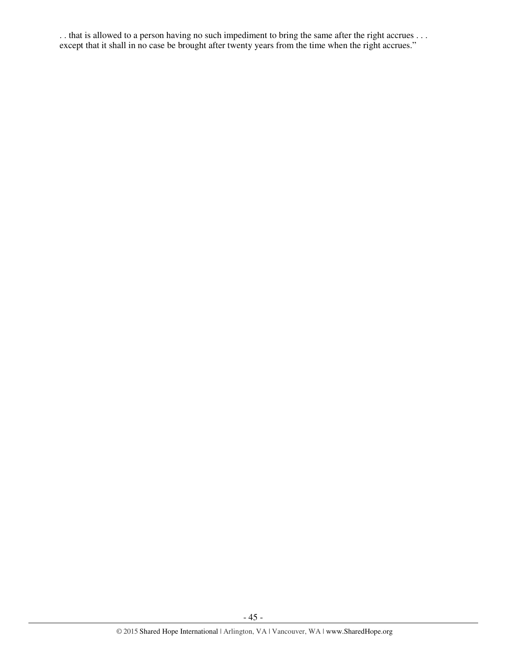. . that is allowed to a person having no such impediment to bring the same after the right accrues . . . except that it shall in no case be brought after twenty years from the time when the right accrues."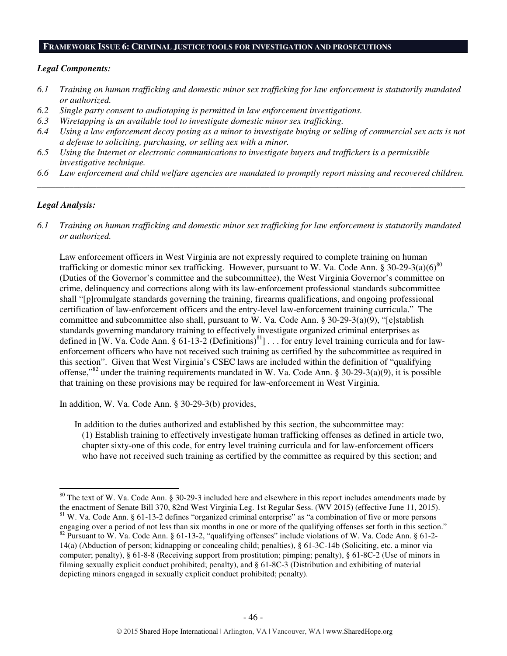### **FRAMEWORK ISSUE 6: CRIMINAL JUSTICE TOOLS FOR INVESTIGATION AND PROSECUTIONS**

#### *Legal Components:*

- *6.1 Training on human trafficking and domestic minor sex trafficking for law enforcement is statutorily mandated or authorized.*
- *6.2 Single party consent to audiotaping is permitted in law enforcement investigations.*
- *6.3 Wiretapping is an available tool to investigate domestic minor sex trafficking.*
- *6.4 Using a law enforcement decoy posing as a minor to investigate buying or selling of commercial sex acts is not a defense to soliciting, purchasing, or selling sex with a minor.*
- *6.5 Using the Internet or electronic communications to investigate buyers and traffickers is a permissible investigative technique.*
- *6.6 Law enforcement and child welfare agencies are mandated to promptly report missing and recovered children. \_\_\_\_\_\_\_\_\_\_\_\_\_\_\_\_\_\_\_\_\_\_\_\_\_\_\_\_\_\_\_\_\_\_\_\_\_\_\_\_\_\_\_\_\_\_\_\_\_\_\_\_\_\_\_\_\_\_\_\_\_\_\_\_\_\_\_\_\_\_\_\_\_\_\_\_\_\_\_\_\_\_\_\_\_\_\_\_\_\_\_\_\_\_*

### *Legal Analysis:*

l

*6.1 Training on human trafficking and domestic minor sex trafficking for law enforcement is statutorily mandated or authorized.*

Law enforcement officers in West Virginia are not expressly required to complete training on human trafficking or domestic minor sex trafficking. However, pursuant to W. Va. Code Ann. § 30-29-3(a)(6)<sup>80</sup> (Duties of the Governor's committee and the subcommittee), the West Virginia Governor's committee on crime, delinquency and corrections along with its law-enforcement professional standards subcommittee shall "[p]romulgate standards governing the training, firearms qualifications, and ongoing professional certification of law-enforcement officers and the entry-level law-enforcement training curricula." The committee and subcommittee also shall, pursuant to W. Va. Code Ann. § 30-29-3(a)(9), "[e]stablish standards governing mandatory training to effectively investigate organized criminal enterprises as defined in [W. Va. Code Ann. § 61-13-2 (Definitions) $^{81}$ ]... for entry level training curricula and for lawenforcement officers who have not received such training as certified by the subcommittee as required in this section". Given that West Virginia's CSEC laws are included within the definition of "qualifying offense,"<sup>82</sup> under the training requirements mandated in W. Va. Code Ann. § 30-29-3(a)(9), it is possible that training on these provisions may be required for law-enforcement in West Virginia.

In addition, W. Va. Code Ann. § 30-29-3(b) provides,

In addition to the duties authorized and established by this section, the subcommittee may: (1) Establish training to effectively investigate human trafficking offenses as defined in article two, chapter sixty-one of this code, for entry level training curricula and for law-enforcement officers who have not received such training as certified by the committee as required by this section; and

 $80$  The text of W. Va. Code Ann. § 30-29-3 included here and elsewhere in this report includes amendments made by the enactment of Senate Bill 370, 82nd West Virginia Leg. 1st Regular Sess. (WV 2015) (effective June 11, 2015). <sup>81</sup> W. Va. Code Ann. § 61-13-2 defines "organized criminal enterprise" as "a combination of five or more persons engaging over a period of not less than six months in one or more of the qualifying offenses set forth in this section." <sup>82</sup> Pursuant to W. Va. Code Ann. § 61-13-2, "qualifying offenses" include violations of W. Va. Code Ann. § 61-2-14(a) (Abduction of person; kidnapping or concealing child; penalties), § 61-3C-14b (Soliciting, etc. a minor via computer; penalty), § 61-8-8 (Receiving support from prostitution; pimping; penalty), § 61-8C-2 (Use of minors in filming sexually explicit conduct prohibited; penalty), and § 61-8C-3 (Distribution and exhibiting of material depicting minors engaged in sexually explicit conduct prohibited; penalty).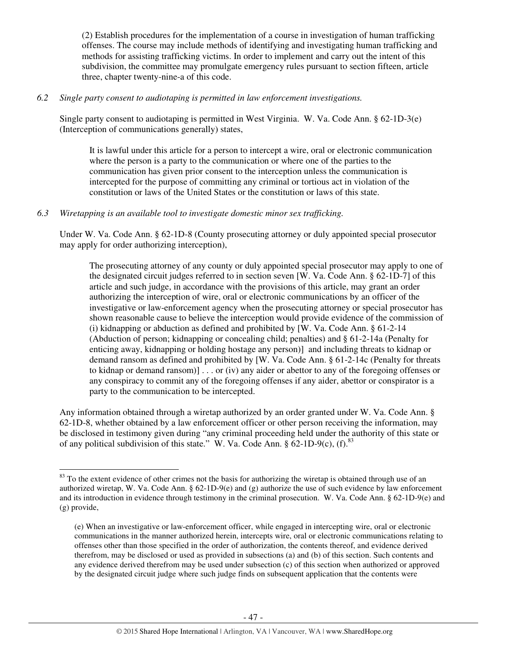(2) Establish procedures for the implementation of a course in investigation of human trafficking offenses. The course may include methods of identifying and investigating human trafficking and methods for assisting trafficking victims. In order to implement and carry out the intent of this subdivision, the committee may promulgate emergency rules pursuant to section fifteen, article three, chapter twenty-nine-a of this code.

### *6.2 Single party consent to audiotaping is permitted in law enforcement investigations.*

Single party consent to audiotaping is permitted in West Virginia. W. Va. Code Ann. § 62-1D-3(e) (Interception of communications generally) states,

It is lawful under this article for a person to intercept a wire, oral or electronic communication where the person is a party to the communication or where one of the parties to the communication has given prior consent to the interception unless the communication is intercepted for the purpose of committing any criminal or tortious act in violation of the constitution or laws of the United States or the constitution or laws of this state.

### *6.3 Wiretapping is an available tool to investigate domestic minor sex trafficking.*

 $\overline{a}$ 

Under W. Va. Code Ann. § 62-1D-8 (County prosecuting attorney or duly appointed special prosecutor may apply for order authorizing interception),

The prosecuting attorney of any county or duly appointed special prosecutor may apply to one of the designated circuit judges referred to in section seven [W. Va. Code Ann. § 62-1D-7] of this article and such judge, in accordance with the provisions of this article, may grant an order authorizing the interception of wire, oral or electronic communications by an officer of the investigative or law-enforcement agency when the prosecuting attorney or special prosecutor has shown reasonable cause to believe the interception would provide evidence of the commission of (i) kidnapping or abduction as defined and prohibited by [W. Va. Code Ann. § 61-2-14 (Abduction of person; kidnapping or concealing child; penalties) and § 61-2-14a (Penalty for enticing away, kidnapping or holding hostage any person)] and including threats to kidnap or demand ransom as defined and prohibited by [W. Va. Code Ann. § 61-2-14c (Penalty for threats to kidnap or demand ransom)] . . . or (iv) any aider or abettor to any of the foregoing offenses or any conspiracy to commit any of the foregoing offenses if any aider, abettor or conspirator is a party to the communication to be intercepted.

Any information obtained through a wiretap authorized by an order granted under W. Va. Code Ann. § 62-1D-8, whether obtained by a law enforcement officer or other person receiving the information, may be disclosed in testimony given during "any criminal proceeding held under the authority of this state or of any political subdivision of this state." W. Va. Code Ann.  $\S 62$ -1D-9(c), (f).<sup>83</sup>

 $83$  To the extent evidence of other crimes not the basis for authorizing the wiretap is obtained through use of an authorized wiretap, W. Va. Code Ann. §  $62-1D-9(e)$  and (g) authorize the use of such evidence by law enforcement and its introduction in evidence through testimony in the criminal prosecution. W. Va. Code Ann. § 62-1D-9(e) and (g) provide,

<sup>(</sup>e) When an investigative or law-enforcement officer, while engaged in intercepting wire, oral or electronic communications in the manner authorized herein, intercepts wire, oral or electronic communications relating to offenses other than those specified in the order of authorization, the contents thereof, and evidence derived therefrom, may be disclosed or used as provided in subsections (a) and (b) of this section. Such contents and any evidence derived therefrom may be used under subsection (c) of this section when authorized or approved by the designated circuit judge where such judge finds on subsequent application that the contents were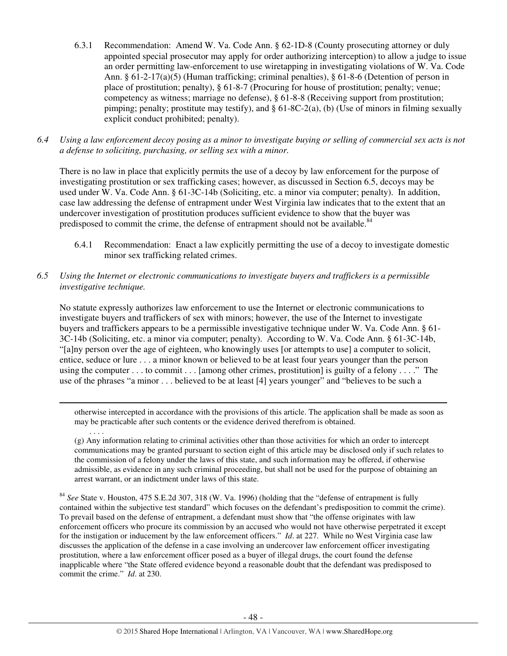- 6.3.1 Recommendation: Amend W. Va. Code Ann. § 62-1D-8 (County prosecuting attorney or duly appointed special prosecutor may apply for order authorizing interception) to allow a judge to issue an order permitting law-enforcement to use wiretapping in investigating violations of W. Va. Code Ann. § 61-2-17(a)(5) (Human trafficking; criminal penalties), § 61-8-6 (Detention of person in place of prostitution; penalty), § 61-8-7 (Procuring for house of prostitution; penalty; venue; competency as witness; marriage no defense), § 61-8-8 (Receiving support from prostitution; pimping; penalty; prostitute may testify), and  $\S 61-8C-2(a)$ , (b) (Use of minors in filming sexually explicit conduct prohibited; penalty).
- *6.4 Using a law enforcement decoy posing as a minor to investigate buying or selling of commercial sex acts is not a defense to soliciting, purchasing, or selling sex with a minor.*

There is no law in place that explicitly permits the use of a decoy by law enforcement for the purpose of investigating prostitution or sex trafficking cases; however, as discussed in Section 6.5, decoys may be used under W. Va. Code Ann. § 61-3C-14b (Soliciting, etc. a minor via computer; penalty). In addition, case law addressing the defense of entrapment under West Virginia law indicates that to the extent that an undercover investigation of prostitution produces sufficient evidence to show that the buyer was predisposed to commit the crime, the defense of entrapment should not be available.<sup>84</sup>

- 6.4.1 Recommendation: Enact a law explicitly permitting the use of a decoy to investigate domestic minor sex trafficking related crimes.
- *6.5 Using the Internet or electronic communications to investigate buyers and traffickers is a permissible investigative technique.*

l

No statute expressly authorizes law enforcement to use the Internet or electronic communications to investigate buyers and traffickers of sex with minors; however, the use of the Internet to investigate buyers and traffickers appears to be a permissible investigative technique under W. Va. Code Ann. § 61- 3C-14b (Soliciting, etc. a minor via computer; penalty). According to W. Va. Code Ann. § 61-3C-14b, "[a]ny person over the age of eighteen, who knowingly uses [or attempts to use] a computer to solicit, entice, seduce or lure . . . a minor known or believed to be at least four years younger than the person using the computer . . . to commit . . . [among other crimes, prostitution] is guilty of a felony . . . ." The use of the phrases "a minor . . . believed to be at least [4] years younger" and "believes to be such a

otherwise intercepted in accordance with the provisions of this article. The application shall be made as soon as may be practicable after such contents or the evidence derived therefrom is obtained.

(g) Any information relating to criminal activities other than those activities for which an order to intercept communications may be granted pursuant to section eight of this article may be disclosed only if such relates to the commission of a felony under the laws of this state, and such information may be offered, if otherwise admissible, as evidence in any such criminal proceeding, but shall not be used for the purpose of obtaining an arrest warrant, or an indictment under laws of this state.

<sup>84</sup> *See* State v. Houston, 475 S.E.2d 307, 318 (W. Va. 1996) (holding that the "defense of entrapment is fully contained within the subjective test standard" which focuses on the defendant's predisposition to commit the crime). To prevail based on the defense of entrapment, a defendant must show that "the offense originates with law enforcement officers who procure its commission by an accused who would not have otherwise perpetrated it except for the instigation or inducement by the law enforcement officers." *Id*. at 227. While no West Virginia case law discusses the application of the defense in a case involving an undercover law enforcement officer investigating prostitution, where a law enforcement officer posed as a buyer of illegal drugs, the court found the defense inapplicable where "the State offered evidence beyond a reasonable doubt that the defendant was predisposed to commit the crime." *Id*. at 230.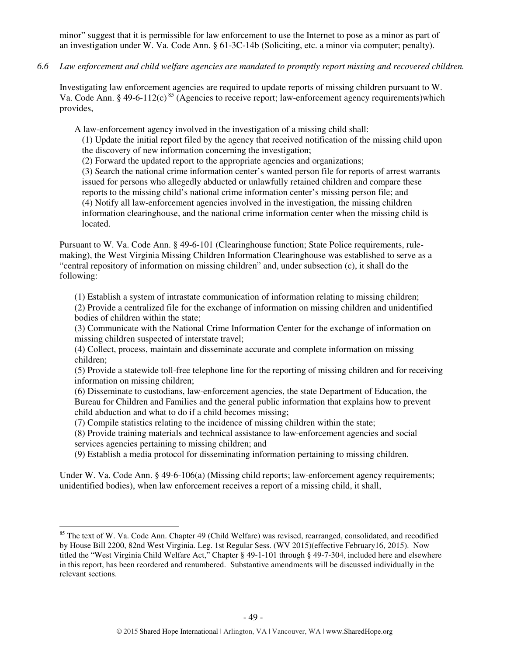minor" suggest that it is permissible for law enforcement to use the Internet to pose as a minor as part of an investigation under W. Va. Code Ann. § 61-3C-14b (Soliciting, etc. a minor via computer; penalty).

*6.6 Law enforcement and child welfare agencies are mandated to promptly report missing and recovered children.* 

Investigating law enforcement agencies are required to update reports of missing children pursuant to W. Va. Code Ann. § 49-6-112(c)<sup>85</sup> (Agencies to receive report; law-enforcement agency requirements)which provides,

A law-enforcement agency involved in the investigation of a missing child shall:

(1) Update the initial report filed by the agency that received notification of the missing child upon the discovery of new information concerning the investigation;

(2) Forward the updated report to the appropriate agencies and organizations;

(3) Search the national crime information center's wanted person file for reports of arrest warrants issued for persons who allegedly abducted or unlawfully retained children and compare these reports to the missing child's national crime information center's missing person file; and (4) Notify all law-enforcement agencies involved in the investigation, the missing children information clearinghouse, and the national crime information center when the missing child is located.

Pursuant to W. Va. Code Ann. § 49-6-101 (Clearinghouse function; State Police requirements, rulemaking), the West Virginia Missing Children Information Clearinghouse was established to serve as a "central repository of information on missing children" and, under subsection (c), it shall do the following:

(1) Establish a system of intrastate communication of information relating to missing children; (2) Provide a centralized file for the exchange of information on missing children and unidentified bodies of children within the state;

(3) Communicate with the National Crime Information Center for the exchange of information on missing children suspected of interstate travel;

(4) Collect, process, maintain and disseminate accurate and complete information on missing children;

(5) Provide a statewide toll-free telephone line for the reporting of missing children and for receiving information on missing children;

(6) Disseminate to custodians, law-enforcement agencies, the state Department of Education, the Bureau for Children and Families and the general public information that explains how to prevent child abduction and what to do if a child becomes missing;

(7) Compile statistics relating to the incidence of missing children within the state;

l

(8) Provide training materials and technical assistance to law-enforcement agencies and social services agencies pertaining to missing children; and

(9) Establish a media protocol for disseminating information pertaining to missing children.

Under W. Va. Code Ann. § 49-6-106(a) (Missing child reports; law-enforcement agency requirements; unidentified bodies), when law enforcement receives a report of a missing child, it shall,

<sup>&</sup>lt;sup>85</sup> The text of W. Va. Code Ann. Chapter 49 (Child Welfare) was revised, rearranged, consolidated, and recodified by House Bill 2200, 82nd West Virginia. Leg. 1st Regular Sess. (WV 2015)(effective February16, 2015). Now titled the "West Virginia Child Welfare Act," Chapter § 49-1-101 through § 49-7-304, included here and elsewhere in this report, has been reordered and renumbered. Substantive amendments will be discussed individually in the relevant sections.